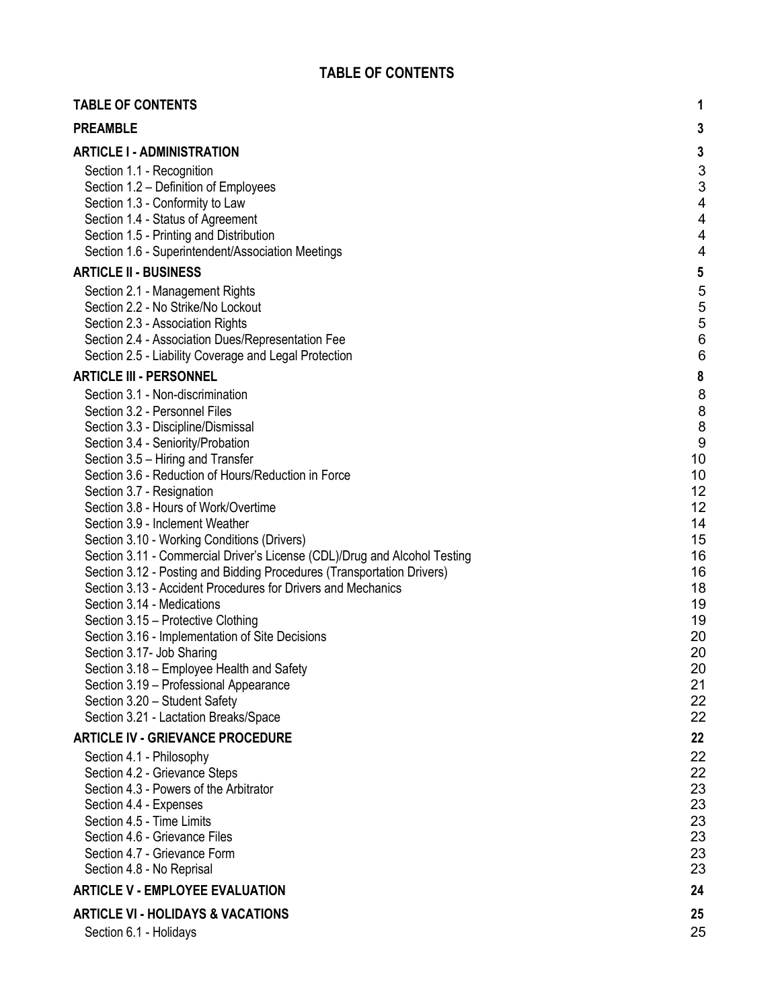| <b>TABLE OF CONTENTS</b>                                                                                                                                                                                                                                                                                                                                                                                                                                                                                                                                                                                                                                                                                                                                                                                                                                                                                                                    | 1                                                                                                                                     |
|---------------------------------------------------------------------------------------------------------------------------------------------------------------------------------------------------------------------------------------------------------------------------------------------------------------------------------------------------------------------------------------------------------------------------------------------------------------------------------------------------------------------------------------------------------------------------------------------------------------------------------------------------------------------------------------------------------------------------------------------------------------------------------------------------------------------------------------------------------------------------------------------------------------------------------------------|---------------------------------------------------------------------------------------------------------------------------------------|
| <b>PREAMBLE</b>                                                                                                                                                                                                                                                                                                                                                                                                                                                                                                                                                                                                                                                                                                                                                                                                                                                                                                                             | 3                                                                                                                                     |
| <b>ARTICLE I - ADMINISTRATION</b>                                                                                                                                                                                                                                                                                                                                                                                                                                                                                                                                                                                                                                                                                                                                                                                                                                                                                                           | $\mathbf{3}$                                                                                                                          |
| Section 1.1 - Recognition<br>Section 1.2 - Definition of Employees<br>Section 1.3 - Conformity to Law<br>Section 1.4 - Status of Agreement<br>Section 1.5 - Printing and Distribution<br>Section 1.6 - Superintendent/Association Meetings                                                                                                                                                                                                                                                                                                                                                                                                                                                                                                                                                                                                                                                                                                  | 3<br>3<br>4<br>4<br>4<br>4                                                                                                            |
| <b>ARTICLE II - BUSINESS</b>                                                                                                                                                                                                                                                                                                                                                                                                                                                                                                                                                                                                                                                                                                                                                                                                                                                                                                                | $\sqrt{5}$                                                                                                                            |
| Section 2.1 - Management Rights<br>Section 2.2 - No Strike/No Lockout<br>Section 2.3 - Association Rights<br>Section 2.4 - Association Dues/Representation Fee<br>Section 2.5 - Liability Coverage and Legal Protection                                                                                                                                                                                                                                                                                                                                                                                                                                                                                                                                                                                                                                                                                                                     | 5<br>$\frac{5}{5}$<br>$6\phantom{1}6$<br>6                                                                                            |
| <b>ARTICLE III - PERSONNEL</b>                                                                                                                                                                                                                                                                                                                                                                                                                                                                                                                                                                                                                                                                                                                                                                                                                                                                                                              | $\pmb{8}$                                                                                                                             |
| Section 3.1 - Non-discrimination<br>Section 3.2 - Personnel Files<br>Section 3.3 - Discipline/Dismissal<br>Section 3.4 - Seniority/Probation<br>Section 3.5 - Hiring and Transfer<br>Section 3.6 - Reduction of Hours/Reduction in Force<br>Section 3.7 - Resignation<br>Section 3.8 - Hours of Work/Overtime<br>Section 3.9 - Inclement Weather<br>Section 3.10 - Working Conditions (Drivers)<br>Section 3.11 - Commercial Driver's License (CDL)/Drug and Alcohol Testing<br>Section 3.12 - Posting and Bidding Procedures (Transportation Drivers)<br>Section 3.13 - Accident Procedures for Drivers and Mechanics<br>Section 3.14 - Medications<br>Section 3.15 - Protective Clothing<br>Section 3.16 - Implementation of Site Decisions<br>Section 3.17- Job Sharing<br>Section 3.18 - Employee Health and Safety<br>Section 3.19 - Professional Appearance<br>Section 3.20 - Student Safety<br>Section 3.21 - Lactation Breaks/Space | 8<br>8<br>8<br>$\boldsymbol{9}$<br>10<br>10<br>12<br>12<br>14<br>15<br>16<br>16<br>18<br>19<br>19<br>20<br>20<br>20<br>21<br>22<br>22 |
| <b>ARTICLE IV - GRIEVANCE PROCEDURE</b>                                                                                                                                                                                                                                                                                                                                                                                                                                                                                                                                                                                                                                                                                                                                                                                                                                                                                                     | 22                                                                                                                                    |
| Section 4.1 - Philosophy<br>Section 4.2 - Grievance Steps<br>Section 4.3 - Powers of the Arbitrator<br>Section 4.4 - Expenses<br>Section 4.5 - Time Limits<br>Section 4.6 - Grievance Files<br>Section 4.7 - Grievance Form<br>Section 4.8 - No Reprisal                                                                                                                                                                                                                                                                                                                                                                                                                                                                                                                                                                                                                                                                                    | 22<br>22<br>23<br>23<br>23<br>23<br>23<br>23                                                                                          |
| <b>ARTICLE V - EMPLOYEE EVALUATION</b>                                                                                                                                                                                                                                                                                                                                                                                                                                                                                                                                                                                                                                                                                                                                                                                                                                                                                                      | 24                                                                                                                                    |
| <b>ARTICLE VI - HOLIDAYS &amp; VACATIONS</b>                                                                                                                                                                                                                                                                                                                                                                                                                                                                                                                                                                                                                                                                                                                                                                                                                                                                                                | 25                                                                                                                                    |
| Section 6.1 - Holidays                                                                                                                                                                                                                                                                                                                                                                                                                                                                                                                                                                                                                                                                                                                                                                                                                                                                                                                      | 25                                                                                                                                    |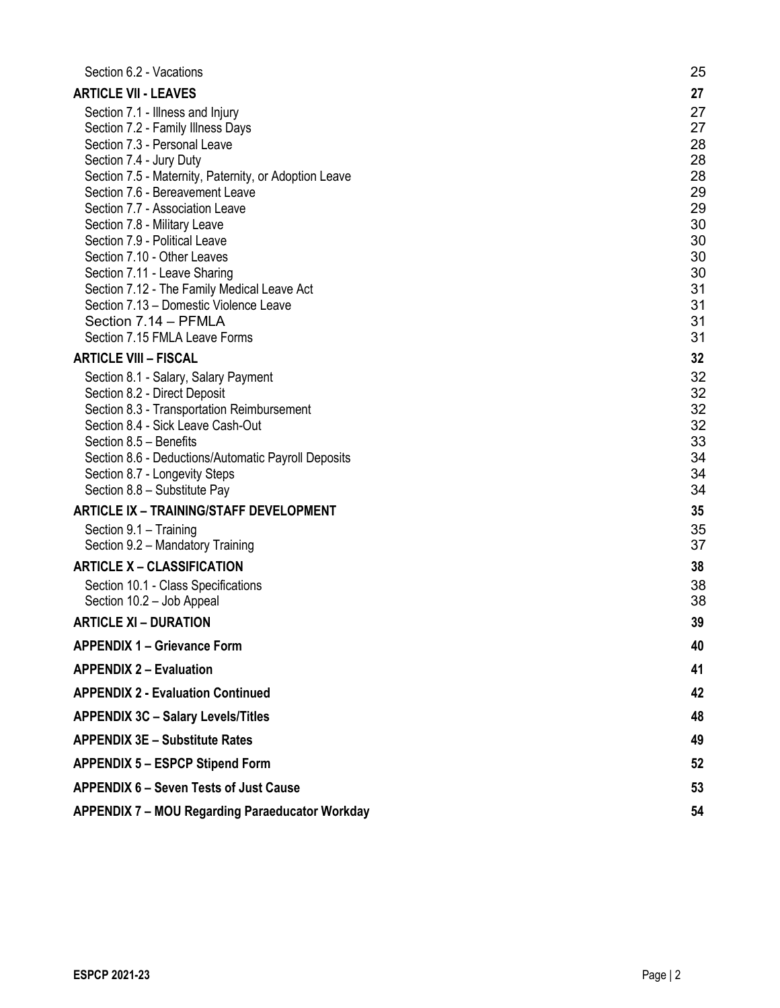| Section 6.2 - Vacations                                                                  | 25       |
|------------------------------------------------------------------------------------------|----------|
| <b>ARTICLE VII - LEAVES</b>                                                              | 27       |
| Section 7.1 - Illness and Injury                                                         | 27       |
| Section 7.2 - Family Illness Days                                                        | 27       |
| Section 7.3 - Personal Leave                                                             | 28       |
| Section 7.4 - Jury Duty                                                                  | 28<br>28 |
| Section 7.5 - Maternity, Paternity, or Adoption Leave<br>Section 7.6 - Bereavement Leave | 29       |
| Section 7.7 - Association Leave                                                          | 29       |
| Section 7.8 - Military Leave                                                             | 30       |
| Section 7.9 - Political Leave                                                            | 30       |
| Section 7.10 - Other Leaves                                                              | 30       |
| Section 7.11 - Leave Sharing                                                             | 30       |
| Section 7.12 - The Family Medical Leave Act                                              | 31       |
| Section 7.13 - Domestic Violence Leave<br>Section 7.14 - PFMLA                           | 31<br>31 |
| Section 7.15 FMLA Leave Forms                                                            | 31       |
| <b>ARTICLE VIII - FISCAL</b>                                                             | 32       |
| Section 8.1 - Salary, Salary Payment                                                     | 32       |
| Section 8.2 - Direct Deposit                                                             | 32       |
| Section 8.3 - Transportation Reimbursement                                               | 32       |
| Section 8.4 - Sick Leave Cash-Out                                                        | 32       |
| Section 8.5 - Benefits                                                                   | 33       |
| Section 8.6 - Deductions/Automatic Payroll Deposits                                      | 34       |
| Section 8.7 - Longevity Steps                                                            | 34       |
| Section 8.8 - Substitute Pay                                                             | 34       |
| <b>ARTICLE IX - TRAINING/STAFF DEVELOPMENT</b>                                           | 35<br>35 |
| Section 9.1 - Training<br>Section 9.2 - Mandatory Training                               | 37       |
| <b>ARTICLE X - CLASSIFICATION</b>                                                        | 38       |
| Section 10.1 - Class Specifications                                                      | 38       |
| Section 10.2 - Job Appeal                                                                | 38       |
| <b>ARTICLE XI - DURATION</b>                                                             | 39       |
| <b>APPENDIX 1 - Grievance Form</b>                                                       | 40       |
| <b>APPENDIX 2 - Evaluation</b>                                                           | 41       |
| <b>APPENDIX 2 - Evaluation Continued</b>                                                 | 42       |
| <b>APPENDIX 3C - Salary Levels/Titles</b>                                                | 48       |
| <b>APPENDIX 3E - Substitute Rates</b>                                                    | 49       |
| <b>APPENDIX 5 - ESPCP Stipend Form</b>                                                   | 52       |
| <b>APPENDIX 6 - Seven Tests of Just Cause</b>                                            | 53       |
|                                                                                          |          |
| <b>APPENDIX 7 - MOU Regarding Paraeducator Workday</b>                                   | 54       |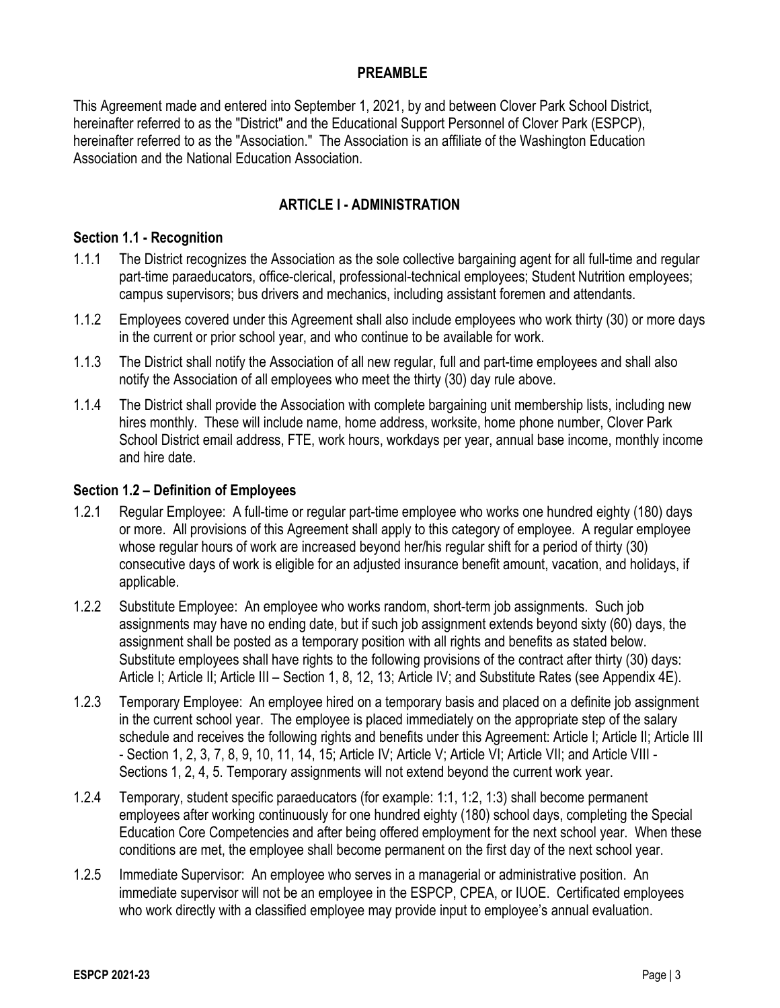## **PREAMBLE**

This Agreement made and entered into September 1, 2021, by and between Clover Park School District, hereinafter referred to as the "District" and the Educational Support Personnel of Clover Park (ESPCP), hereinafter referred to as the "Association." The Association is an affiliate of the Washington Education Association and the National Education Association.

## **ARTICLE I - ADMINISTRATION**

#### **Section 1.1 - Recognition**

- 1.1.1 The District recognizes the Association as the sole collective bargaining agent for all full-time and regular part-time paraeducators, office-clerical, professional-technical employees; Student Nutrition employees; campus supervisors; bus drivers and mechanics, including assistant foremen and attendants.
- 1.1.2 Employees covered under this Agreement shall also include employees who work thirty (30) or more days in the current or prior school year, and who continue to be available for work.
- 1.1.3 The District shall notify the Association of all new regular, full and part-time employees and shall also notify the Association of all employees who meet the thirty (30) day rule above.
- 1.1.4 The District shall provide the Association with complete bargaining unit membership lists, including new hires monthly. These will include name, home address, worksite, home phone number, Clover Park School District email address, FTE, work hours, workdays per year, annual base income, monthly income and hire date.

#### **Section 1.2 – Definition of Employees**

- 1.2.1 Regular Employee: A full-time or regular part-time employee who works one hundred eighty (180) days or more. All provisions of this Agreement shall apply to this category of employee. A regular employee whose regular hours of work are increased beyond her/his regular shift for a period of thirty (30) consecutive days of work is eligible for an adjusted insurance benefit amount, vacation, and holidays, if applicable.
- 1.2.2 Substitute Employee: An employee who works random, short-term job assignments. Such job assignments may have no ending date, but if such job assignment extends beyond sixty (60) days, the assignment shall be posted as a temporary position with all rights and benefits as stated below. Substitute employees shall have rights to the following provisions of the contract after thirty (30) days: Article I; Article II; Article III – Section 1, 8, 12, 13; Article IV; and Substitute Rates (see Appendix 4E).
- 1.2.3 Temporary Employee: An employee hired on a temporary basis and placed on a definite job assignment in the current school year. The employee is placed immediately on the appropriate step of the salary schedule and receives the following rights and benefits under this Agreement: Article I; Article II; Article III - Section 1, 2, 3, 7, 8, 9, 10, 11, 14, 15; Article IV; Article V; Article VI; Article VII; and Article VIII - Sections 1, 2, 4, 5. Temporary assignments will not extend beyond the current work year.
- 1.2.4 Temporary, student specific paraeducators (for example: 1:1, 1:2, 1:3) shall become permanent employees after working continuously for one hundred eighty (180) school days, completing the Special Education Core Competencies and after being offered employment for the next school year. When these conditions are met, the employee shall become permanent on the first day of the next school year.
- 1.2.5 Immediate Supervisor: An employee who serves in a managerial or administrative position. An immediate supervisor will not be an employee in the ESPCP, CPEA, or IUOE. Certificated employees who work directly with a classified employee may provide input to employee's annual evaluation.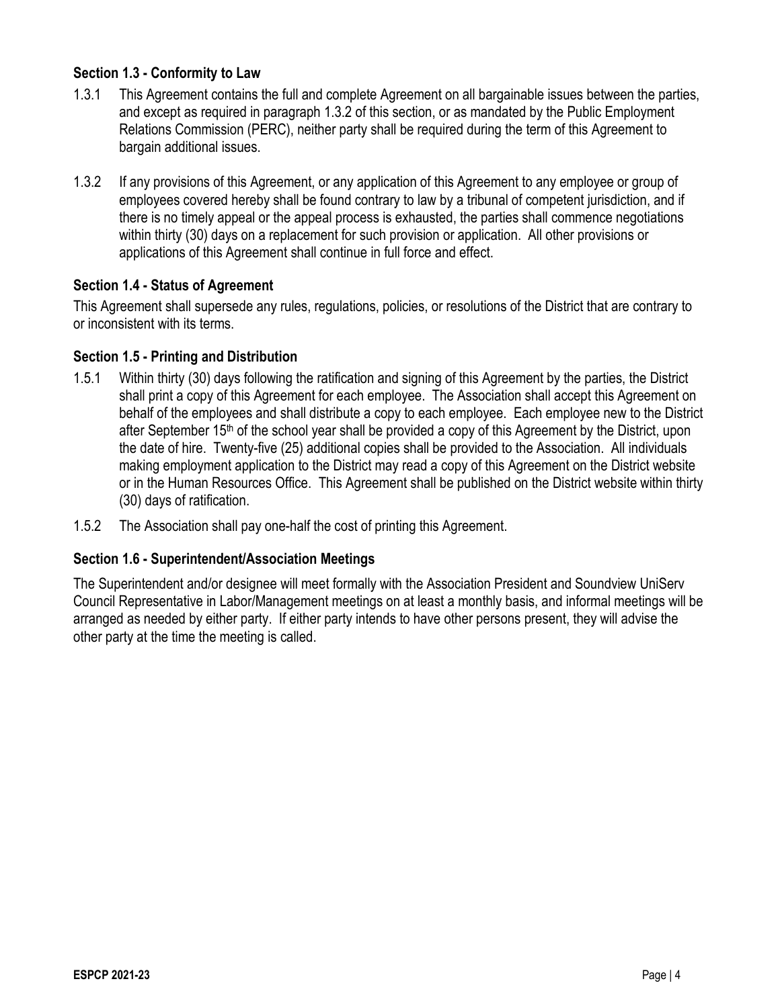## **Section 1.3 - Conformity to Law**

- 1.3.1 This Agreement contains the full and complete Agreement on all bargainable issues between the parties, and except as required in paragraph 1.3.2 of this section, or as mandated by the Public Employment Relations Commission (PERC), neither party shall be required during the term of this Agreement to bargain additional issues.
- 1.3.2 If any provisions of this Agreement, or any application of this Agreement to any employee or group of employees covered hereby shall be found contrary to law by a tribunal of competent jurisdiction, and if there is no timely appeal or the appeal process is exhausted, the parties shall commence negotiations within thirty (30) days on a replacement for such provision or application. All other provisions or applications of this Agreement shall continue in full force and effect.

## **Section 1.4 - Status of Agreement**

This Agreement shall supersede any rules, regulations, policies, or resolutions of the District that are contrary to or inconsistent with its terms.

### **Section 1.5 - Printing and Distribution**

- 1.5.1 Within thirty (30) days following the ratification and signing of this Agreement by the parties, the District shall print a copy of this Agreement for each employee. The Association shall accept this Agreement on behalf of the employees and shall distribute a copy to each employee. Each employee new to the District after September 15th of the school year shall be provided a copy of this Agreement by the District, upon the date of hire. Twenty-five (25) additional copies shall be provided to the Association. All individuals making employment application to the District may read a copy of this Agreement on the District website or in the Human Resources Office. This Agreement shall be published on the District website within thirty (30) days of ratification.
- 1.5.2 The Association shall pay one-half the cost of printing this Agreement.

#### **Section 1.6 - Superintendent/Association Meetings**

The Superintendent and/or designee will meet formally with the Association President and Soundview UniServ Council Representative in Labor/Management meetings on at least a monthly basis, and informal meetings will be arranged as needed by either party. If either party intends to have other persons present, they will advise the other party at the time the meeting is called.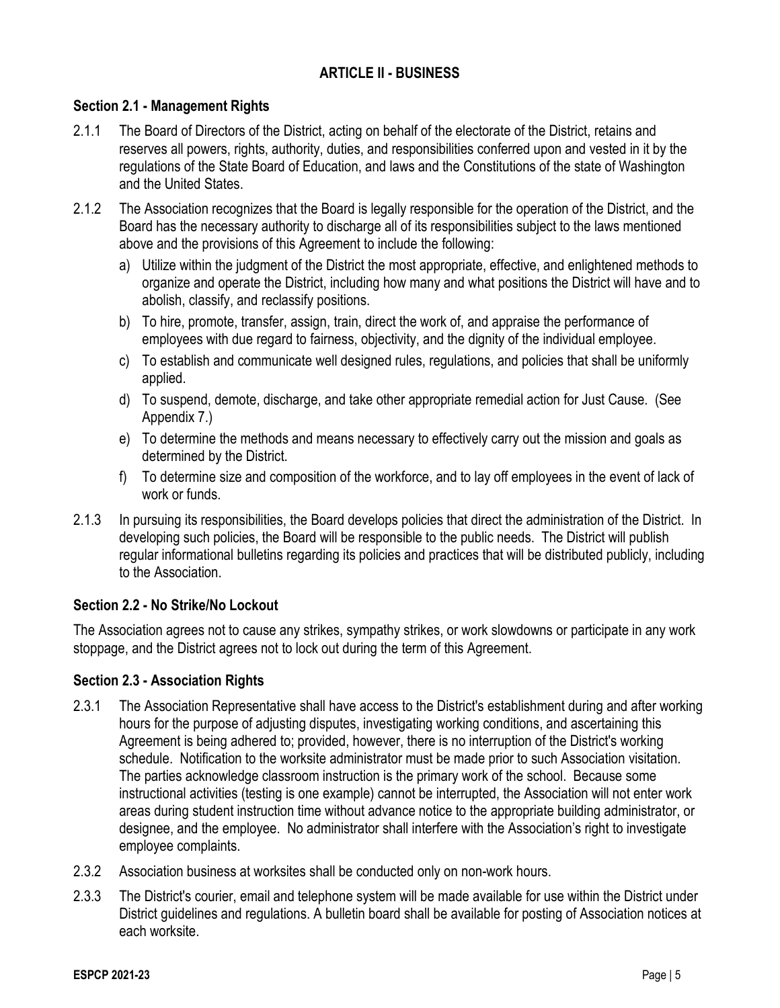## **ARTICLE II - BUSINESS**

## **Section 2.1 - Management Rights**

- 2.1.1 The Board of Directors of the District, acting on behalf of the electorate of the District, retains and reserves all powers, rights, authority, duties, and responsibilities conferred upon and vested in it by the regulations of the State Board of Education, and laws and the Constitutions of the state of Washington and the United States.
- 2.1.2 The Association recognizes that the Board is legally responsible for the operation of the District, and the Board has the necessary authority to discharge all of its responsibilities subject to the laws mentioned above and the provisions of this Agreement to include the following:
	- a) Utilize within the judgment of the District the most appropriate, effective, and enlightened methods to organize and operate the District, including how many and what positions the District will have and to abolish, classify, and reclassify positions.
	- b) To hire, promote, transfer, assign, train, direct the work of, and appraise the performance of employees with due regard to fairness, objectivity, and the dignity of the individual employee.
	- c) To establish and communicate well designed rules, regulations, and policies that shall be uniformly applied.
	- d) To suspend, demote, discharge, and take other appropriate remedial action for Just Cause. (See Appendix 7.)
	- e) To determine the methods and means necessary to effectively carry out the mission and goals as determined by the District.
	- f) To determine size and composition of the workforce, and to lay off employees in the event of lack of work or funds.
- 2.1.3 In pursuing its responsibilities, the Board develops policies that direct the administration of the District. In developing such policies, the Board will be responsible to the public needs. The District will publish regular informational bulletins regarding its policies and practices that will be distributed publicly, including to the Association.

## **Section 2.2 - No Strike/No Lockout**

The Association agrees not to cause any strikes, sympathy strikes, or work slowdowns or participate in any work stoppage, and the District agrees not to lock out during the term of this Agreement.

#### **Section 2.3 - Association Rights**

- 2.3.1 The Association Representative shall have access to the District's establishment during and after working hours for the purpose of adjusting disputes, investigating working conditions, and ascertaining this Agreement is being adhered to; provided, however, there is no interruption of the District's working schedule. Notification to the worksite administrator must be made prior to such Association visitation. The parties acknowledge classroom instruction is the primary work of the school. Because some instructional activities (testing is one example) cannot be interrupted, the Association will not enter work areas during student instruction time without advance notice to the appropriate building administrator, or designee, and the employee. No administrator shall interfere with the Association's right to investigate employee complaints.
- 2.3.2 Association business at worksites shall be conducted only on non-work hours.
- 2.3.3 The District's courier, email and telephone system will be made available for use within the District under District guidelines and regulations. A bulletin board shall be available for posting of Association notices at each worksite.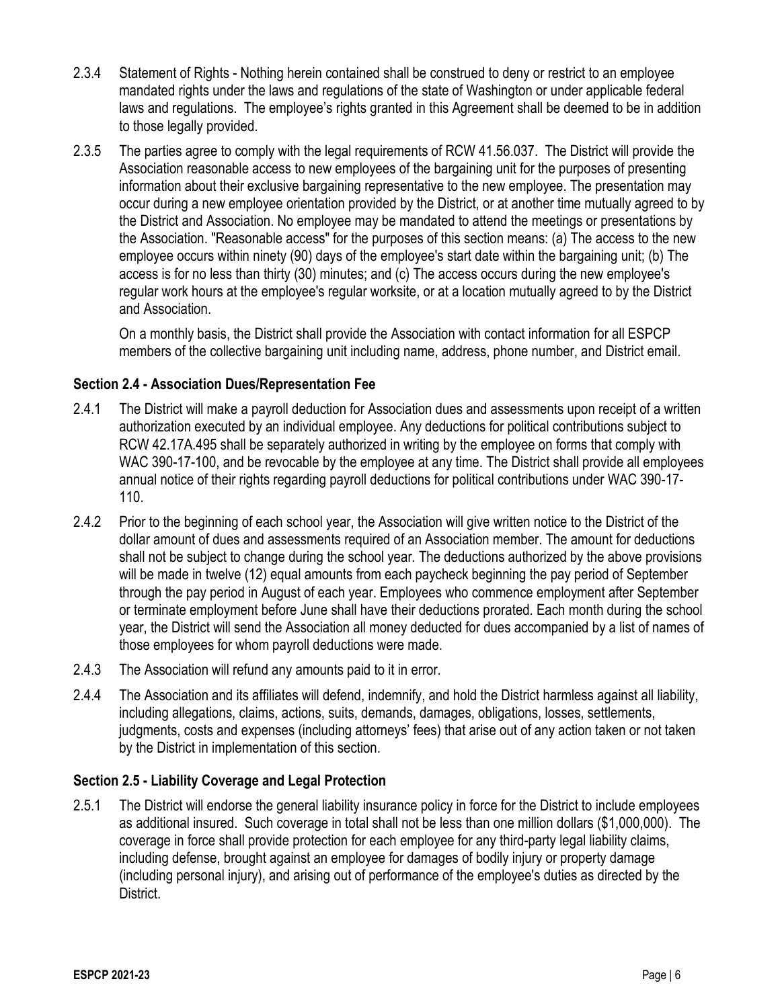- 2.3.4 Statement of Rights Nothing herein contained shall be construed to deny or restrict to an employee mandated rights under the laws and regulations of the state of Washington or under applicable federal laws and regulations. The employee's rights granted in this Agreement shall be deemed to be in addition to those legally provided.
- 2.3.5 The parties agree to comply with the legal requirements of RCW 41.56.037. The District will provide the Association reasonable access to new employees of the bargaining unit for the purposes of presenting information about their exclusive bargaining representative to the new employee. The presentation may occur during a new employee orientation provided by the District, or at another time mutually agreed to by the District and Association. No employee may be mandated to attend the meetings or presentations by the Association. "Reasonable access" for the purposes of this section means: (a) The access to the new employee occurs within ninety (90) days of the employee's start date within the bargaining unit; (b) The access is for no less than thirty (30) minutes; and (c) The access occurs during the new employee's regular work hours at the employee's regular worksite, or at a location mutually agreed to by the District and Association.

On a monthly basis, the District shall provide the Association with contact information for all ESPCP members of the collective bargaining unit including name, address, phone number, and District email.

## **Section 2.4 - Association Dues/Representation Fee**

- 2.4.1 The District will make a payroll deduction for Association dues and assessments upon receipt of a written authorization executed by an individual employee. Any deductions for political contributions subject to RCW 42.17A.495 shall be separately authorized in writing by the employee on forms that comply with WAC 390-17-100, and be revocable by the employee at any time. The District shall provide all employees annual notice of their rights regarding payroll deductions for political contributions under WAC 390-17- 110.
- 2.4.2 Prior to the beginning of each school year, the Association will give written notice to the District of the dollar amount of dues and assessments required of an Association member. The amount for deductions shall not be subject to change during the school year. The deductions authorized by the above provisions will be made in twelve (12) equal amounts from each paycheck beginning the pay period of September through the pay period in August of each year. Employees who commence employment after September or terminate employment before June shall have their deductions prorated. Each month during the school year, the District will send the Association all money deducted for dues accompanied by a list of names of those employees for whom payroll deductions were made.
- 2.4.3 The Association will refund any amounts paid to it in error.
- 2.4.4 The Association and its affiliates will defend, indemnify, and hold the District harmless against all liability, including allegations, claims, actions, suits, demands, damages, obligations, losses, settlements, judgments, costs and expenses (including attorneys' fees) that arise out of any action taken or not taken by the District in implementation of this section.

## **Section 2.5 - Liability Coverage and Legal Protection**

2.5.1 The District will endorse the general liability insurance policy in force for the District to include employees as additional insured. Such coverage in total shall not be less than one million dollars (\$1,000,000). The coverage in force shall provide protection for each employee for any third-party legal liability claims, including defense, brought against an employee for damages of bodily injury or property damage (including personal injury), and arising out of performance of the employee's duties as directed by the District.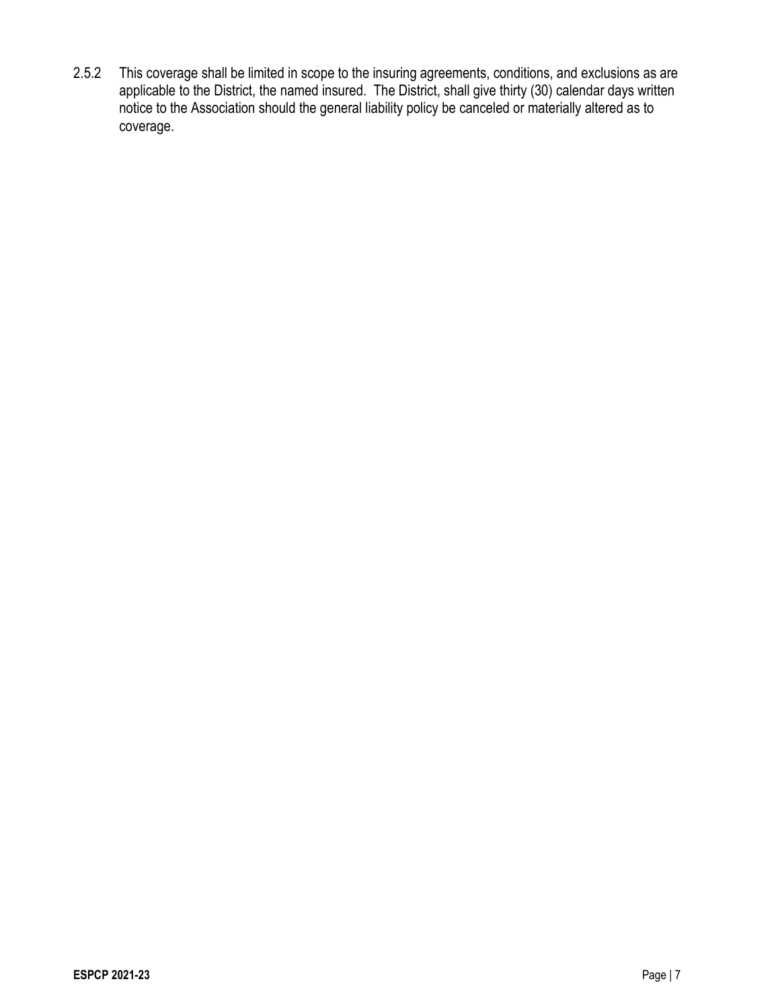2.5.2 This coverage shall be limited in scope to the insuring agreements, conditions, and exclusions as are applicable to the District, the named insured. The District, shall give thirty (30) calendar days written notice to the Association should the general liability policy be canceled or materially altered as to coverage.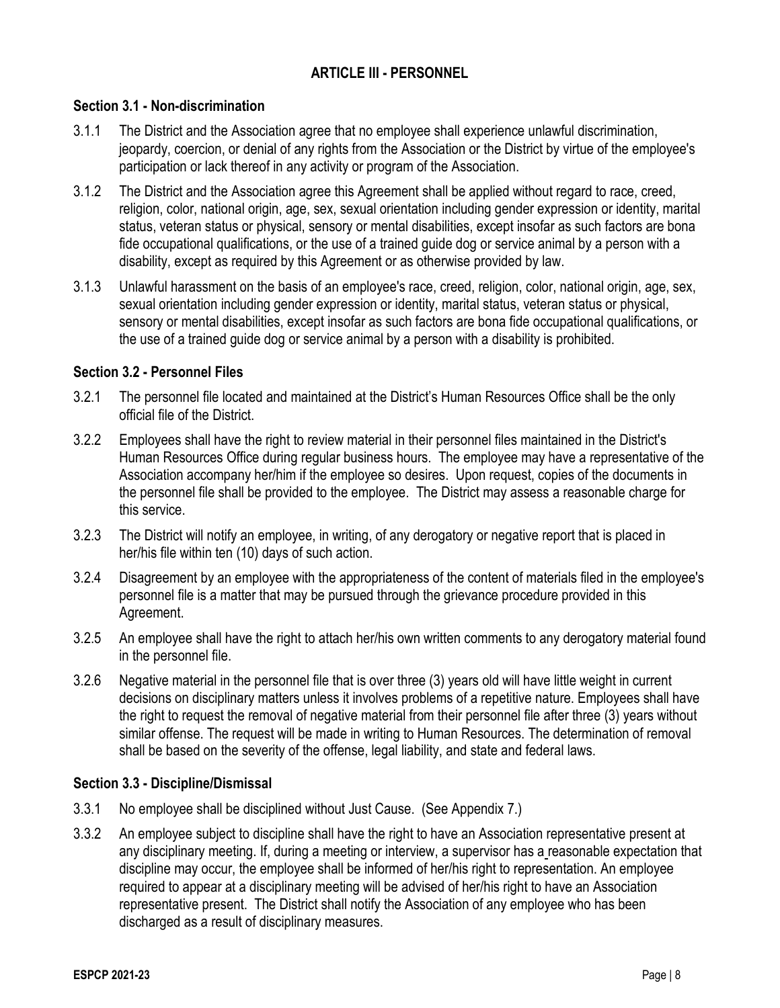## **ARTICLE III - PERSONNEL**

### **Section 3.1 - Non-discrimination**

- 3.1.1 The District and the Association agree that no employee shall experience unlawful discrimination, jeopardy, coercion, or denial of any rights from the Association or the District by virtue of the employee's participation or lack thereof in any activity or program of the Association.
- 3.1.2 The District and the Association agree this Agreement shall be applied without regard to race, creed, religion, color, national origin, age, sex, sexual orientation including gender expression or identity, marital status, veteran status or physical, sensory or mental disabilities, except insofar as such factors are bona fide occupational qualifications, or the use of a trained guide dog or service animal by a person with a disability, except as required by this Agreement or as otherwise provided by law.
- 3.1.3 Unlawful harassment on the basis of an employee's race, creed, religion, color, national origin, age, sex, sexual orientation including gender expression or identity, marital status, veteran status or physical, sensory or mental disabilities, except insofar as such factors are bona fide occupational qualifications, or the use of a trained guide dog or service animal by a person with a disability is prohibited.

### **Section 3.2 - Personnel Files**

- 3.2.1 The personnel file located and maintained at the District's Human Resources Office shall be the only official file of the District.
- 3.2.2 Employees shall have the right to review material in their personnel files maintained in the District's Human Resources Office during regular business hours. The employee may have a representative of the Association accompany her/him if the employee so desires. Upon request, copies of the documents in the personnel file shall be provided to the employee. The District may assess a reasonable charge for this service.
- 3.2.3 The District will notify an employee, in writing, of any derogatory or negative report that is placed in her/his file within ten (10) days of such action.
- 3.2.4 Disagreement by an employee with the appropriateness of the content of materials filed in the employee's personnel file is a matter that may be pursued through the grievance procedure provided in this Agreement.
- 3.2.5 An employee shall have the right to attach her/his own written comments to any derogatory material found in the personnel file.
- 3.2.6 Negative material in the personnel file that is over three (3) years old will have little weight in current decisions on disciplinary matters unless it involves problems of a repetitive nature. Employees shall have the right to request the removal of negative material from their personnel file after three (3) years without similar offense. The request will be made in writing to Human Resources. The determination of removal shall be based on the severity of the offense, legal liability, and state and federal laws.

#### **Section 3.3 - Discipline/Dismissal**

- 3.3.1 No employee shall be disciplined without Just Cause. (See Appendix 7.)
- 3.3.2 An employee subject to discipline shall have the right to have an Association representative present at any disciplinary meeting. If, during a meeting or interview, a supervisor has a reasonable expectation that discipline may occur, the employee shall be informed of her/his right to representation. An employee required to appear at a disciplinary meeting will be advised of her/his right to have an Association representative present. The District shall notify the Association of any employee who has been discharged as a result of disciplinary measures.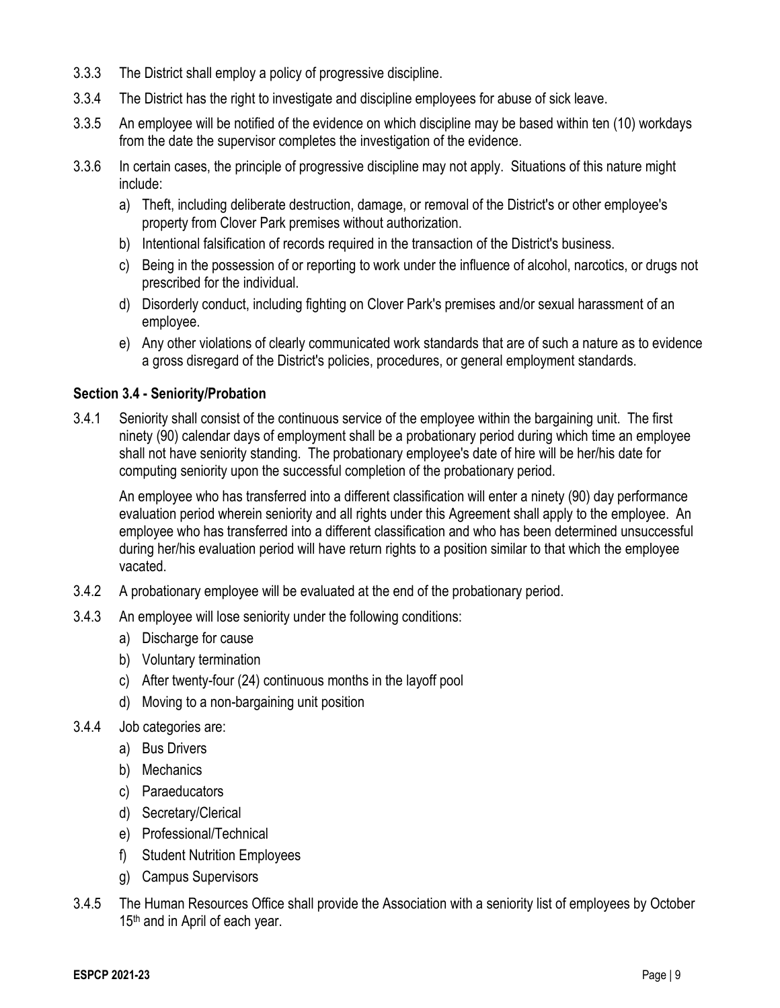- 3.3.3 The District shall employ a policy of progressive discipline.
- 3.3.4 The District has the right to investigate and discipline employees for abuse of sick leave.
- 3.3.5 An employee will be notified of the evidence on which discipline may be based within ten (10) workdays from the date the supervisor completes the investigation of the evidence.
- 3.3.6 In certain cases, the principle of progressive discipline may not apply. Situations of this nature might include:
	- a) Theft, including deliberate destruction, damage, or removal of the District's or other employee's property from Clover Park premises without authorization.
	- b) Intentional falsification of records required in the transaction of the District's business.
	- c) Being in the possession of or reporting to work under the influence of alcohol, narcotics, or drugs not prescribed for the individual.
	- d) Disorderly conduct, including fighting on Clover Park's premises and/or sexual harassment of an employee.
	- e) Any other violations of clearly communicated work standards that are of such a nature as to evidence a gross disregard of the District's policies, procedures, or general employment standards.

### **Section 3.4 - Seniority/Probation**

3.4.1 Seniority shall consist of the continuous service of the employee within the bargaining unit. The first ninety (90) calendar days of employment shall be a probationary period during which time an employee shall not have seniority standing. The probationary employee's date of hire will be her/his date for computing seniority upon the successful completion of the probationary period.

An employee who has transferred into a different classification will enter a ninety (90) day performance evaluation period wherein seniority and all rights under this Agreement shall apply to the employee. An employee who has transferred into a different classification and who has been determined unsuccessful during her/his evaluation period will have return rights to a position similar to that which the employee vacated.

- 3.4.2 A probationary employee will be evaluated at the end of the probationary period.
- 3.4.3 An employee will lose seniority under the following conditions:
	- a) Discharge for cause
	- b) Voluntary termination
	- c) After twenty-four (24) continuous months in the layoff pool
	- d) Moving to a non-bargaining unit position
- 3.4.4 Job categories are:
	- a) Bus Drivers
	- b) Mechanics
	- c) Paraeducators
	- d) Secretary/Clerical
	- e) Professional/Technical
	- f) Student Nutrition Employees
	- g) Campus Supervisors
- 3.4.5 The Human Resources Office shall provide the Association with a seniority list of employees by October 15<sup>th</sup> and in April of each year.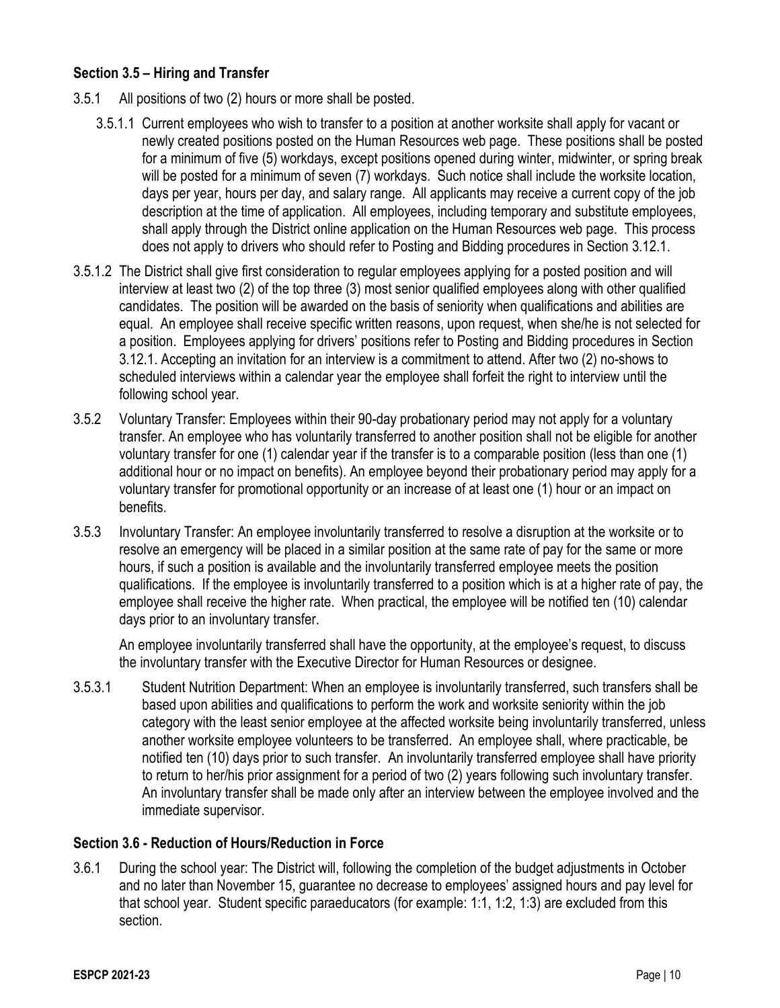### **Section 3.5 – Hiring and Transfer**

- 3.5.1 All positions of two (2) hours or more shall be posted.
	- 3.5.1.1 Current employees who wish to transfer to a position at another worksite shall apply for vacant or newly created positions posted on the Human Resources web page. These positions shall be posted for a minimum of five (5) workdays, except positions opened during winter, midwinter, or spring break will be posted for a minimum of seven (7) workdays. Such notice shall include the worksite location, days per year, hours per day, and salary range. All applicants may receive a current copy of the job description at the time of application. All employees, including temporary and substitute employees, shall apply through the District online application on the Human Resources web page. This process does not apply to drivers who should refer to Posting and Bidding procedures in Section 3.12.1.
- 3.5.1.2 The District shall give first consideration to regular employees applying for a posted position and will interview at least two (2) of the top three (3) most senior qualified employees along with other qualified candidates. The position will be awarded on the basis of seniority when qualifications and abilities are equal. An employee shall receive specific written reasons, upon request, when she/he is not selected for a position. Employees applying for drivers' positions refer to Posting and Bidding procedures in Section 3.12.1. Accepting an invitation for an interview is a commitment to attend. After two (2) no-shows to scheduled interviews within a calendar year the employee shall forfeit the right to interview until the following school year.
- 3.5.2 Voluntary Transfer: Employees within their 90-day probationary period may not apply for a voluntary transfer. An employee who has voluntarily transferred to another position shall not be eligible for another voluntary transfer for one (1) calendar year if the transfer is to a comparable position (less than one (1) additional hour or no impact on benefits). An employee beyond their probationary period may apply for a voluntary transfer for promotional opportunity or an increase of at least one (1) hour or an impact on benefits.
- 3.5.3 Involuntary Transfer: An employee involuntarily transferred to resolve a disruption at the worksite or to resolve an emergency will be placed in a similar position at the same rate of pay for the same or more hours, if such a position is available and the involuntarily transferred employee meets the position qualifications. If the employee is involuntarily transferred to a position which is at a higher rate of pay, the employee shall receive the higher rate. When practical, the employee will be notified ten (10) calendar days prior to an involuntary transfer.

An employee involuntarily transferred shall have the opportunity, at the employee's request, to discuss the involuntary transfer with the Executive Director for Human Resources or designee.

3.5.3.1 Student Nutrition Department: When an employee is involuntarily transferred, such transfers shall be based upon abilities and qualifications to perform the work and worksite seniority within the job category with the least senior employee at the affected worksite being involuntarily transferred, unless another worksite employee volunteers to be transferred. An employee shall, where practicable, be notified ten (10) days prior to such transfer. An involuntarily transferred employee shall have priority to return to her/his prior assignment for a period of two (2) years following such involuntary transfer. An involuntary transfer shall be made only after an interview between the employee involved and the immediate supervisor.

#### **Section 3.6 - Reduction of Hours/Reduction in Force**

3.6.1 During the school year: The District will, following the completion of the budget adjustments in October and no later than November 15, guarantee no decrease to employees' assigned hours and pay level for that school year. Student specific paraeducators (for example: 1:1, 1:2, 1:3) are excluded from this section.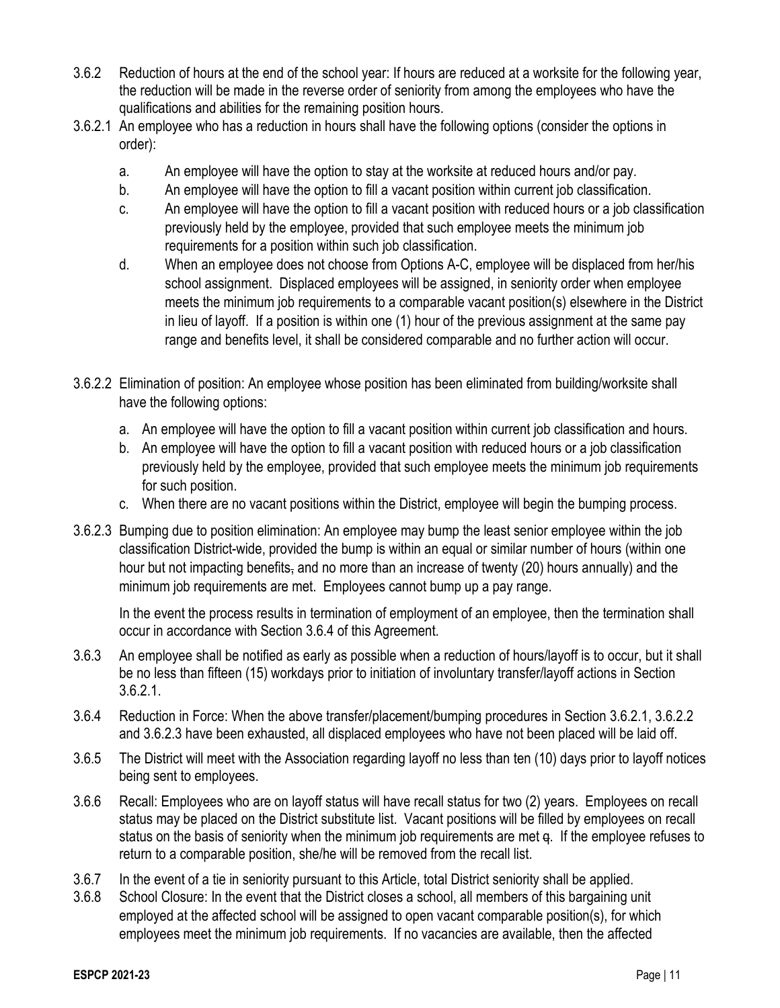- 3.6.2 Reduction of hours at the end of the school year: If hours are reduced at a worksite for the following year, the reduction will be made in the reverse order of seniority from among the employees who have the qualifications and abilities for the remaining position hours.
- 3.6.2.1 An employee who has a reduction in hours shall have the following options (consider the options in order):
	- a. An employee will have the option to stay at the worksite at reduced hours and/or pay.
	- b. An employee will have the option to fill a vacant position within current job classification.
	- c. An employee will have the option to fill a vacant position with reduced hours or a job classification previously held by the employee, provided that such employee meets the minimum job requirements for a position within such job classification.
	- d. When an employee does not choose from Options A-C, employee will be displaced from her/his school assignment. Displaced employees will be assigned, in seniority order when employee meets the minimum job requirements to a comparable vacant position(s) elsewhere in the District in lieu of layoff. If a position is within one (1) hour of the previous assignment at the same pay range and benefits level, it shall be considered comparable and no further action will occur.
- 3.6.2.2 Elimination of position: An employee whose position has been eliminated from building/worksite shall have the following options:
	- a. An employee will have the option to fill a vacant position within current job classification and hours.
	- b. An employee will have the option to fill a vacant position with reduced hours or a job classification previously held by the employee, provided that such employee meets the minimum job requirements for such position.
	- c. When there are no vacant positions within the District, employee will begin the bumping process.
- 3.6.2.3 Bumping due to position elimination: An employee may bump the least senior employee within the job classification District-wide, provided the bump is within an equal or similar number of hours (within one hour but not impacting benefits, and no more than an increase of twenty (20) hours annually) and the minimum job requirements are met. Employees cannot bump up a pay range.

In the event the process results in termination of employment of an employee, then the termination shall occur in accordance with Section 3.6.4 of this Agreement.

- 3.6.3 An employee shall be notified as early as possible when a reduction of hours/layoff is to occur, but it shall be no less than fifteen (15) workdays prior to initiation of involuntary transfer/layoff actions in Section 3.6.2.1.
- 3.6.4 Reduction in Force: When the above transfer/placement/bumping procedures in Section 3.6.2.1, 3.6.2.2 and 3.6.2.3 have been exhausted, all displaced employees who have not been placed will be laid off.
- 3.6.5 The District will meet with the Association regarding layoff no less than ten (10) days prior to layoff notices being sent to employees.
- 3.6.6 Recall: Employees who are on layoff status will have recall status for two (2) years. Employees on recall status may be placed on the District substitute list. Vacant positions will be filled by employees on recall status on the basis of seniority when the minimum job requirements are met q. If the employee refuses to return to a comparable position, she/he will be removed from the recall list.
- 3.6.7 In the event of a tie in seniority pursuant to this Article, total District seniority shall be applied.
- 3.6.8 School Closure: In the event that the District closes a school, all members of this bargaining unit employed at the affected school will be assigned to open vacant comparable position(s), for which employees meet the minimum job requirements. If no vacancies are available, then the affected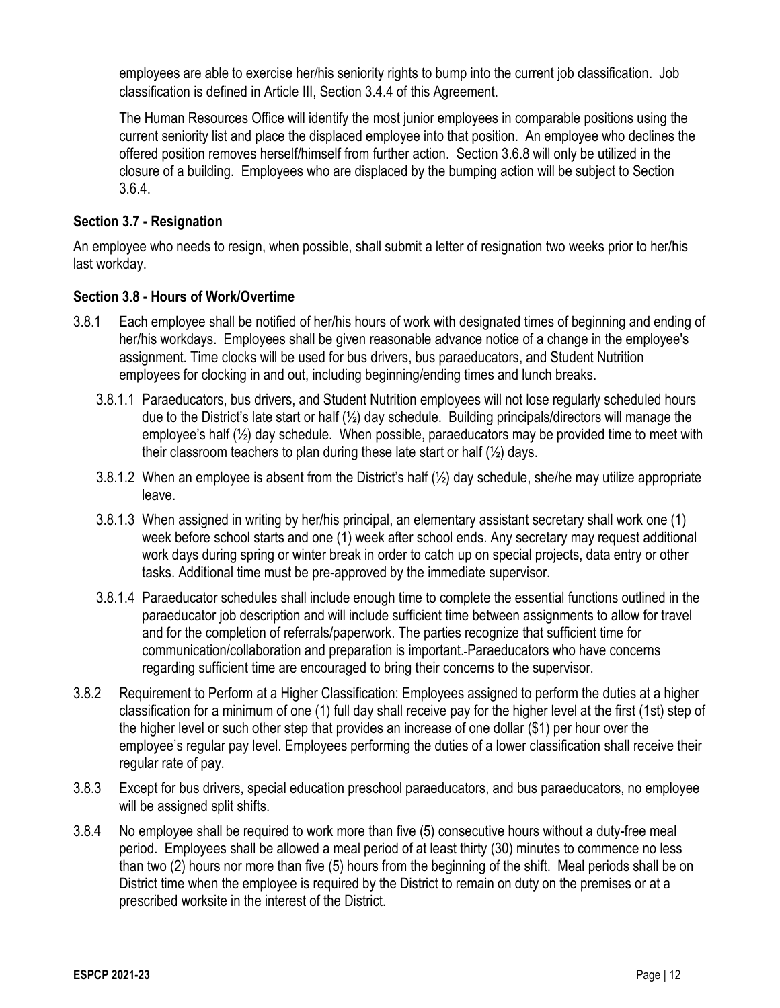employees are able to exercise her/his seniority rights to bump into the current job classification. Job classification is defined in Article III, Section 3.4.4 of this Agreement.

The Human Resources Office will identify the most junior employees in comparable positions using the current seniority list and place the displaced employee into that position. An employee who declines the offered position removes herself/himself from further action. Section 3.6.8 will only be utilized in the closure of a building. Employees who are displaced by the bumping action will be subject to Section 3.6.4.

## **Section 3.7 - Resignation**

An employee who needs to resign, when possible, shall submit a letter of resignation two weeks prior to her/his last workday.

#### **Section 3.8 - Hours of Work/Overtime**

- 3.8.1 Each employee shall be notified of her/his hours of work with designated times of beginning and ending of her/his workdays. Employees shall be given reasonable advance notice of a change in the employee's assignment. Time clocks will be used for bus drivers, bus paraeducators, and Student Nutrition employees for clocking in and out, including beginning/ending times and lunch breaks.
	- 3.8.1.1 Paraeducators, bus drivers, and Student Nutrition employees will not lose regularly scheduled hours due to the District's late start or half  $(\frac{1}{2})$  day schedule. Building principals/directors will manage the employee's half (½) day schedule. When possible, paraeducators may be provided time to meet with their classroom teachers to plan during these late start or half  $(\frac{1}{2})$  days.
	- 3.8.1.2 When an employee is absent from the District's half (½) day schedule, she/he may utilize appropriate leave.
	- 3.8.1.3 When assigned in writing by her/his principal, an elementary assistant secretary shall work one (1) week before school starts and one (1) week after school ends. Any secretary may request additional work days during spring or winter break in order to catch up on special projects, data entry or other tasks. Additional time must be pre-approved by the immediate supervisor.
	- 3.8.1.4 Paraeducator schedules shall include enough time to complete the essential functions outlined in the paraeducator job description and will include sufficient time between assignments to allow for travel and for the completion of referrals/paperwork. The parties recognize that sufficient time for communication/collaboration and preparation is important. Paraeducators who have concerns regarding sufficient time are encouraged to bring their concerns to the supervisor.
- 3.8.2 Requirement to Perform at a Higher Classification: Employees assigned to perform the duties at a higher classification for a minimum of one (1) full day shall receive pay for the higher level at the first (1st) step of the higher level or such other step that provides an increase of one dollar (\$1) per hour over the employee's regular pay level. Employees performing the duties of a lower classification shall receive their regular rate of pay.
- 3.8.3 Except for bus drivers, special education preschool paraeducators, and bus paraeducators, no employee will be assigned split shifts.
- 3.8.4 No employee shall be required to work more than five (5) consecutive hours without a duty-free meal period. Employees shall be allowed a meal period of at least thirty (30) minutes to commence no less than two (2) hours nor more than five (5) hours from the beginning of the shift. Meal periods shall be on District time when the employee is required by the District to remain on duty on the premises or at a prescribed worksite in the interest of the District.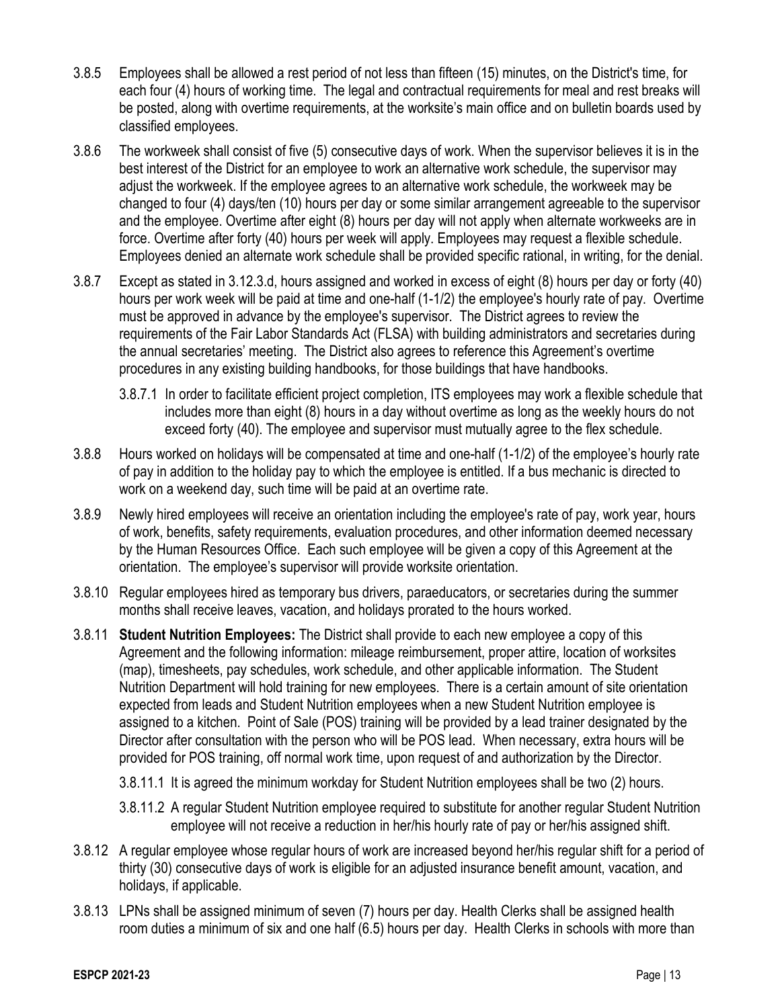- 3.8.5 Employees shall be allowed a rest period of not less than fifteen (15) minutes, on the District's time, for each four (4) hours of working time. The legal and contractual requirements for meal and rest breaks will be posted, along with overtime requirements, at the worksite's main office and on bulletin boards used by classified employees.
- 3.8.6 The workweek shall consist of five (5) consecutive days of work. When the supervisor believes it is in the best interest of the District for an employee to work an alternative work schedule, the supervisor may adjust the workweek. If the employee agrees to an alternative work schedule, the workweek may be changed to four (4) days/ten (10) hours per day or some similar arrangement agreeable to the supervisor and the employee. Overtime after eight (8) hours per day will not apply when alternate workweeks are in force. Overtime after forty (40) hours per week will apply. Employees may request a flexible schedule. Employees denied an alternate work schedule shall be provided specific rational, in writing, for the denial.
- 3.8.7 Except as stated in 3.12.3.d, hours assigned and worked in excess of eight (8) hours per day or forty (40) hours per work week will be paid at time and one-half (1-1/2) the employee's hourly rate of pay. Overtime must be approved in advance by the employee's supervisor. The District agrees to review the requirements of the Fair Labor Standards Act (FLSA) with building administrators and secretaries during the annual secretaries' meeting. The District also agrees to reference this Agreement's overtime procedures in any existing building handbooks, for those buildings that have handbooks.
	- 3.8.7.1 In order to facilitate efficient project completion, ITS employees may work a flexible schedule that includes more than eight (8) hours in a day without overtime as long as the weekly hours do not exceed forty (40). The employee and supervisor must mutually agree to the flex schedule.
- 3.8.8 Hours worked on holidays will be compensated at time and one-half (1-1/2) of the employee's hourly rate of pay in addition to the holiday pay to which the employee is entitled. If a bus mechanic is directed to work on a weekend day, such time will be paid at an overtime rate.
- 3.8.9 Newly hired employees will receive an orientation including the employee's rate of pay, work year, hours of work, benefits, safety requirements, evaluation procedures, and other information deemed necessary by the Human Resources Office. Each such employee will be given a copy of this Agreement at the orientation. The employee's supervisor will provide worksite orientation.
- 3.8.10 Regular employees hired as temporary bus drivers, paraeducators, or secretaries during the summer months shall receive leaves, vacation, and holidays prorated to the hours worked.
- 3.8.11 **Student Nutrition Employees:** The District shall provide to each new employee a copy of this Agreement and the following information: mileage reimbursement, proper attire, location of worksites (map), timesheets, pay schedules, work schedule, and other applicable information. The Student Nutrition Department will hold training for new employees. There is a certain amount of site orientation expected from leads and Student Nutrition employees when a new Student Nutrition employee is assigned to a kitchen. Point of Sale (POS) training will be provided by a lead trainer designated by the Director after consultation with the person who will be POS lead. When necessary, extra hours will be provided for POS training, off normal work time, upon request of and authorization by the Director.
	- 3.8.11.1 It is agreed the minimum workday for Student Nutrition employees shall be two (2) hours.
	- 3.8.11.2 A regular Student Nutrition employee required to substitute for another regular Student Nutrition employee will not receive a reduction in her/his hourly rate of pay or her/his assigned shift.
- 3.8.12 A regular employee whose regular hours of work are increased beyond her/his regular shift for a period of thirty (30) consecutive days of work is eligible for an adjusted insurance benefit amount, vacation, and holidays, if applicable.
- 3.8.13 LPNs shall be assigned minimum of seven (7) hours per day. Health Clerks shall be assigned health room duties a minimum of six and one half (6.5) hours per day. Health Clerks in schools with more than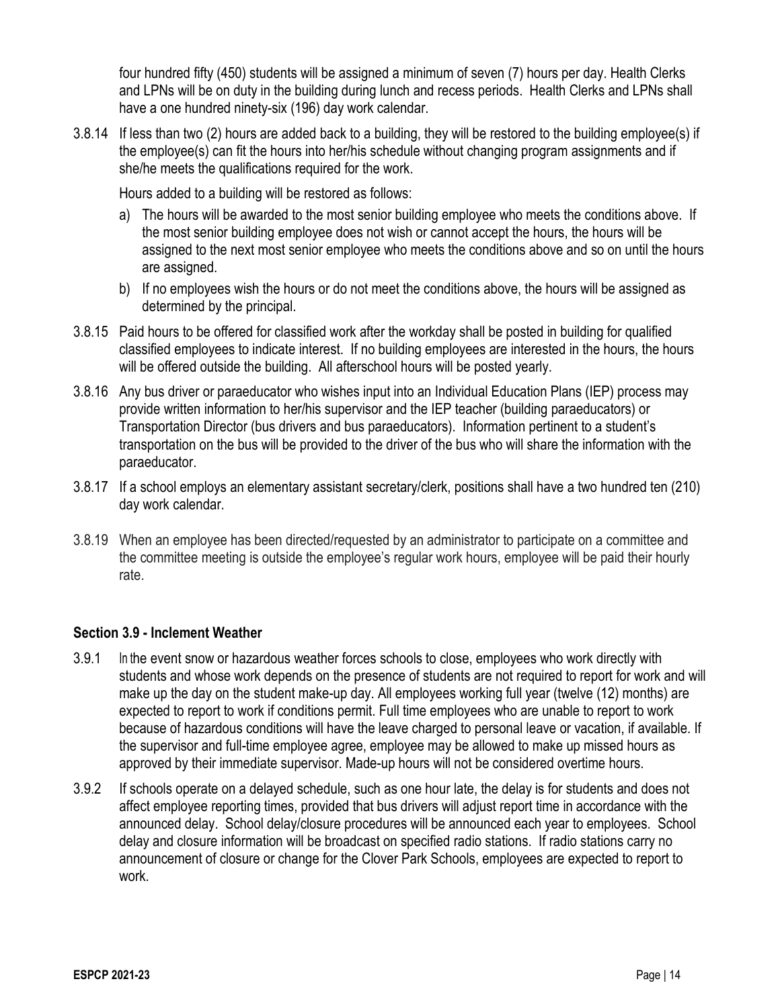four hundred fifty (450) students will be assigned a minimum of seven (7) hours per day. Health Clerks and LPNs will be on duty in the building during lunch and recess periods. Health Clerks and LPNs shall have a one hundred ninety-six (196) day work calendar.

3.8.14 If less than two (2) hours are added back to a building, they will be restored to the building employee(s) if the employee(s) can fit the hours into her/his schedule without changing program assignments and if she/he meets the qualifications required for the work.

Hours added to a building will be restored as follows:

- a) The hours will be awarded to the most senior building employee who meets the conditions above. If the most senior building employee does not wish or cannot accept the hours, the hours will be assigned to the next most senior employee who meets the conditions above and so on until the hours are assigned.
- b) If no employees wish the hours or do not meet the conditions above, the hours will be assigned as determined by the principal.
- 3.8.15 Paid hours to be offered for classified work after the workday shall be posted in building for qualified classified employees to indicate interest. If no building employees are interested in the hours, the hours will be offered outside the building. All afterschool hours will be posted yearly.
- 3.8.16 Any bus driver or paraeducator who wishes input into an Individual Education Plans (IEP) process may provide written information to her/his supervisor and the IEP teacher (building paraeducators) or Transportation Director (bus drivers and bus paraeducators). Information pertinent to a student's transportation on the bus will be provided to the driver of the bus who will share the information with the paraeducator.
- 3.8.17 If a school employs an elementary assistant secretary/clerk, positions shall have a two hundred ten (210) day work calendar.
- 3.8.19 When an employee has been directed/requested by an administrator to participate on a committee and the committee meeting is outside the employee's regular work hours, employee will be paid their hourly rate.

#### **Section 3.9 - Inclement Weather**

- 3.9.1 In the event snow or hazardous weather forces schools to close, employees who work directly with students and whose work depends on the presence of students are not required to report for work and will make up the day on the student make-up day. All employees working full year (twelve (12) months) are expected to report to work if conditions permit. Full time employees who are unable to report to work because of hazardous conditions will have the leave charged to personal leave or vacation, if available. If the supervisor and full-time employee agree, employee may be allowed to make up missed hours as approved by their immediate supervisor. Made-up hours will not be considered overtime hours.
- 3.9.2 If schools operate on a delayed schedule, such as one hour late, the delay is for students and does not affect employee reporting times, provided that bus drivers will adjust report time in accordance with the announced delay. School delay/closure procedures will be announced each year to employees. School delay and closure information will be broadcast on specified radio stations. If radio stations carry no announcement of closure or change for the Clover Park Schools, employees are expected to report to work.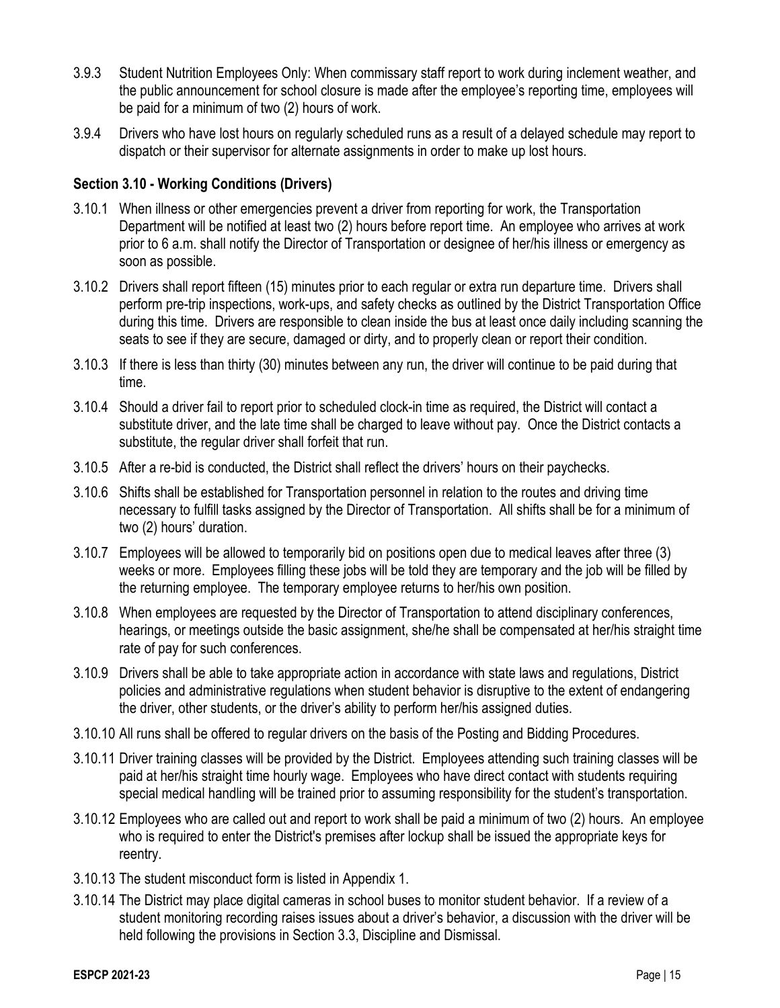- 3.9.3 Student Nutrition Employees Only: When commissary staff report to work during inclement weather, and the public announcement for school closure is made after the employee's reporting time, employees will be paid for a minimum of two (2) hours of work.
- 3.9.4 Drivers who have lost hours on regularly scheduled runs as a result of a delayed schedule may report to dispatch or their supervisor for alternate assignments in order to make up lost hours.

## **Section 3.10 - Working Conditions (Drivers)**

- 3.10.1 When illness or other emergencies prevent a driver from reporting for work, the Transportation Department will be notified at least two (2) hours before report time. An employee who arrives at work prior to 6 a.m. shall notify the Director of Transportation or designee of her/his illness or emergency as soon as possible.
- 3.10.2 Drivers shall report fifteen (15) minutes prior to each regular or extra run departure time. Drivers shall perform pre-trip inspections, work-ups, and safety checks as outlined by the District Transportation Office during this time. Drivers are responsible to clean inside the bus at least once daily including scanning the seats to see if they are secure, damaged or dirty, and to properly clean or report their condition.
- 3.10.3 If there is less than thirty (30) minutes between any run, the driver will continue to be paid during that time.
- 3.10.4 Should a driver fail to report prior to scheduled clock-in time as required, the District will contact a substitute driver, and the late time shall be charged to leave without pay. Once the District contacts a substitute, the regular driver shall forfeit that run.
- 3.10.5 After a re-bid is conducted, the District shall reflect the drivers' hours on their paychecks.
- 3.10.6 Shifts shall be established for Transportation personnel in relation to the routes and driving time necessary to fulfill tasks assigned by the Director of Transportation. All shifts shall be for a minimum of two (2) hours' duration.
- 3.10.7 Employees will be allowed to temporarily bid on positions open due to medical leaves after three (3) weeks or more. Employees filling these jobs will be told they are temporary and the job will be filled by the returning employee. The temporary employee returns to her/his own position.
- 3.10.8 When employees are requested by the Director of Transportation to attend disciplinary conferences, hearings, or meetings outside the basic assignment, she/he shall be compensated at her/his straight time rate of pay for such conferences.
- 3.10.9 Drivers shall be able to take appropriate action in accordance with state laws and regulations, District policies and administrative regulations when student behavior is disruptive to the extent of endangering the driver, other students, or the driver's ability to perform her/his assigned duties.
- 3.10.10 All runs shall be offered to regular drivers on the basis of the Posting and Bidding Procedures.
- 3.10.11 Driver training classes will be provided by the District. Employees attending such training classes will be paid at her/his straight time hourly wage. Employees who have direct contact with students requiring special medical handling will be trained prior to assuming responsibility for the student's transportation.
- 3.10.12 Employees who are called out and report to work shall be paid a minimum of two (2) hours. An employee who is required to enter the District's premises after lockup shall be issued the appropriate keys for reentry.
- 3.10.13 The student misconduct form is listed in Appendix 1.
- 3.10.14 The District may place digital cameras in school buses to monitor student behavior. If a review of a student monitoring recording raises issues about a driver's behavior, a discussion with the driver will be held following the provisions in Section 3.3, Discipline and Dismissal.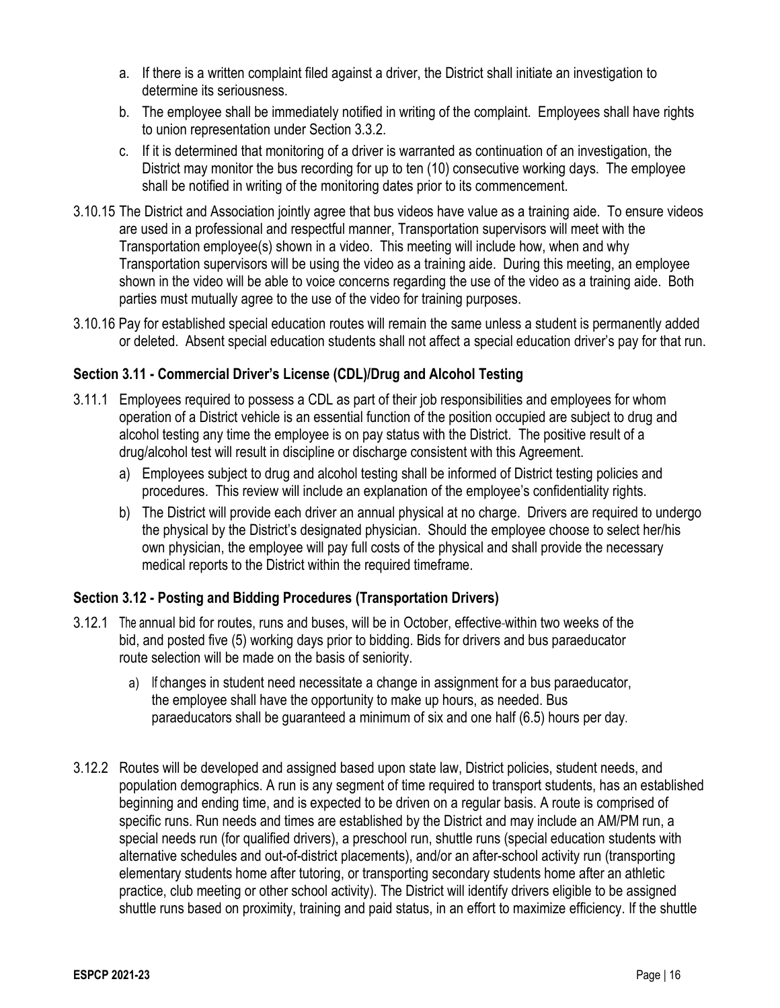- a. If there is a written complaint filed against a driver, the District shall initiate an investigation to determine its seriousness.
- b. The employee shall be immediately notified in writing of the complaint. Employees shall have rights to union representation under Section 3.3.2.
- c. If it is determined that monitoring of a driver is warranted as continuation of an investigation, the District may monitor the bus recording for up to ten (10) consecutive working days. The employee shall be notified in writing of the monitoring dates prior to its commencement.
- 3.10.15 The District and Association jointly agree that bus videos have value as a training aide. To ensure videos are used in a professional and respectful manner, Transportation supervisors will meet with the Transportation employee(s) shown in a video. This meeting will include how, when and why Transportation supervisors will be using the video as a training aide. During this meeting, an employee shown in the video will be able to voice concerns regarding the use of the video as a training aide. Both parties must mutually agree to the use of the video for training purposes.
- 3.10.16 Pay for established special education routes will remain the same unless a student is permanently added or deleted. Absent special education students shall not affect a special education driver's pay for that run.

## **Section 3.11 - Commercial Driver's License (CDL)/Drug and Alcohol Testing**

- 3.11.1 Employees required to possess a CDL as part of their job responsibilities and employees for whom operation of a District vehicle is an essential function of the position occupied are subject to drug and alcohol testing any time the employee is on pay status with the District. The positive result of a drug/alcohol test will result in discipline or discharge consistent with this Agreement.
	- a) Employees subject to drug and alcohol testing shall be informed of District testing policies and procedures. This review will include an explanation of the employee's confidentiality rights.
	- b) The District will provide each driver an annual physical at no charge. Drivers are required to undergo the physical by the District's designated physician. Should the employee choose to select her/his own physician, the employee will pay full costs of the physical and shall provide the necessary medical reports to the District within the required timeframe.

## **Section 3.12 - Posting and Bidding Procedures (Transportation Drivers)**

- 3.12.1 The annual bid for routes, runs and buses, will be in October, effective within two weeks of the bid, and posted five (5) working days prior to bidding. Bids for drivers and bus paraeducator route selection will be made on the basis of seniority.
	- a) If changes in student need necessitate a change in assignment for a bus paraeducator, the employee shall have the opportunity to make up hours, as needed. Bus paraeducators shall be guaranteed a minimum of six and one half (6.5) hours per day.
- 3.12.2 Routes will be developed and assigned based upon state law, District policies, student needs, and population demographics. A run is any segment of time required to transport students, has an established beginning and ending time, and is expected to be driven on a regular basis. A route is comprised of specific runs. Run needs and times are established by the District and may include an AM/PM run, a special needs run (for qualified drivers), a preschool run, shuttle runs (special education students with alternative schedules and out-of-district placements), and/or an after-school activity run (transporting elementary students home after tutoring, or transporting secondary students home after an athletic practice, club meeting or other school activity). The District will identify drivers eligible to be assigned shuttle runs based on proximity, training and paid status, in an effort to maximize efficiency. If the shuttle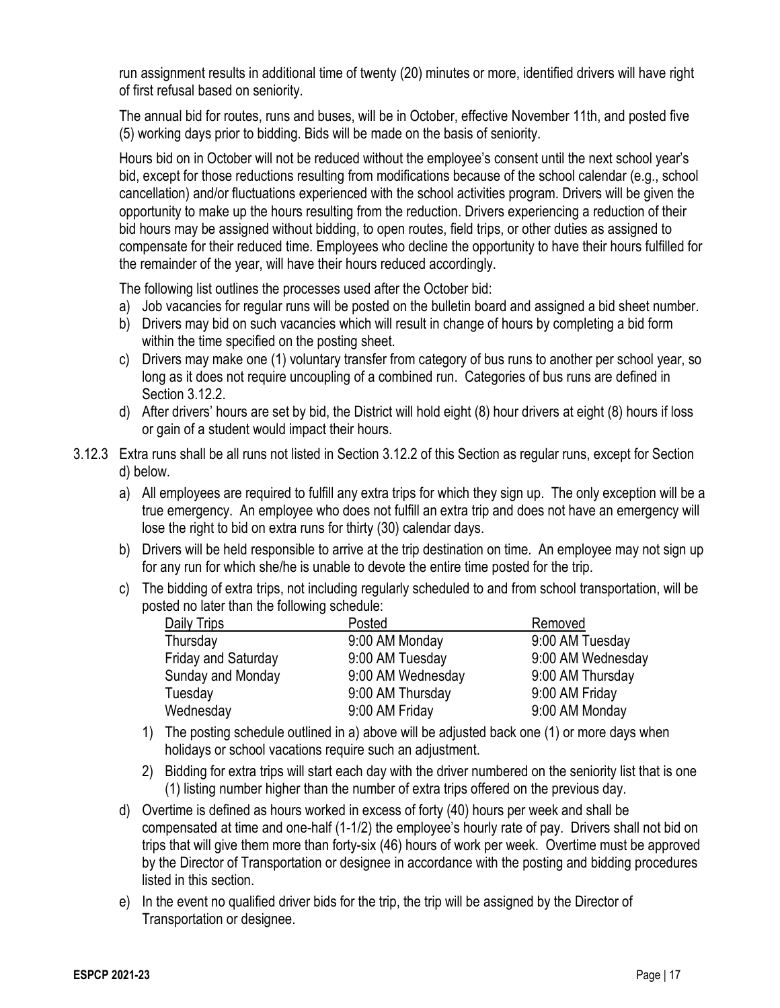run assignment results in additional time of twenty (20) minutes or more, identified drivers will have right of first refusal based on seniority.

The annual bid for routes, runs and buses, will be in October, effective November 11th, and posted five (5) working days prior to bidding. Bids will be made on the basis of seniority.

Hours bid on in October will not be reduced without the employee's consent until the next school year's bid, except for those reductions resulting from modifications because of the school calendar (e.g., school cancellation) and/or fluctuations experienced with the school activities program. Drivers will be given the opportunity to make up the hours resulting from the reduction. Drivers experiencing a reduction of their bid hours may be assigned without bidding, to open routes, field trips, or other duties as assigned to compensate for their reduced time. Employees who decline the opportunity to have their hours fulfilled for the remainder of the year, will have their hours reduced accordingly.

The following list outlines the processes used after the October bid:

- a) Job vacancies for regular runs will be posted on the bulletin board and assigned a bid sheet number.
- b) Drivers may bid on such vacancies which will result in change of hours by completing a bid form within the time specified on the posting sheet.
- c) Drivers may make one (1) voluntary transfer from category of bus runs to another per school year, so long as it does not require uncoupling of a combined run. Categories of bus runs are defined in Section 3.12.2.
- d) After drivers' hours are set by bid, the District will hold eight (8) hour drivers at eight (8) hours if loss or gain of a student would impact their hours.
- 3.12.3 Extra runs shall be all runs not listed in Section 3.12.2 of this Section as regular runs, except for Section d) below.
	- a) All employees are required to fulfill any extra trips for which they sign up. The only exception will be a true emergency. An employee who does not fulfill an extra trip and does not have an emergency will lose the right to bid on extra runs for thirty (30) calendar days.
	- b) Drivers will be held responsible to arrive at the trip destination on time. An employee may not sign up for any run for which she/he is unable to devote the entire time posted for the trip.
	- c) The bidding of extra trips, not including regularly scheduled to and from school transportation, will be posted no later than the following schedule:

| Daily Trips                | Posted            | Removed           |
|----------------------------|-------------------|-------------------|
| Thursday                   | 9:00 AM Monday    | 9:00 AM Tuesday   |
| <b>Friday and Saturday</b> | 9:00 AM Tuesday   | 9:00 AM Wednesday |
| Sunday and Monday          | 9:00 AM Wednesday | 9:00 AM Thursday  |
| Tuesday                    | 9:00 AM Thursday  | 9:00 AM Friday    |
| Wednesday                  | 9:00 AM Friday    | 9:00 AM Monday    |

- 1) The posting schedule outlined in a) above will be adjusted back one (1) or more days when holidays or school vacations require such an adjustment.
- 2) Bidding for extra trips will start each day with the driver numbered on the seniority list that is one (1) listing number higher than the number of extra trips offered on the previous day.
- d) Overtime is defined as hours worked in excess of forty (40) hours per week and shall be compensated at time and one-half (1-1/2) the employee's hourly rate of pay. Drivers shall not bid on trips that will give them more than forty-six (46) hours of work per week. Overtime must be approved by the Director of Transportation or designee in accordance with the posting and bidding procedures listed in this section.
- e) In the event no qualified driver bids for the trip, the trip will be assigned by the Director of Transportation or designee.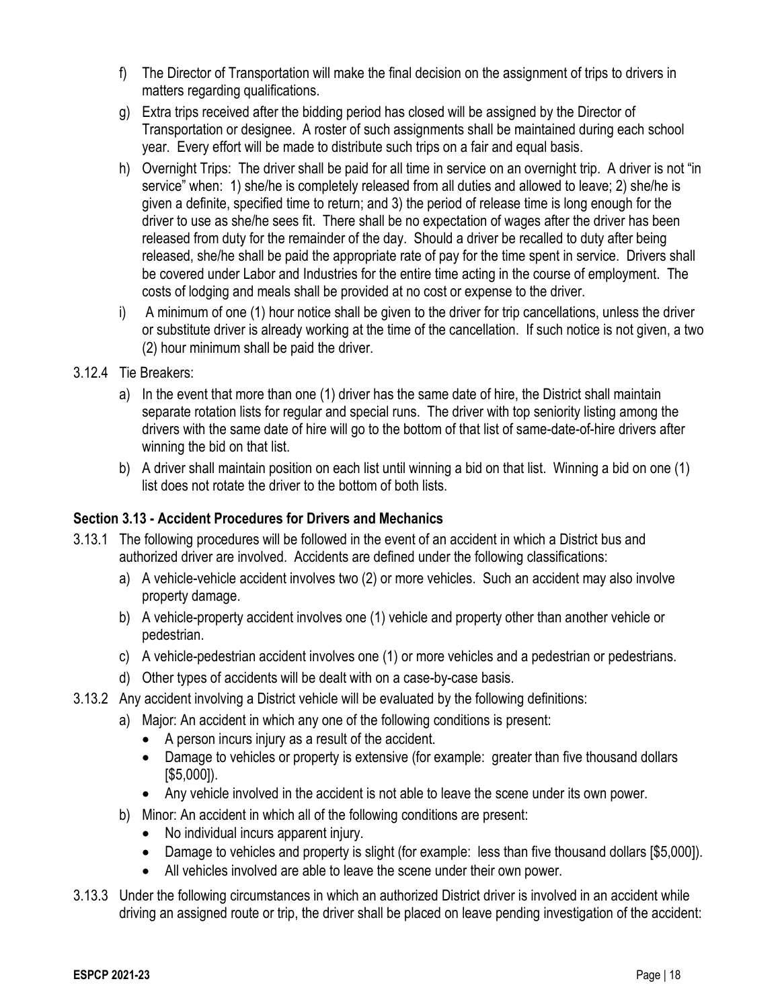- f) The Director of Transportation will make the final decision on the assignment of trips to drivers in matters regarding qualifications.
- g) Extra trips received after the bidding period has closed will be assigned by the Director of Transportation or designee. A roster of such assignments shall be maintained during each school year. Every effort will be made to distribute such trips on a fair and equal basis.
- h) Overnight Trips: The driver shall be paid for all time in service on an overnight trip. A driver is not "in service" when: 1) she/he is completely released from all duties and allowed to leave; 2) she/he is given a definite, specified time to return; and 3) the period of release time is long enough for the driver to use as she/he sees fit. There shall be no expectation of wages after the driver has been released from duty for the remainder of the day. Should a driver be recalled to duty after being released, she/he shall be paid the appropriate rate of pay for the time spent in service. Drivers shall be covered under Labor and Industries for the entire time acting in the course of employment. The costs of lodging and meals shall be provided at no cost or expense to the driver.
- i) A minimum of one (1) hour notice shall be given to the driver for trip cancellations, unless the driver or substitute driver is already working at the time of the cancellation. If such notice is not given, a two (2) hour minimum shall be paid the driver.

## 3.12.4 Tie Breakers:

- a) In the event that more than one (1) driver has the same date of hire, the District shall maintain separate rotation lists for regular and special runs. The driver with top seniority listing among the drivers with the same date of hire will go to the bottom of that list of same-date-of-hire drivers after winning the bid on that list.
- b) A driver shall maintain position on each list until winning a bid on that list. Winning a bid on one (1) list does not rotate the driver to the bottom of both lists.

## **Section 3.13 - Accident Procedures for Drivers and Mechanics**

- 3.13.1 The following procedures will be followed in the event of an accident in which a District bus and authorized driver are involved. Accidents are defined under the following classifications:
	- a) A vehicle-vehicle accident involves two (2) or more vehicles. Such an accident may also involve property damage.
	- b) A vehicle-property accident involves one (1) vehicle and property other than another vehicle or pedestrian.
	- c) A vehicle-pedestrian accident involves one (1) or more vehicles and a pedestrian or pedestrians.
	- d) Other types of accidents will be dealt with on a case-by-case basis.
- 3.13.2 Any accident involving a District vehicle will be evaluated by the following definitions:
	- a) Major: An accident in which any one of the following conditions is present:
		- A person incurs injury as a result of the accident.
		- Damage to vehicles or property is extensive (for example: greater than five thousand dollars [\$5,000]).
		- Any vehicle involved in the accident is not able to leave the scene under its own power.
	- b) Minor: An accident in which all of the following conditions are present:
		- No individual incurs apparent injury.
		- Damage to vehicles and property is slight (for example: less than five thousand dollars [\$5,000]).
		- All vehicles involved are able to leave the scene under their own power.
- 3.13.3 Under the following circumstances in which an authorized District driver is involved in an accident while driving an assigned route or trip, the driver shall be placed on leave pending investigation of the accident: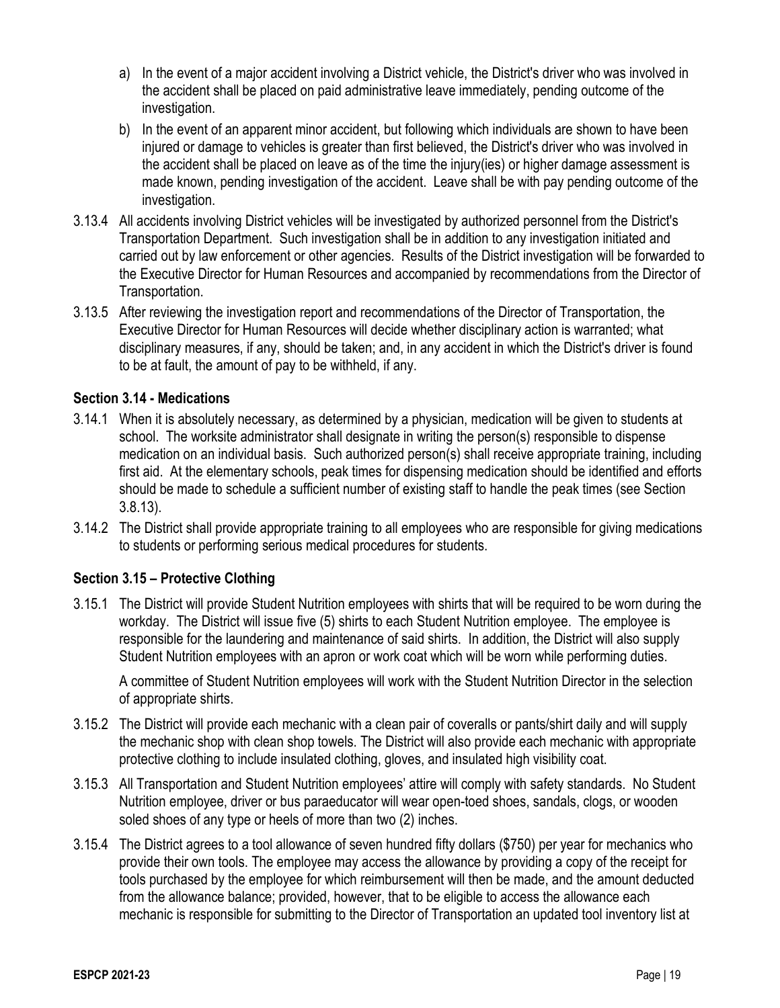- a) In the event of a major accident involving a District vehicle, the District's driver who was involved in the accident shall be placed on paid administrative leave immediately, pending outcome of the investigation.
- b) In the event of an apparent minor accident, but following which individuals are shown to have been injured or damage to vehicles is greater than first believed, the District's driver who was involved in the accident shall be placed on leave as of the time the injury(ies) or higher damage assessment is made known, pending investigation of the accident. Leave shall be with pay pending outcome of the investigation.
- 3.13.4 All accidents involving District vehicles will be investigated by authorized personnel from the District's Transportation Department. Such investigation shall be in addition to any investigation initiated and carried out by law enforcement or other agencies. Results of the District investigation will be forwarded to the Executive Director for Human Resources and accompanied by recommendations from the Director of Transportation.
- 3.13.5 After reviewing the investigation report and recommendations of the Director of Transportation, the Executive Director for Human Resources will decide whether disciplinary action is warranted; what disciplinary measures, if any, should be taken; and, in any accident in which the District's driver is found to be at fault, the amount of pay to be withheld, if any.

## **Section 3.14 - Medications**

- 3.14.1 When it is absolutely necessary, as determined by a physician, medication will be given to students at school. The worksite administrator shall designate in writing the person(s) responsible to dispense medication on an individual basis. Such authorized person(s) shall receive appropriate training, including first aid. At the elementary schools, peak times for dispensing medication should be identified and efforts should be made to schedule a sufficient number of existing staff to handle the peak times (see Section 3.8.13).
- 3.14.2 The District shall provide appropriate training to all employees who are responsible for giving medications to students or performing serious medical procedures for students.

## **Section 3.15 – Protective Clothing**

3.15.1 The District will provide Student Nutrition employees with shirts that will be required to be worn during the workday. The District will issue five (5) shirts to each Student Nutrition employee. The employee is responsible for the laundering and maintenance of said shirts. In addition, the District will also supply Student Nutrition employees with an apron or work coat which will be worn while performing duties.

A committee of Student Nutrition employees will work with the Student Nutrition Director in the selection of appropriate shirts.

- 3.15.2 The District will provide each mechanic with a clean pair of coveralls or pants/shirt daily and will supply the mechanic shop with clean shop towels. The District will also provide each mechanic with appropriate protective clothing to include insulated clothing, gloves, and insulated high visibility coat.
- 3.15.3 All Transportation and Student Nutrition employees' attire will comply with safety standards. No Student Nutrition employee, driver or bus paraeducator will wear open-toed shoes, sandals, clogs, or wooden soled shoes of any type or heels of more than two (2) inches.
- 3.15.4 The District agrees to a tool allowance of seven hundred fifty dollars (\$750) per year for mechanics who provide their own tools. The employee may access the allowance by providing a copy of the receipt for tools purchased by the employee for which reimbursement will then be made, and the amount deducted from the allowance balance; provided, however, that to be eligible to access the allowance each mechanic is responsible for submitting to the Director of Transportation an updated tool inventory list at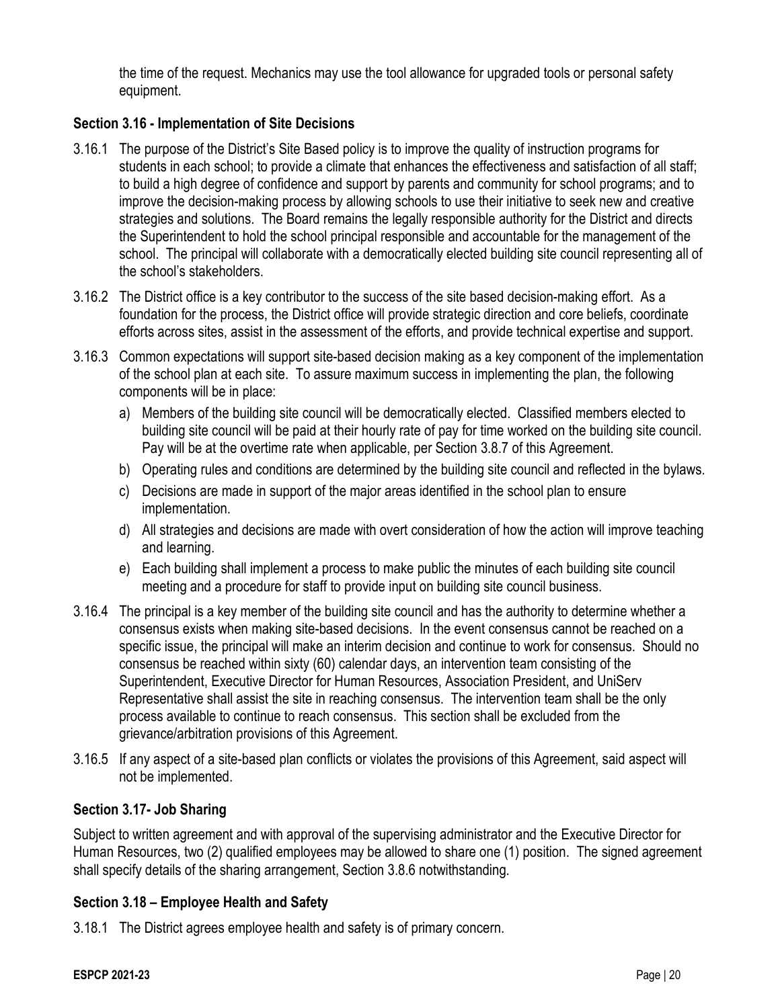the time of the request. Mechanics may use the tool allowance for upgraded tools or personal safety equipment.

## **Section 3.16 - Implementation of Site Decisions**

- 3.16.1 The purpose of the District's Site Based policy is to improve the quality of instruction programs for students in each school; to provide a climate that enhances the effectiveness and satisfaction of all staff; to build a high degree of confidence and support by parents and community for school programs; and to improve the decision-making process by allowing schools to use their initiative to seek new and creative strategies and solutions. The Board remains the legally responsible authority for the District and directs the Superintendent to hold the school principal responsible and accountable for the management of the school. The principal will collaborate with a democratically elected building site council representing all of the school's stakeholders.
- 3.16.2 The District office is a key contributor to the success of the site based decision-making effort. As a foundation for the process, the District office will provide strategic direction and core beliefs, coordinate efforts across sites, assist in the assessment of the efforts, and provide technical expertise and support.
- 3.16.3 Common expectations will support site-based decision making as a key component of the implementation of the school plan at each site. To assure maximum success in implementing the plan, the following components will be in place:
	- a) Members of the building site council will be democratically elected. Classified members elected to building site council will be paid at their hourly rate of pay for time worked on the building site council. Pay will be at the overtime rate when applicable, per Section 3.8.7 of this Agreement.
	- b) Operating rules and conditions are determined by the building site council and reflected in the bylaws.
	- c) Decisions are made in support of the major areas identified in the school plan to ensure implementation.
	- d) All strategies and decisions are made with overt consideration of how the action will improve teaching and learning.
	- e) Each building shall implement a process to make public the minutes of each building site council meeting and a procedure for staff to provide input on building site council business.
- 3.16.4 The principal is a key member of the building site council and has the authority to determine whether a consensus exists when making site-based decisions. In the event consensus cannot be reached on a specific issue, the principal will make an interim decision and continue to work for consensus. Should no consensus be reached within sixty (60) calendar days, an intervention team consisting of the Superintendent, Executive Director for Human Resources, Association President, and UniServ Representative shall assist the site in reaching consensus. The intervention team shall be the only process available to continue to reach consensus. This section shall be excluded from the grievance/arbitration provisions of this Agreement.
- 3.16.5 If any aspect of a site-based plan conflicts or violates the provisions of this Agreement, said aspect will not be implemented.

## **Section 3.17- Job Sharing**

Subject to written agreement and with approval of the supervising administrator and the Executive Director for Human Resources, two (2) qualified employees may be allowed to share one (1) position. The signed agreement shall specify details of the sharing arrangement, Section 3.8.6 notwithstanding.

## **Section 3.18 – Employee Health and Safety**

3.18.1 The District agrees employee health and safety is of primary concern.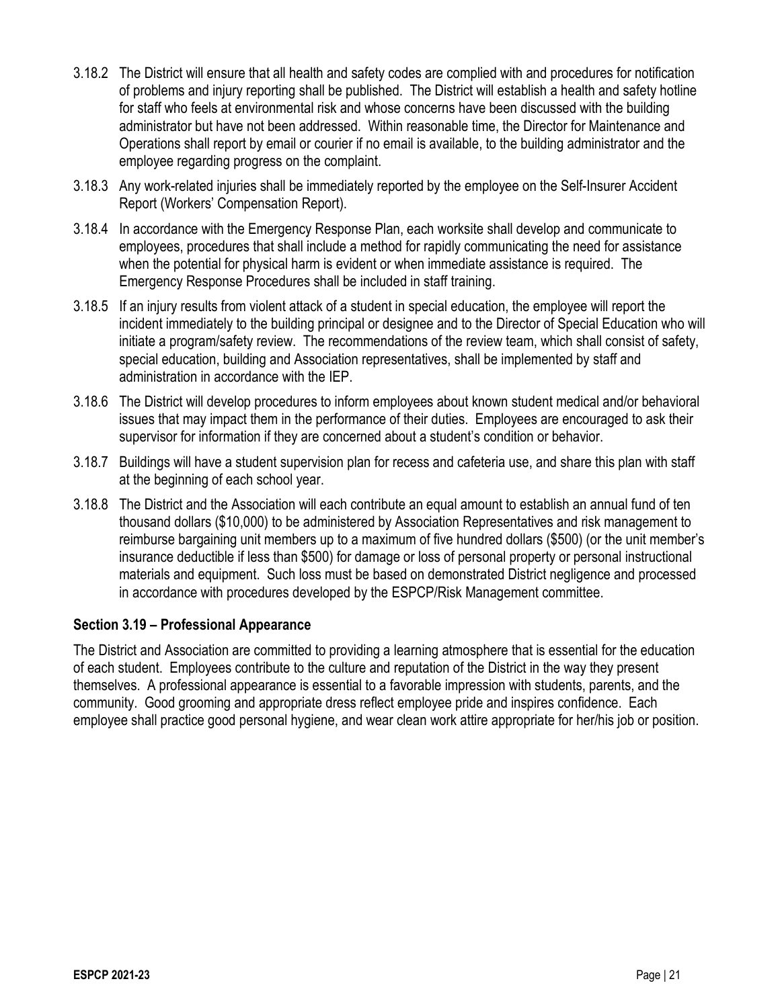- 3.18.2 The District will ensure that all health and safety codes are complied with and procedures for notification of problems and injury reporting shall be published. The District will establish a health and safety hotline for staff who feels at environmental risk and whose concerns have been discussed with the building administrator but have not been addressed. Within reasonable time, the Director for Maintenance and Operations shall report by email or courier if no email is available, to the building administrator and the employee regarding progress on the complaint.
- 3.18.3 Any work-related injuries shall be immediately reported by the employee on the Self-Insurer Accident Report (Workers' Compensation Report).
- 3.18.4 In accordance with the Emergency Response Plan, each worksite shall develop and communicate to employees, procedures that shall include a method for rapidly communicating the need for assistance when the potential for physical harm is evident or when immediate assistance is required. The Emergency Response Procedures shall be included in staff training.
- 3.18.5 If an injury results from violent attack of a student in special education, the employee will report the incident immediately to the building principal or designee and to the Director of Special Education who will initiate a program/safety review. The recommendations of the review team, which shall consist of safety, special education, building and Association representatives, shall be implemented by staff and administration in accordance with the IEP.
- 3.18.6 The District will develop procedures to inform employees about known student medical and/or behavioral issues that may impact them in the performance of their duties. Employees are encouraged to ask their supervisor for information if they are concerned about a student's condition or behavior.
- 3.18.7 Buildings will have a student supervision plan for recess and cafeteria use, and share this plan with staff at the beginning of each school year.
- 3.18.8 The District and the Association will each contribute an equal amount to establish an annual fund of ten thousand dollars (\$10,000) to be administered by Association Representatives and risk management to reimburse bargaining unit members up to a maximum of five hundred dollars (\$500) (or the unit member's insurance deductible if less than \$500) for damage or loss of personal property or personal instructional materials and equipment. Such loss must be based on demonstrated District negligence and processed in accordance with procedures developed by the ESPCP/Risk Management committee.

## **Section 3.19 – Professional Appearance**

The District and Association are committed to providing a learning atmosphere that is essential for the education of each student. Employees contribute to the culture and reputation of the District in the way they present themselves. A professional appearance is essential to a favorable impression with students, parents, and the community. Good grooming and appropriate dress reflect employee pride and inspires confidence. Each employee shall practice good personal hygiene, and wear clean work attire appropriate for her/his job or position.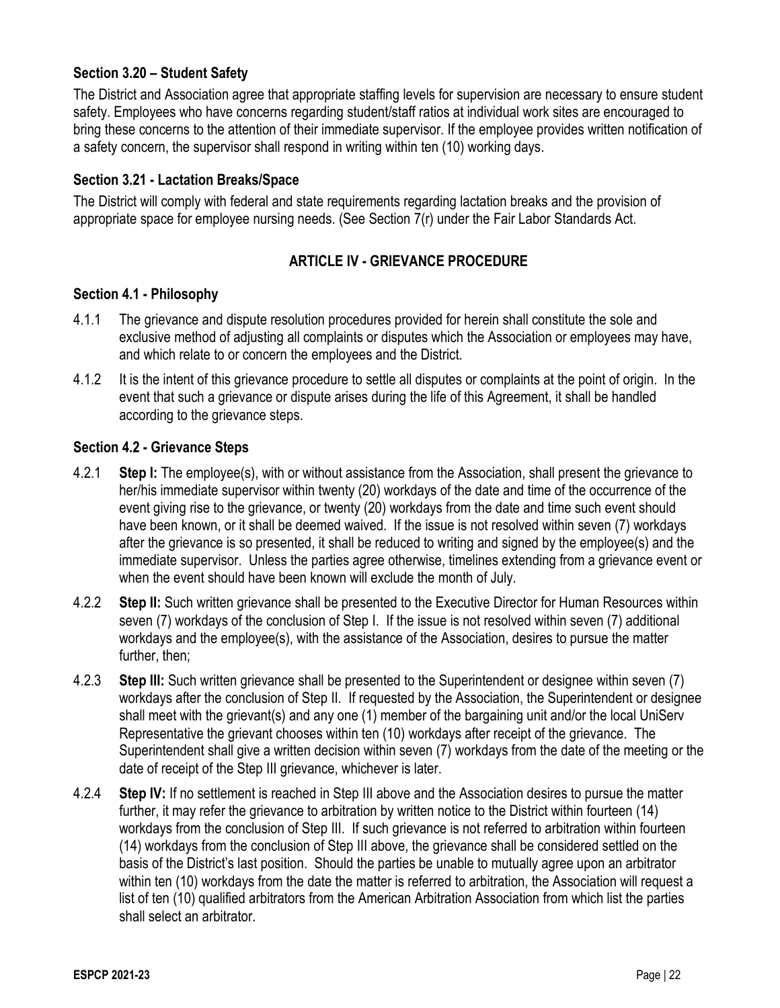## **Section 3.20 – Student Safety**

The District and Association agree that appropriate staffing levels for supervision are necessary to ensure student safety. Employees who have concerns regarding student/staff ratios at individual work sites are encouraged to bring these concerns to the attention of their immediate supervisor. If the employee provides written notification of a safety concern, the supervisor shall respond in writing within ten (10) working days.

## **Section 3.21 - Lactation Breaks/Space**

The District will comply with federal and state requirements regarding lactation breaks and the provision of appropriate space for employee nursing needs. (See Section 7(r) under the Fair Labor Standards Act.

## **ARTICLE IV - GRIEVANCE PROCEDURE**

## **Section 4.1 - Philosophy**

- 4.1.1 The grievance and dispute resolution procedures provided for herein shall constitute the sole and exclusive method of adjusting all complaints or disputes which the Association or employees may have, and which relate to or concern the employees and the District.
- 4.1.2 It is the intent of this grievance procedure to settle all disputes or complaints at the point of origin. In the event that such a grievance or dispute arises during the life of this Agreement, it shall be handled according to the grievance steps.

### **Section 4.2 - Grievance Steps**

- 4.2.1 **Step I:** The employee(s), with or without assistance from the Association, shall present the grievance to her/his immediate supervisor within twenty (20) workdays of the date and time of the occurrence of the event giving rise to the grievance, or twenty (20) workdays from the date and time such event should have been known, or it shall be deemed waived. If the issue is not resolved within seven (7) workdays after the grievance is so presented, it shall be reduced to writing and signed by the employee(s) and the immediate supervisor. Unless the parties agree otherwise, timelines extending from a grievance event or when the event should have been known will exclude the month of July.
- 4.2.2 **Step II:** Such written grievance shall be presented to the Executive Director for Human Resources within seven (7) workdays of the conclusion of Step I. If the issue is not resolved within seven (7) additional workdays and the employee(s), with the assistance of the Association, desires to pursue the matter further, then;
- 4.2.3 **Step III:** Such written grievance shall be presented to the Superintendent or designee within seven (7) workdays after the conclusion of Step II. If requested by the Association, the Superintendent or designee shall meet with the grievant(s) and any one (1) member of the bargaining unit and/or the local UniServ Representative the grievant chooses within ten (10) workdays after receipt of the grievance. The Superintendent shall give a written decision within seven (7) workdays from the date of the meeting or the date of receipt of the Step III grievance, whichever is later.
- 4.2.4 **Step IV:** If no settlement is reached in Step III above and the Association desires to pursue the matter further, it may refer the grievance to arbitration by written notice to the District within fourteen (14) workdays from the conclusion of Step III. If such grievance is not referred to arbitration within fourteen (14) workdays from the conclusion of Step III above, the grievance shall be considered settled on the basis of the District's last position. Should the parties be unable to mutually agree upon an arbitrator within ten (10) workdays from the date the matter is referred to arbitration, the Association will request a list of ten (10) qualified arbitrators from the American Arbitration Association from which list the parties shall select an arbitrator.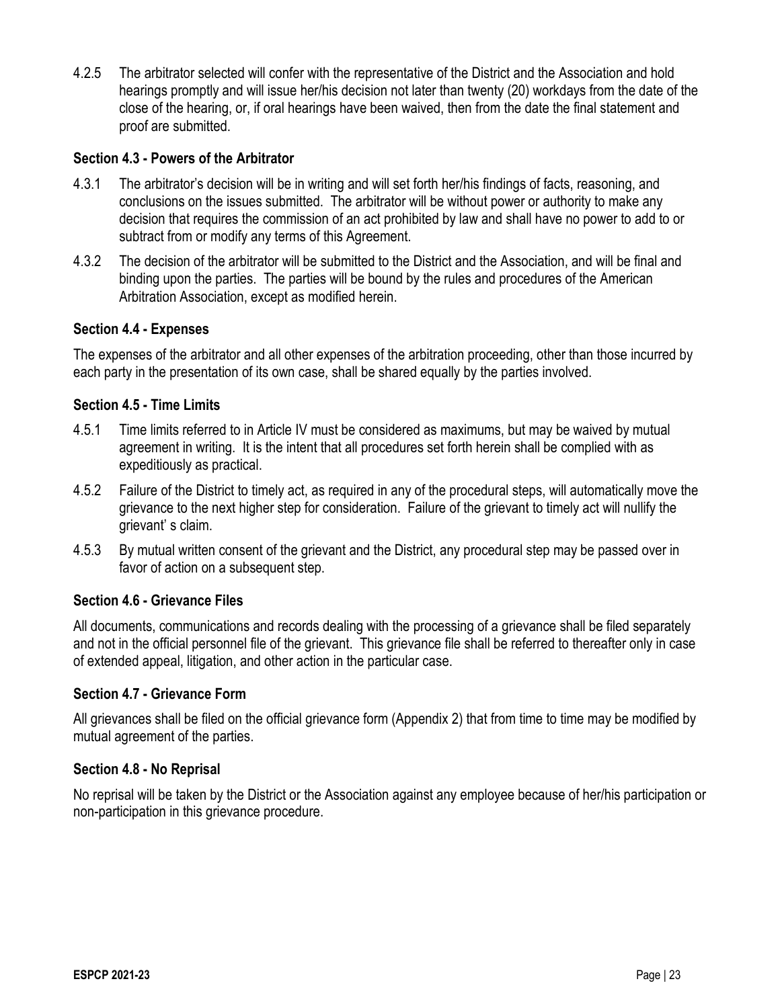4.2.5 The arbitrator selected will confer with the representative of the District and the Association and hold hearings promptly and will issue her/his decision not later than twenty (20) workdays from the date of the close of the hearing, or, if oral hearings have been waived, then from the date the final statement and proof are submitted.

### **Section 4.3 - Powers of the Arbitrator**

- 4.3.1 The arbitrator's decision will be in writing and will set forth her/his findings of facts, reasoning, and conclusions on the issues submitted. The arbitrator will be without power or authority to make any decision that requires the commission of an act prohibited by law and shall have no power to add to or subtract from or modify any terms of this Agreement.
- 4.3.2 The decision of the arbitrator will be submitted to the District and the Association, and will be final and binding upon the parties. The parties will be bound by the rules and procedures of the American Arbitration Association, except as modified herein.

### **Section 4.4 - Expenses**

The expenses of the arbitrator and all other expenses of the arbitration proceeding, other than those incurred by each party in the presentation of its own case, shall be shared equally by the parties involved.

### **Section 4.5 - Time Limits**

- 4.5.1 Time limits referred to in Article IV must be considered as maximums, but may be waived by mutual agreement in writing. It is the intent that all procedures set forth herein shall be complied with as expeditiously as practical.
- 4.5.2 Failure of the District to timely act, as required in any of the procedural steps, will automatically move the grievance to the next higher step for consideration. Failure of the grievant to timely act will nullify the grievant' s claim.
- 4.5.3 By mutual written consent of the grievant and the District, any procedural step may be passed over in favor of action on a subsequent step.

## **Section 4.6 - Grievance Files**

All documents, communications and records dealing with the processing of a grievance shall be filed separately and not in the official personnel file of the grievant. This grievance file shall be referred to thereafter only in case of extended appeal, litigation, and other action in the particular case.

#### **Section 4.7 - Grievance Form**

All grievances shall be filed on the official grievance form (Appendix 2) that from time to time may be modified by mutual agreement of the parties.

#### **Section 4.8 - No Reprisal**

No reprisal will be taken by the District or the Association against any employee because of her/his participation or non-participation in this grievance procedure.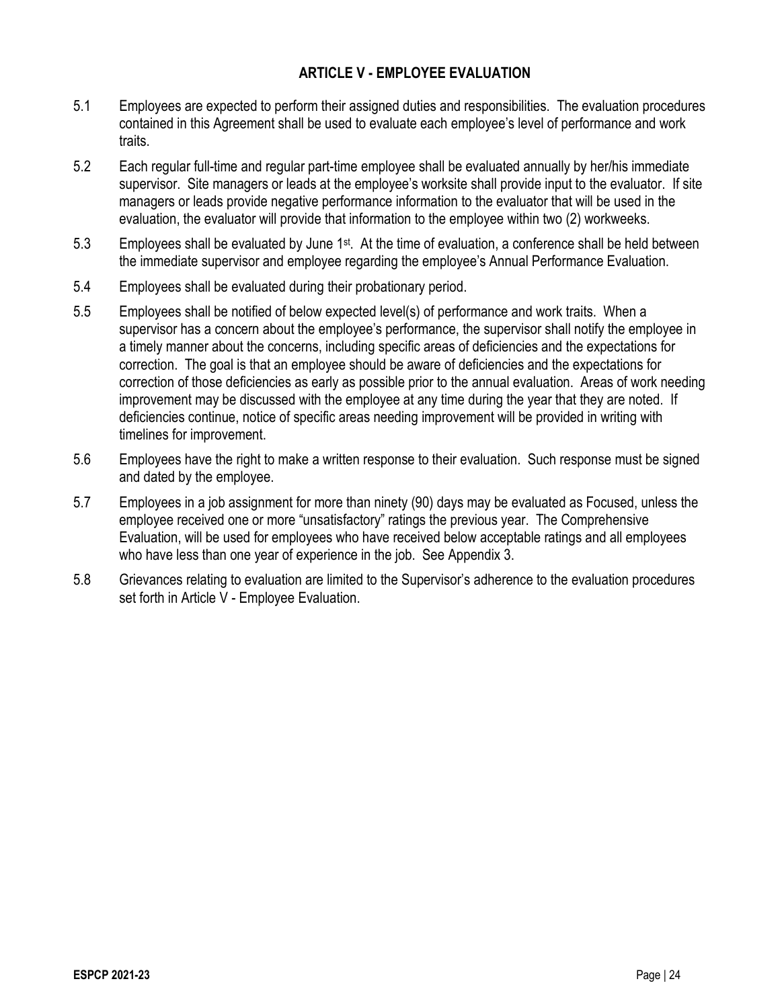## **ARTICLE V - EMPLOYEE EVALUATION**

- 5.1 Employees are expected to perform their assigned duties and responsibilities. The evaluation procedures contained in this Agreement shall be used to evaluate each employee's level of performance and work traits.
- 5.2 Each regular full-time and regular part-time employee shall be evaluated annually by her/his immediate supervisor. Site managers or leads at the employee's worksite shall provide input to the evaluator. If site managers or leads provide negative performance information to the evaluator that will be used in the evaluation, the evaluator will provide that information to the employee within two (2) workweeks.
- 5.3 Employees shall be evaluated by June 1st. At the time of evaluation, a conference shall be held between the immediate supervisor and employee regarding the employee's Annual Performance Evaluation.
- 5.4 Employees shall be evaluated during their probationary period.
- 5.5 Employees shall be notified of below expected level(s) of performance and work traits. When a supervisor has a concern about the employee's performance, the supervisor shall notify the employee in a timely manner about the concerns, including specific areas of deficiencies and the expectations for correction. The goal is that an employee should be aware of deficiencies and the expectations for correction of those deficiencies as early as possible prior to the annual evaluation. Areas of work needing improvement may be discussed with the employee at any time during the year that they are noted. If deficiencies continue, notice of specific areas needing improvement will be provided in writing with timelines for improvement.
- 5.6 Employees have the right to make a written response to their evaluation. Such response must be signed and dated by the employee.
- 5.7 Employees in a job assignment for more than ninety (90) days may be evaluated as Focused, unless the employee received one or more "unsatisfactory" ratings the previous year. The Comprehensive Evaluation, will be used for employees who have received below acceptable ratings and all employees who have less than one year of experience in the job. See Appendix 3.
- 5.8 Grievances relating to evaluation are limited to the Supervisor's adherence to the evaluation procedures set forth in Article V - Employee Evaluation.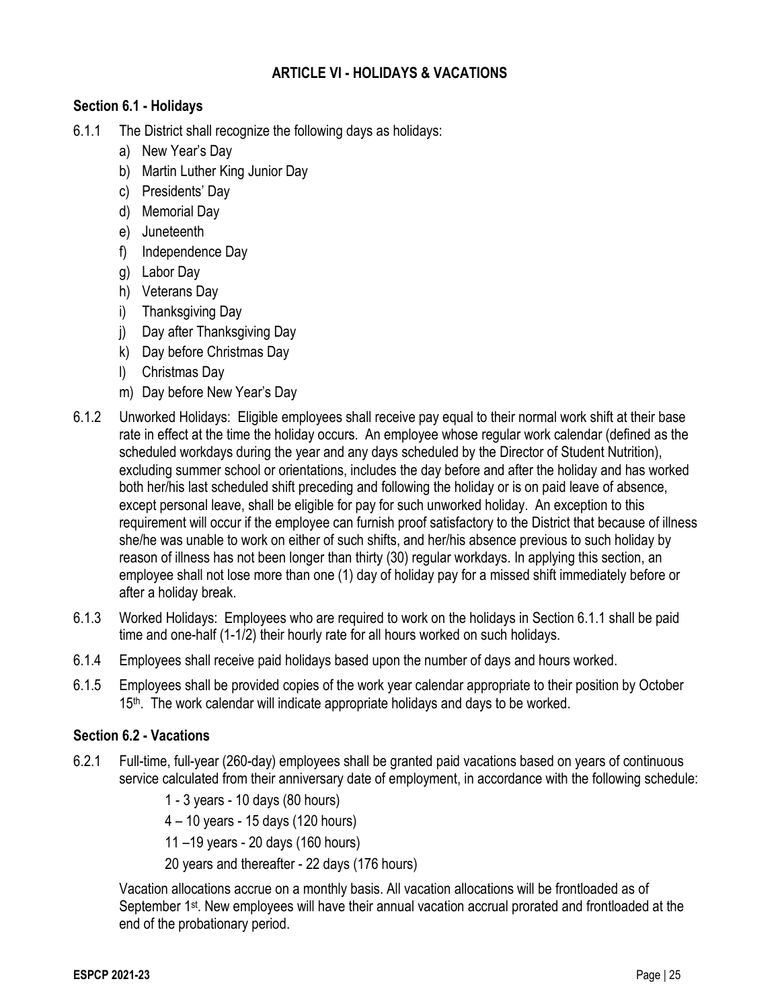## **ARTICLE VI - HOLIDAYS & VACATIONS**

## **Section 6.1 - Holidays**

- 6.1.1 The District shall recognize the following days as holidays:
	- a) New Year's Day
	- b) Martin Luther King Junior Day
	- c) Presidents' Day
	- d) Memorial Day
	- e) Juneteenth
	- f) Independence Day
	- g) Labor Day
	- h) Veterans Day
	- i) Thanksgiving Day
	- j) Day after Thanksgiving Day
	- k) Day before Christmas Day
	- l) Christmas Day
	- m) Day before New Year's Day
- 6.1.2 Unworked Holidays: Eligible employees shall receive pay equal to their normal work shift at their base rate in effect at the time the holiday occurs. An employee whose regular work calendar (defined as the scheduled workdays during the year and any days scheduled by the Director of Student Nutrition), excluding summer school or orientations, includes the day before and after the holiday and has worked both her/his last scheduled shift preceding and following the holiday or is on paid leave of absence, except personal leave, shall be eligible for pay for such unworked holiday. An exception to this requirement will occur if the employee can furnish proof satisfactory to the District that because of illness she/he was unable to work on either of such shifts, and her/his absence previous to such holiday by reason of illness has not been longer than thirty (30) regular workdays. In applying this section, an employee shall not lose more than one (1) day of holiday pay for a missed shift immediately before or after a holiday break.
- 6.1.3 Worked Holidays: Employees who are required to work on the holidays in Section 6.1.1 shall be paid time and one-half (1-1/2) their hourly rate for all hours worked on such holidays.
- 6.1.4 Employees shall receive paid holidays based upon the number of days and hours worked.
- 6.1.5 Employees shall be provided copies of the work year calendar appropriate to their position by October 15<sup>th</sup>. The work calendar will indicate appropriate holidays and days to be worked.

## **Section 6.2 - Vacations**

6.2.1 Full-time, full-year (260-day) employees shall be granted paid vacations based on years of continuous service calculated from their anniversary date of employment, in accordance with the following schedule:

1 - 3 years - 10 days (80 hours)

4 – 10 years - 15 days (120 hours)

11 –19 years - 20 days (160 hours)

20 years and thereafter - 22 days (176 hours)

Vacation allocations accrue on a monthly basis. All vacation allocations will be frontloaded as of September 1<sup>st</sup>. New employees will have their annual vacation accrual prorated and frontloaded at the end of the probationary period.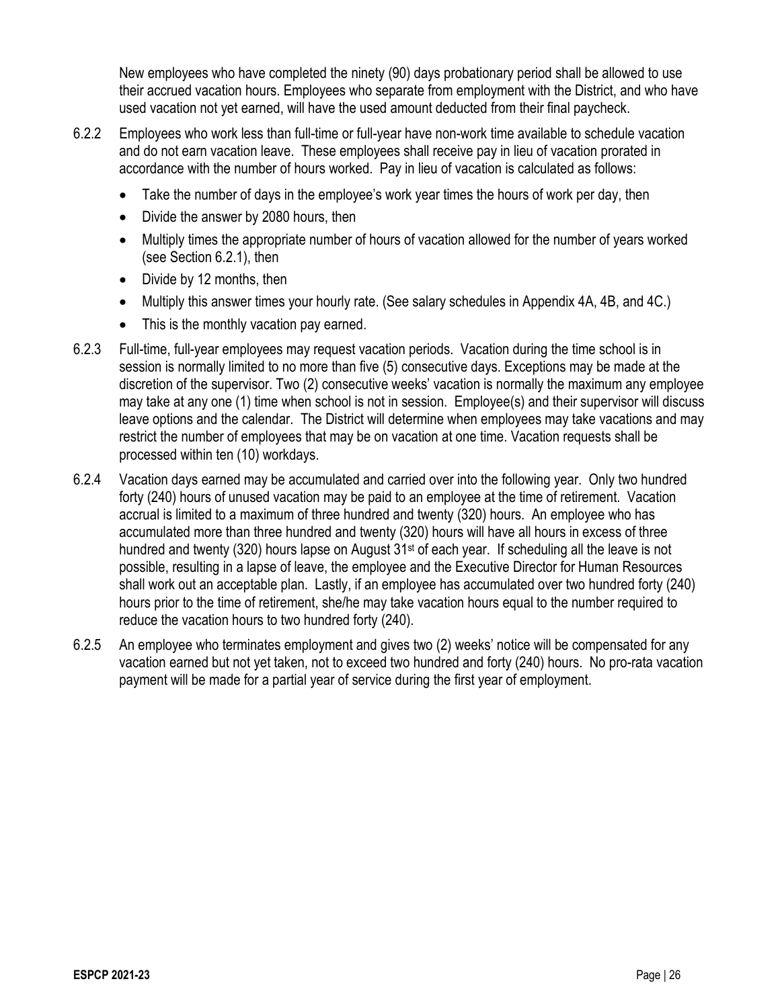New employees who have completed the ninety (90) days probationary period shall be allowed to use their accrued vacation hours. Employees who separate from employment with the District, and who have used vacation not yet earned, will have the used amount deducted from their final paycheck.

- 6.2.2 Employees who work less than full-time or full-year have non-work time available to schedule vacation and do not earn vacation leave. These employees shall receive pay in lieu of vacation prorated in accordance with the number of hours worked. Pay in lieu of vacation is calculated as follows:
	- Take the number of days in the employee's work year times the hours of work per day, then
	- Divide the answer by 2080 hours, then
	- Multiply times the appropriate number of hours of vacation allowed for the number of years worked (see Section 6.2.1), then
	- Divide by 12 months, then
	- Multiply this answer times your hourly rate. (See salary schedules in Appendix 4A, 4B, and 4C.)
	- This is the monthly vacation pay earned.
- 6.2.3 Full-time, full-year employees may request vacation periods. Vacation during the time school is in session is normally limited to no more than five (5) consecutive days. Exceptions may be made at the discretion of the supervisor. Two (2) consecutive weeks' vacation is normally the maximum any employee may take at any one (1) time when school is not in session. Employee(s) and their supervisor will discuss leave options and the calendar. The District will determine when employees may take vacations and may restrict the number of employees that may be on vacation at one time. Vacation requests shall be processed within ten (10) workdays.
- 6.2.4 Vacation days earned may be accumulated and carried over into the following year. Only two hundred forty (240) hours of unused vacation may be paid to an employee at the time of retirement. Vacation accrual is limited to a maximum of three hundred and twenty (320) hours. An employee who has accumulated more than three hundred and twenty (320) hours will have all hours in excess of three hundred and twenty (320) hours lapse on August 31<sup>st</sup> of each year. If scheduling all the leave is not possible, resulting in a lapse of leave, the employee and the Executive Director for Human Resources shall work out an acceptable plan. Lastly, if an employee has accumulated over two hundred forty (240) hours prior to the time of retirement, she/he may take vacation hours equal to the number required to reduce the vacation hours to two hundred forty (240).
- 6.2.5 An employee who terminates employment and gives two (2) weeks' notice will be compensated for any vacation earned but not yet taken, not to exceed two hundred and forty (240) hours. No pro-rata vacation payment will be made for a partial year of service during the first year of employment.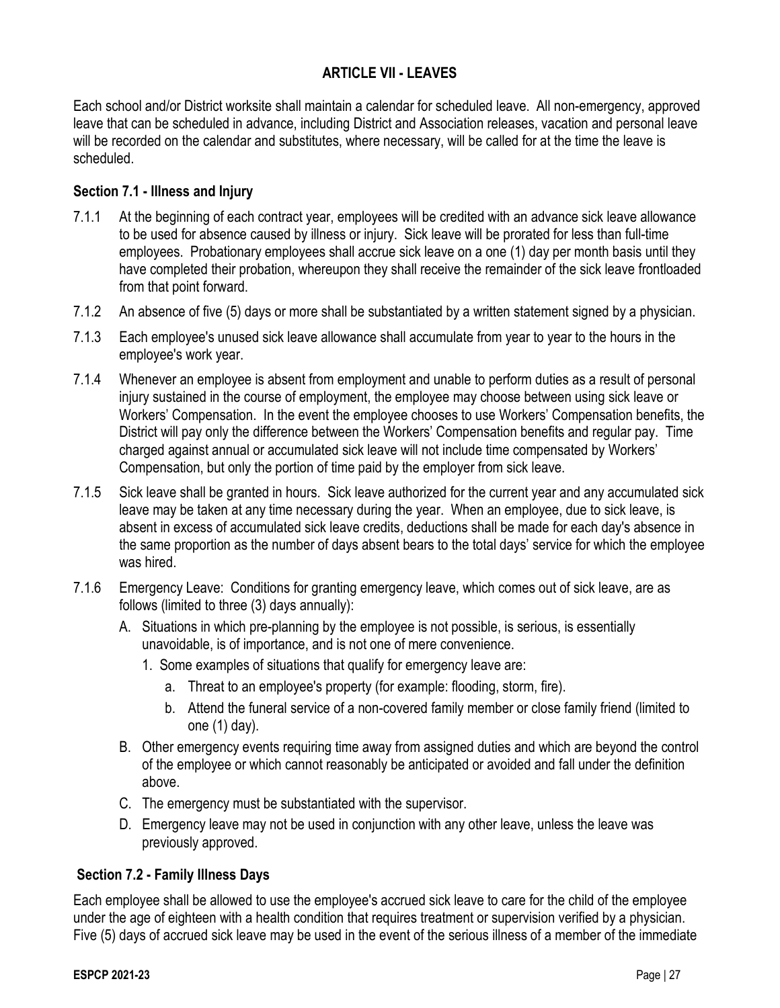## **ARTICLE VII - LEAVES**

Each school and/or District worksite shall maintain a calendar for scheduled leave. All non-emergency, approved leave that can be scheduled in advance, including District and Association releases, vacation and personal leave will be recorded on the calendar and substitutes, where necessary, will be called for at the time the leave is scheduled.

## **Section 7.1 - Illness and Injury**

- 7.1.1 At the beginning of each contract year, employees will be credited with an advance sick leave allowance to be used for absence caused by illness or injury. Sick leave will be prorated for less than full-time employees. Probationary employees shall accrue sick leave on a one (1) day per month basis until they have completed their probation, whereupon they shall receive the remainder of the sick leave frontloaded from that point forward.
- 7.1.2 An absence of five (5) days or more shall be substantiated by a written statement signed by a physician.
- 7.1.3 Each employee's unused sick leave allowance shall accumulate from year to year to the hours in the employee's work year.
- 7.1.4 Whenever an employee is absent from employment and unable to perform duties as a result of personal injury sustained in the course of employment, the employee may choose between using sick leave or Workers' Compensation. In the event the employee chooses to use Workers' Compensation benefits, the District will pay only the difference between the Workers' Compensation benefits and regular pay. Time charged against annual or accumulated sick leave will not include time compensated by Workers' Compensation, but only the portion of time paid by the employer from sick leave.
- 7.1.5 Sick leave shall be granted in hours. Sick leave authorized for the current year and any accumulated sick leave may be taken at any time necessary during the year. When an employee, due to sick leave, is absent in excess of accumulated sick leave credits, deductions shall be made for each day's absence in the same proportion as the number of days absent bears to the total days' service for which the employee was hired.
- 7.1.6 Emergency Leave: Conditions for granting emergency leave, which comes out of sick leave, are as follows (limited to three (3) days annually):
	- A. Situations in which pre-planning by the employee is not possible, is serious, is essentially unavoidable, is of importance, and is not one of mere convenience.
		- 1. Some examples of situations that qualify for emergency leave are:
			- a. Threat to an employee's property (for example: flooding, storm, fire).
			- b. Attend the funeral service of a non-covered family member or close family friend (limited to one (1) day).
	- B. Other emergency events requiring time away from assigned duties and which are beyond the control of the employee or which cannot reasonably be anticipated or avoided and fall under the definition above.
	- C. The emergency must be substantiated with the supervisor.
	- D. Emergency leave may not be used in conjunction with any other leave, unless the leave was previously approved.

## **Section 7.2 - Family Illness Days**

Each employee shall be allowed to use the employee's accrued sick leave to care for the child of the employee under the age of eighteen with a health condition that requires treatment or supervision verified by a physician. Five (5) days of accrued sick leave may be used in the event of the serious illness of a member of the immediate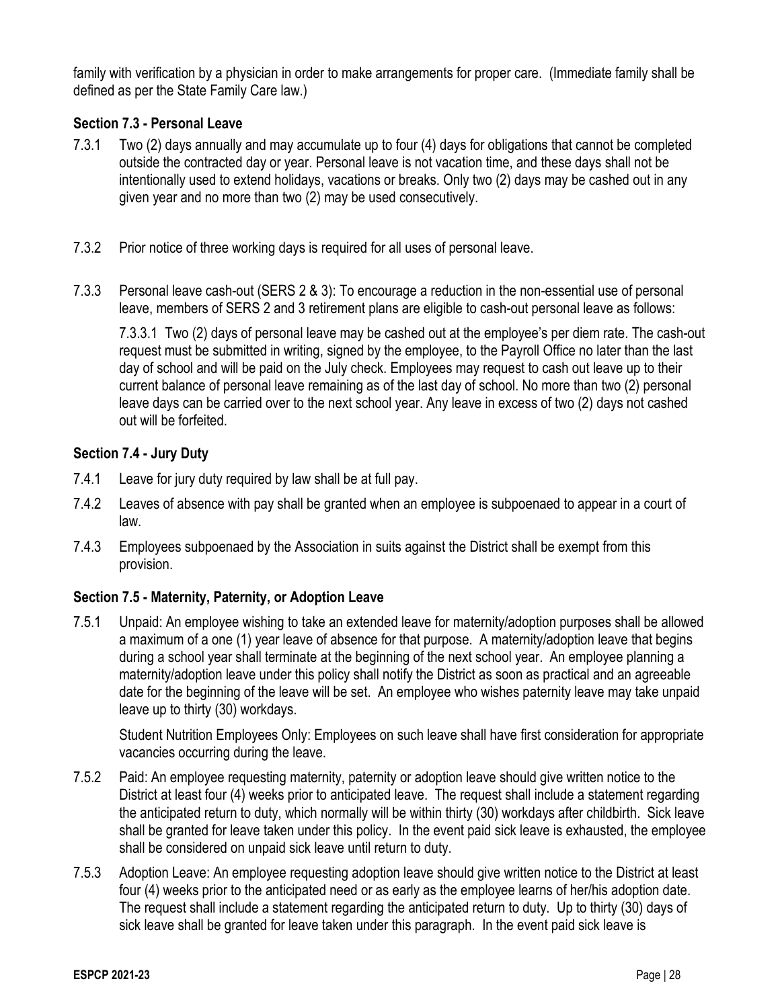family with verification by a physician in order to make arrangements for proper care. (Immediate family shall be defined as per the State Family Care law.)

## **Section 7.3 - Personal Leave**

- 7.3.1 Two (2) days annually and may accumulate up to four (4) days for obligations that cannot be completed outside the contracted day or year. Personal leave is not vacation time, and these days shall not be intentionally used to extend holidays, vacations or breaks. Only two (2) days may be cashed out in any given year and no more than two (2) may be used consecutively.
- 7.3.2 Prior notice of three working days is required for all uses of personal leave.
- 7.3.3 Personal leave cash-out (SERS 2 & 3): To encourage a reduction in the non-essential use of personal leave, members of SERS 2 and 3 retirement plans are eligible to cash-out personal leave as follows:

7.3.3.1 Two (2) days of personal leave may be cashed out at the employee's per diem rate. The cash-out request must be submitted in writing, signed by the employee, to the Payroll Office no later than the last day of school and will be paid on the July check. Employees may request to cash out leave up to their current balance of personal leave remaining as of the last day of school. No more than two (2) personal leave days can be carried over to the next school year. Any leave in excess of two (2) days not cashed out will be forfeited.

## **Section 7.4 - Jury Duty**

- 7.4.1 Leave for jury duty required by law shall be at full pay.
- 7.4.2 Leaves of absence with pay shall be granted when an employee is subpoenaed to appear in a court of law.
- 7.4.3 Employees subpoenaed by the Association in suits against the District shall be exempt from this provision.

## **Section 7.5 - Maternity, Paternity, or Adoption Leave**

7.5.1 Unpaid: An employee wishing to take an extended leave for maternity/adoption purposes shall be allowed a maximum of a one (1) year leave of absence for that purpose. A maternity/adoption leave that begins during a school year shall terminate at the beginning of the next school year. An employee planning a maternity/adoption leave under this policy shall notify the District as soon as practical and an agreeable date for the beginning of the leave will be set. An employee who wishes paternity leave may take unpaid leave up to thirty (30) workdays.

Student Nutrition Employees Only: Employees on such leave shall have first consideration for appropriate vacancies occurring during the leave.

- 7.5.2 Paid: An employee requesting maternity, paternity or adoption leave should give written notice to the District at least four (4) weeks prior to anticipated leave. The request shall include a statement regarding the anticipated return to duty, which normally will be within thirty (30) workdays after childbirth. Sick leave shall be granted for leave taken under this policy. In the event paid sick leave is exhausted, the employee shall be considered on unpaid sick leave until return to duty.
- 7.5.3 Adoption Leave: An employee requesting adoption leave should give written notice to the District at least four (4) weeks prior to the anticipated need or as early as the employee learns of her/his adoption date. The request shall include a statement regarding the anticipated return to duty. Up to thirty (30) days of sick leave shall be granted for leave taken under this paragraph. In the event paid sick leave is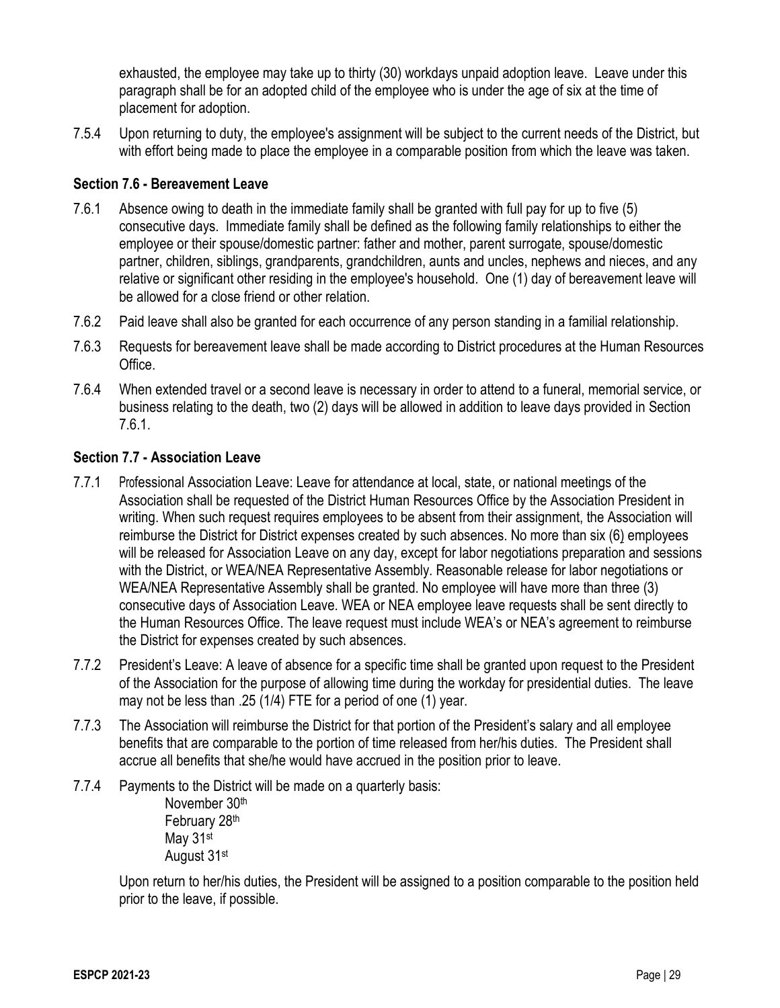exhausted, the employee may take up to thirty (30) workdays unpaid adoption leave. Leave under this paragraph shall be for an adopted child of the employee who is under the age of six at the time of placement for adoption.

7.5.4 Upon returning to duty, the employee's assignment will be subject to the current needs of the District, but with effort being made to place the employee in a comparable position from which the leave was taken.

### **Section 7.6 - Bereavement Leave**

- 7.6.1 Absence owing to death in the immediate family shall be granted with full pay for up to five (5) consecutive days. Immediate family shall be defined as the following family relationships to either the employee or their spouse/domestic partner: father and mother, parent surrogate, spouse/domestic partner, children, siblings, grandparents, grandchildren, aunts and uncles, nephews and nieces, and any relative or significant other residing in the employee's household. One (1) day of bereavement leave will be allowed for a close friend or other relation.
- 7.6.2 Paid leave shall also be granted for each occurrence of any person standing in a familial relationship.
- 7.6.3 Requests for bereavement leave shall be made according to District procedures at the Human Resources Office.
- 7.6.4 When extended travel or a second leave is necessary in order to attend to a funeral, memorial service, or business relating to the death, two (2) days will be allowed in addition to leave days provided in Section 7.6.1.

#### **Section 7.7 - Association Leave**

- 7.7.1 Professional Association Leave: Leave for attendance at local, state, or national meetings of the Association shall be requested of the District Human Resources Office by the Association President in writing. When such request requires employees to be absent from their assignment, the Association will reimburse the District for District expenses created by such absences. No more than six (6) employees will be released for Association Leave on any day, except for labor negotiations preparation and sessions with the District, or WEA/NEA Representative Assembly. Reasonable release for labor negotiations or WEA/NEA Representative Assembly shall be granted. No employee will have more than three (3) consecutive days of Association Leave. WEA or NEA employee leave requests shall be sent directly to the Human Resources Office. The leave request must include WEA's or NEA's agreement to reimburse the District for expenses created by such absences.
- 7.7.2 President's Leave: A leave of absence for a specific time shall be granted upon request to the President of the Association for the purpose of allowing time during the workday for presidential duties. The leave may not be less than .25 (1/4) FTE for a period of one (1) year.
- 7.7.3 The Association will reimburse the District for that portion of the President's salary and all employee benefits that are comparable to the portion of time released from her/his duties. The President shall accrue all benefits that she/he would have accrued in the position prior to leave.
- 7.7.4 Payments to the District will be made on a quarterly basis:

November 30th February 28th May 31<sup>st</sup> August 31st

Upon return to her/his duties, the President will be assigned to a position comparable to the position held prior to the leave, if possible.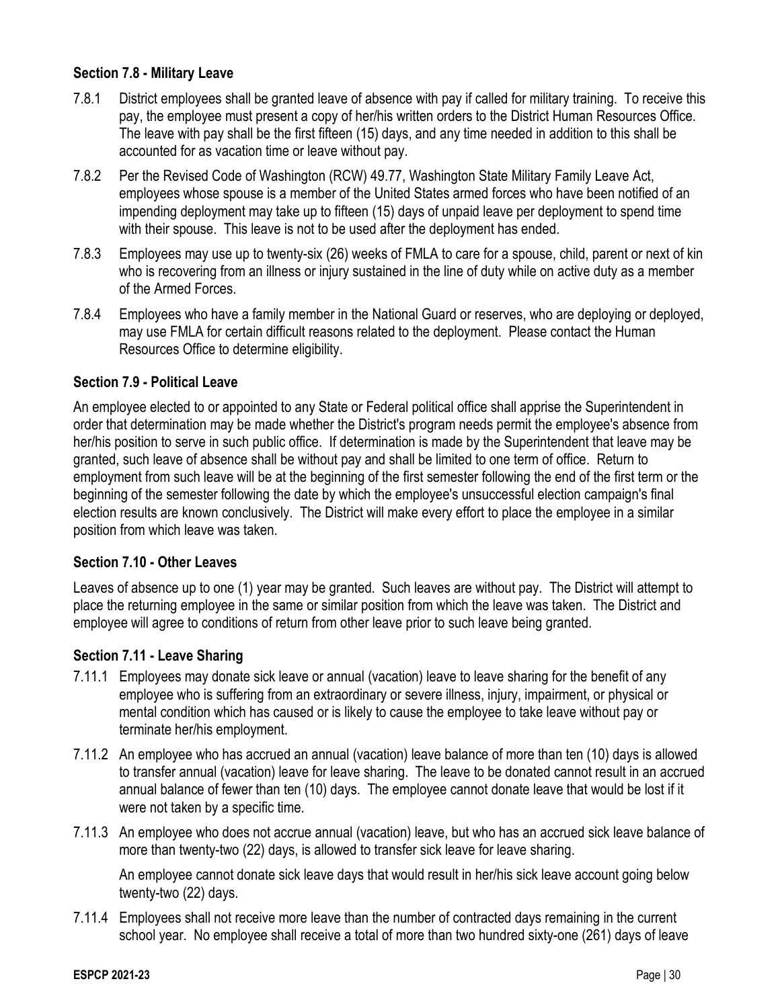### **Section 7.8 - Military Leave**

- 7.8.1 District employees shall be granted leave of absence with pay if called for military training. To receive this pay, the employee must present a copy of her/his written orders to the District Human Resources Office. The leave with pay shall be the first fifteen (15) days, and any time needed in addition to this shall be accounted for as vacation time or leave without pay.
- 7.8.2 Per the Revised Code of Washington (RCW) 49.77, Washington State Military Family Leave Act, employees whose spouse is a member of the United States armed forces who have been notified of an impending deployment may take up to fifteen (15) days of unpaid leave per deployment to spend time with their spouse. This leave is not to be used after the deployment has ended.
- 7.8.3 Employees may use up to twenty-six (26) weeks of FMLA to care for a spouse, child, parent or next of kin who is recovering from an illness or injury sustained in the line of duty while on active duty as a member of the Armed Forces.
- 7.8.4 Employees who have a family member in the National Guard or reserves, who are deploying or deployed, may use FMLA for certain difficult reasons related to the deployment. Please contact the Human Resources Office to determine eligibility.

### **Section 7.9 - Political Leave**

An employee elected to or appointed to any State or Federal political office shall apprise the Superintendent in order that determination may be made whether the District's program needs permit the employee's absence from her/his position to serve in such public office. If determination is made by the Superintendent that leave may be granted, such leave of absence shall be without pay and shall be limited to one term of office. Return to employment from such leave will be at the beginning of the first semester following the end of the first term or the beginning of the semester following the date by which the employee's unsuccessful election campaign's final election results are known conclusively. The District will make every effort to place the employee in a similar position from which leave was taken.

#### **Section 7.10 - Other Leaves**

Leaves of absence up to one (1) year may be granted. Such leaves are without pay. The District will attempt to place the returning employee in the same or similar position from which the leave was taken. The District and employee will agree to conditions of return from other leave prior to such leave being granted.

#### **Section 7.11 - Leave Sharing**

- 7.11.1 Employees may donate sick leave or annual (vacation) leave to leave sharing for the benefit of any employee who is suffering from an extraordinary or severe illness, injury, impairment, or physical or mental condition which has caused or is likely to cause the employee to take leave without pay or terminate her/his employment.
- 7.11.2 An employee who has accrued an annual (vacation) leave balance of more than ten (10) days is allowed to transfer annual (vacation) leave for leave sharing. The leave to be donated cannot result in an accrued annual balance of fewer than ten (10) days. The employee cannot donate leave that would be lost if it were not taken by a specific time.
- 7.11.3 An employee who does not accrue annual (vacation) leave, but who has an accrued sick leave balance of more than twenty-two (22) days, is allowed to transfer sick leave for leave sharing.

An employee cannot donate sick leave days that would result in her/his sick leave account going below twenty-two (22) days.

7.11.4 Employees shall not receive more leave than the number of contracted days remaining in the current school year. No employee shall receive a total of more than two hundred sixty-one (261) days of leave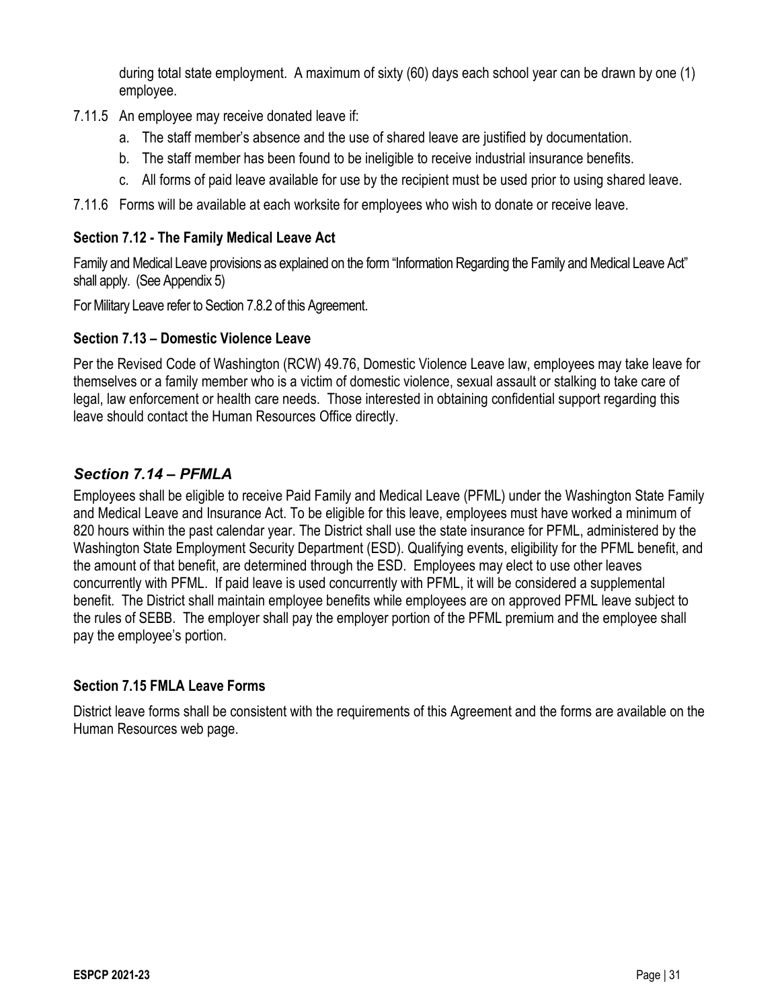during total state employment. A maximum of sixty (60) days each school year can be drawn by one (1) employee.

- 7.11.5 An employee may receive donated leave if:
	- a. The staff member's absence and the use of shared leave are justified by documentation.
	- b. The staff member has been found to be ineligible to receive industrial insurance benefits.
	- c. All forms of paid leave available for use by the recipient must be used prior to using shared leave.
- 7.11.6 Forms will be available at each worksite for employees who wish to donate or receive leave.

## **Section 7.12 - The Family Medical Leave Act**

Family and Medical Leave provisions as explained on the form "Information Regarding the Family and Medical Leave Act" shall apply. (See Appendix 5)

For Military Leave refer to Section 7.8.2 of this Agreement.

## **Section 7.13 – Domestic Violence Leave**

Per the Revised Code of Washington (RCW) 49.76, Domestic Violence Leave law, employees may take leave for themselves or a family member who is a victim of domestic violence, sexual assault or stalking to take care of legal, law enforcement or health care needs. Those interested in obtaining confidential support regarding this leave should contact the Human Resources Office directly.

## *Section 7.14 – PFMLA*

Employees shall be eligible to receive Paid Family and Medical Leave (PFML) under the Washington State Family and Medical Leave and Insurance Act. To be eligible for this leave, employees must have worked a minimum of 820 hours within the past calendar year. The District shall use the state insurance for PFML, administered by the Washington State Employment Security Department (ESD). Qualifying events, eligibility for the PFML benefit, and the amount of that benefit, are determined through the ESD. Employees may elect to use other leaves concurrently with PFML. If paid leave is used concurrently with PFML, it will be considered a supplemental benefit. The District shall maintain employee benefits while employees are on approved PFML leave subject to the rules of SEBB. The employer shall pay the employer portion of the PFML premium and the employee shall pay the employee's portion.

## **Section 7.15 FMLA Leave Forms**

District leave forms shall be consistent with the requirements of this Agreement and the forms are available on the Human Resources web page.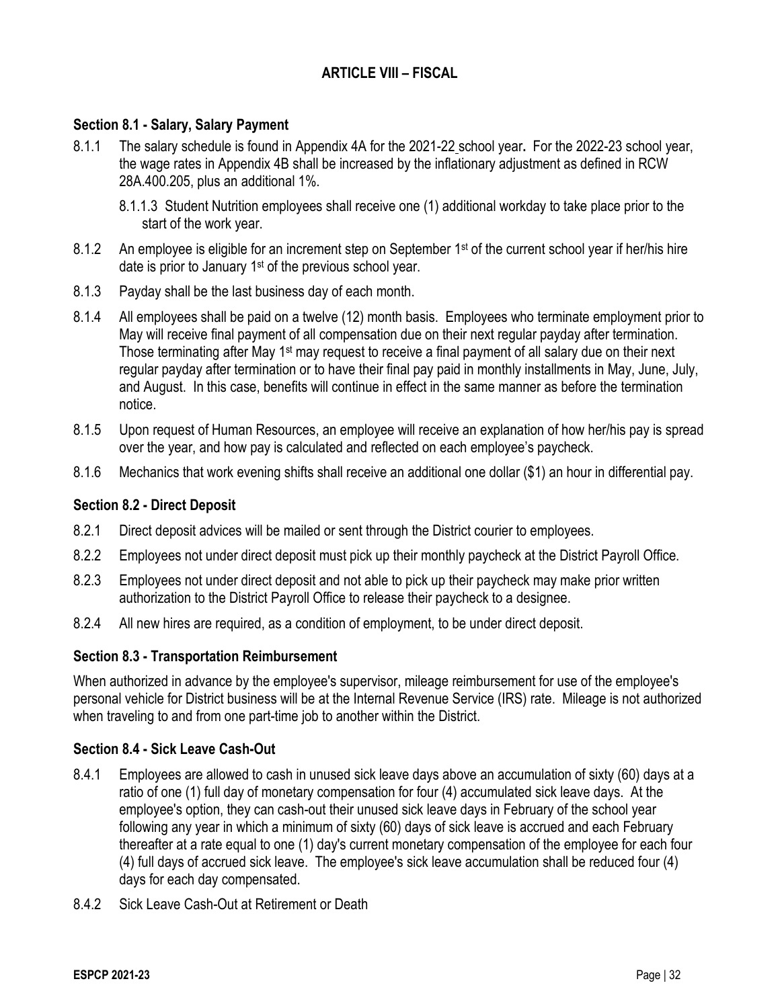## **ARTICLE VIII – FISCAL**

#### **Section 8.1 - Salary, Salary Payment**

- 8.1.1 The salary schedule is found in Appendix 4A for the 2021-22 school year**.** For the 2022-23 school year, the wage rates in Appendix 4B shall be increased by the inflationary adjustment as defined in RCW 28A.400.205, plus an additional 1%.
	- 8.1.1.3 Student Nutrition employees shall receive one (1) additional workday to take place prior to the start of the work year.
- 8.1.2 An employee is eligible for an increment step on September 1<sup>st</sup> of the current school year if her/his hire date is prior to January 1<sup>st</sup> of the previous school year.
- 8.1.3 Payday shall be the last business day of each month.
- 8.1.4 All employees shall be paid on a twelve (12) month basis. Employees who terminate employment prior to May will receive final payment of all compensation due on their next regular payday after termination. Those terminating after May 1<sup>st</sup> may request to receive a final payment of all salary due on their next regular payday after termination or to have their final pay paid in monthly installments in May, June, July, and August. In this case, benefits will continue in effect in the same manner as before the termination notice.
- 8.1.5 Upon request of Human Resources, an employee will receive an explanation of how her/his pay is spread over the year, and how pay is calculated and reflected on each employee's paycheck.
- 8.1.6 Mechanics that work evening shifts shall receive an additional one dollar (\$1) an hour in differential pay.

#### **Section 8.2 - Direct Deposit**

- 8.2.1 Direct deposit advices will be mailed or sent through the District courier to employees.
- 8.2.2 Employees not under direct deposit must pick up their monthly paycheck at the District Payroll Office.
- 8.2.3 Employees not under direct deposit and not able to pick up their paycheck may make prior written authorization to the District Payroll Office to release their paycheck to a designee.
- 8.2.4 All new hires are required, as a condition of employment, to be under direct deposit.

#### **Section 8.3 - Transportation Reimbursement**

When authorized in advance by the employee's supervisor, mileage reimbursement for use of the employee's personal vehicle for District business will be at the Internal Revenue Service (IRS) rate. Mileage is not authorized when traveling to and from one part-time job to another within the District.

## **Section 8.4 - Sick Leave Cash-Out**

- 8.4.1 Employees are allowed to cash in unused sick leave days above an accumulation of sixty (60) days at a ratio of one (1) full day of monetary compensation for four (4) accumulated sick leave days. At the employee's option, they can cash-out their unused sick leave days in February of the school year following any year in which a minimum of sixty (60) days of sick leave is accrued and each February thereafter at a rate equal to one (1) day's current monetary compensation of the employee for each four (4) full days of accrued sick leave. The employee's sick leave accumulation shall be reduced four (4) days for each day compensated.
- 8.4.2 Sick Leave Cash-Out at Retirement or Death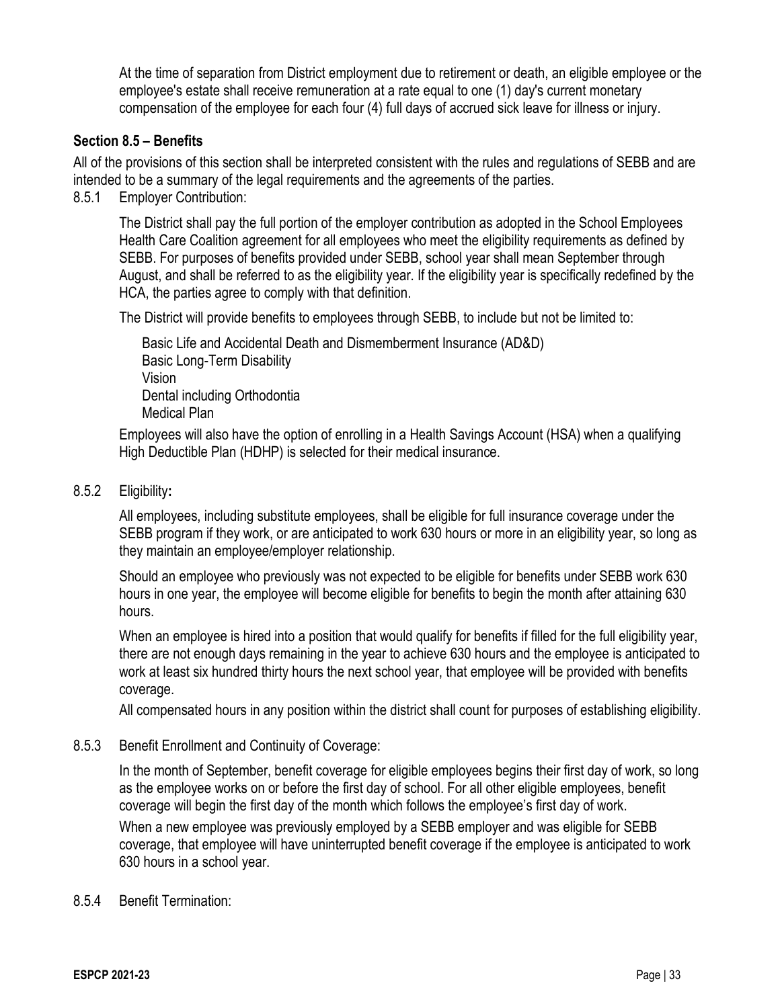At the time of separation from District employment due to retirement or death, an eligible employee or the employee's estate shall receive remuneration at a rate equal to one (1) day's current monetary compensation of the employee for each four (4) full days of accrued sick leave for illness or injury.

### **Section 8.5 – Benefits**

All of the provisions of this section shall be interpreted consistent with the rules and regulations of SEBB and are intended to be a summary of the legal requirements and the agreements of the parties.

8.5.1 Employer Contribution:

The District shall pay the full portion of the employer contribution as adopted in the School Employees Health Care Coalition agreement for all employees who meet the eligibility requirements as defined by SEBB. For purposes of benefits provided under SEBB, school year shall mean September through August, and shall be referred to as the eligibility year. If the eligibility year is specifically redefined by the HCA, the parties agree to comply with that definition.

The District will provide benefits to employees through SEBB, to include but not be limited to:

Basic Life and Accidental Death and Dismemberment Insurance (AD&D) Basic Long-Term Disability Vision Dental including Orthodontia Medical Plan

Employees will also have the option of enrolling in a Health Savings Account (HSA) when a qualifying High Deductible Plan (HDHP) is selected for their medical insurance.

### 8.5.2 Eligibility**:**

All employees, including substitute employees, shall be eligible for full insurance coverage under the SEBB program if they work, or are anticipated to work 630 hours or more in an eligibility year, so long as they maintain an employee/employer relationship.

Should an employee who previously was not expected to be eligible for benefits under SEBB work 630 hours in one year, the employee will become eligible for benefits to begin the month after attaining 630 hours.

When an employee is hired into a position that would qualify for benefits if filled for the full eligibility year, there are not enough days remaining in the year to achieve 630 hours and the employee is anticipated to work at least six hundred thirty hours the next school year, that employee will be provided with benefits coverage.

All compensated hours in any position within the district shall count for purposes of establishing eligibility.

#### 8.5.3 Benefit Enrollment and Continuity of Coverage:

In the month of September, benefit coverage for eligible employees begins their first day of work, so long as the employee works on or before the first day of school. For all other eligible employees, benefit coverage will begin the first day of the month which follows the employee's first day of work.

When a new employee was previously employed by a SEBB employer and was eligible for SEBB coverage, that employee will have uninterrupted benefit coverage if the employee is anticipated to work 630 hours in a school year.

#### 8.5.4 Benefit Termination: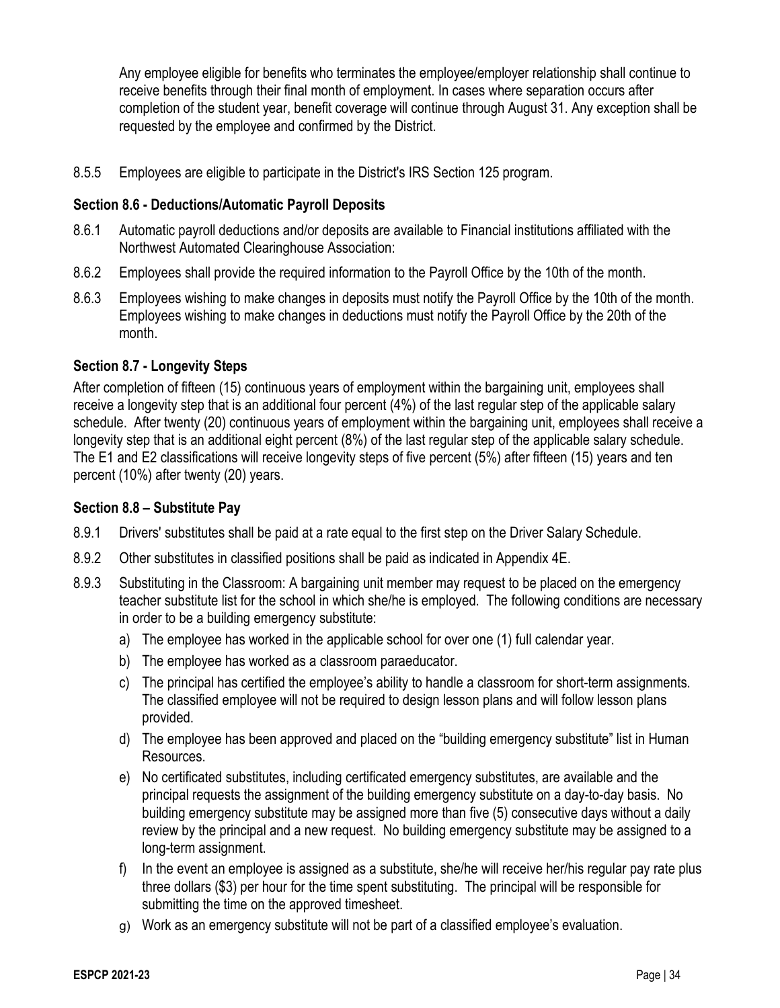Any employee eligible for benefits who terminates the employee/employer relationship shall continue to receive benefits through their final month of employment. In cases where separation occurs after completion of the student year, benefit coverage will continue through August 31. Any exception shall be requested by the employee and confirmed by the District.

8.5.5 Employees are eligible to participate in the District's IRS Section 125 program.

### **Section 8.6 - Deductions/Automatic Payroll Deposits**

- 8.6.1 Automatic payroll deductions and/or deposits are available to Financial institutions affiliated with the Northwest Automated Clearinghouse Association:
- 8.6.2 Employees shall provide the required information to the Payroll Office by the 10th of the month.
- 8.6.3 Employees wishing to make changes in deposits must notify the Payroll Office by the 10th of the month. Employees wishing to make changes in deductions must notify the Payroll Office by the 20th of the month.

### **Section 8.7 - Longevity Steps**

After completion of fifteen (15) continuous years of employment within the bargaining unit, employees shall receive a longevity step that is an additional four percent (4%) of the last regular step of the applicable salary schedule. After twenty (20) continuous years of employment within the bargaining unit, employees shall receive a longevity step that is an additional eight percent (8%) of the last regular step of the applicable salary schedule. The E1 and E2 classifications will receive longevity steps of five percent (5%) after fifteen (15) years and ten percent (10%) after twenty (20) years.

#### **Section 8.8 – Substitute Pay**

- 8.9.1 Drivers' substitutes shall be paid at a rate equal to the first step on the Driver Salary Schedule.
- 8.9.2 Other substitutes in classified positions shall be paid as indicated in Appendix 4E.
- 8.9.3 Substituting in the Classroom: A bargaining unit member may request to be placed on the emergency teacher substitute list for the school in which she/he is employed. The following conditions are necessary in order to be a building emergency substitute:
	- a) The employee has worked in the applicable school for over one (1) full calendar year.
	- b) The employee has worked as a classroom paraeducator.
	- c) The principal has certified the employee's ability to handle a classroom for short-term assignments. The classified employee will not be required to design lesson plans and will follow lesson plans provided.
	- d) The employee has been approved and placed on the "building emergency substitute" list in Human Resources.
	- e) No certificated substitutes, including certificated emergency substitutes, are available and the principal requests the assignment of the building emergency substitute on a day-to-day basis. No building emergency substitute may be assigned more than five (5) consecutive days without a daily review by the principal and a new request. No building emergency substitute may be assigned to a long-term assignment.
	- f) In the event an employee is assigned as a substitute, she/he will receive her/his regular pay rate plus three dollars (\$3) per hour for the time spent substituting. The principal will be responsible for submitting the time on the approved timesheet.
	- g) Work as an emergency substitute will not be part of a classified employee's evaluation.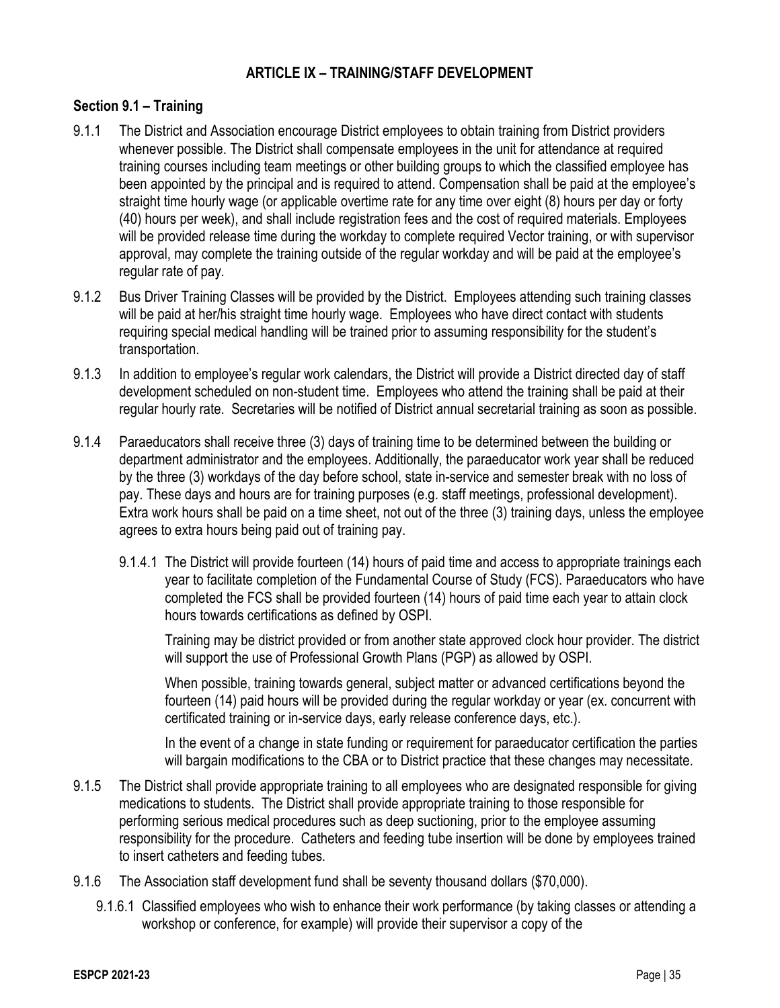## **ARTICLE IX – TRAINING/STAFF DEVELOPMENT**

### **Section 9.1 – Training**

- 9.1.1 The District and Association encourage District employees to obtain training from District providers whenever possible. The District shall compensate employees in the unit for attendance at required training courses including team meetings or other building groups to which the classified employee has been appointed by the principal and is required to attend. Compensation shall be paid at the employee's straight time hourly wage (or applicable overtime rate for any time over eight (8) hours per day or forty (40) hours per week), and shall include registration fees and the cost of required materials. Employees will be provided release time during the workday to complete required Vector training, or with supervisor approval, may complete the training outside of the regular workday and will be paid at the employee's regular rate of pay.
- 9.1.2 Bus Driver Training Classes will be provided by the District. Employees attending such training classes will be paid at her/his straight time hourly wage. Employees who have direct contact with students requiring special medical handling will be trained prior to assuming responsibility for the student's transportation.
- 9.1.3 In addition to employee's regular work calendars, the District will provide a District directed day of staff development scheduled on non-student time. Employees who attend the training shall be paid at their regular hourly rate. Secretaries will be notified of District annual secretarial training as soon as possible.
- 9.1.4 Paraeducators shall receive three (3) days of training time to be determined between the building or department administrator and the employees. Additionally, the paraeducator work year shall be reduced by the three (3) workdays of the day before school, state in-service and semester break with no loss of pay. These days and hours are for training purposes (e.g. staff meetings, professional development). Extra work hours shall be paid on a time sheet, not out of the three (3) training days, unless the employee agrees to extra hours being paid out of training pay.
	- 9.1.4.1 The District will provide fourteen (14) hours of paid time and access to appropriate trainings each year to facilitate completion of the Fundamental Course of Study (FCS). Paraeducators who have completed the FCS shall be provided fourteen (14) hours of paid time each year to attain clock hours towards certifications as defined by OSPI.

Training may be district provided or from another state approved clock hour provider. The district will support the use of Professional Growth Plans (PGP) as allowed by OSPI.

When possible, training towards general, subject matter or advanced certifications beyond the fourteen (14) paid hours will be provided during the regular workday or year (ex. concurrent with certificated training or in-service days, early release conference days, etc.).

In the event of a change in state funding or requirement for paraeducator certification the parties will bargain modifications to the CBA or to District practice that these changes may necessitate.

- 9.1.5 The District shall provide appropriate training to all employees who are designated responsible for giving medications to students. The District shall provide appropriate training to those responsible for performing serious medical procedures such as deep suctioning, prior to the employee assuming responsibility for the procedure. Catheters and feeding tube insertion will be done by employees trained to insert catheters and feeding tubes.
- 9.1.6 The Association staff development fund shall be seventy thousand dollars (\$70,000).
	- 9.1.6.1 Classified employees who wish to enhance their work performance (by taking classes or attending a workshop or conference, for example) will provide their supervisor a copy of the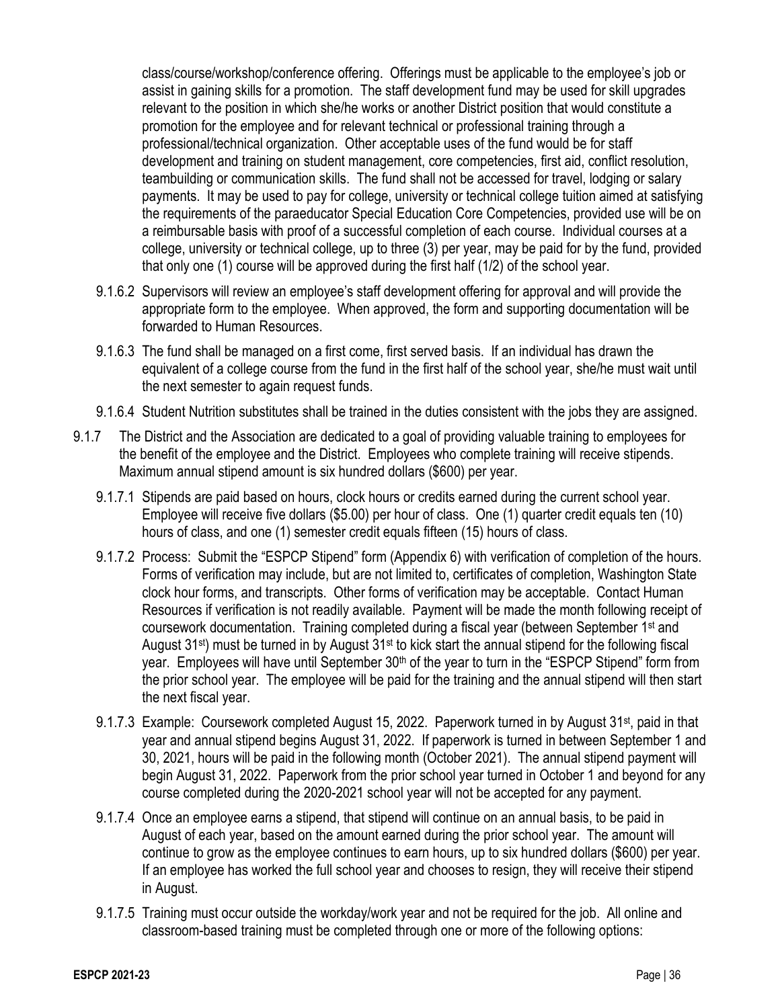class/course/workshop/conference offering. Offerings must be applicable to the employee's job or assist in gaining skills for a promotion. The staff development fund may be used for skill upgrades relevant to the position in which she/he works or another District position that would constitute a promotion for the employee and for relevant technical or professional training through a professional/technical organization. Other acceptable uses of the fund would be for staff development and training on student management, core competencies, first aid, conflict resolution, teambuilding or communication skills. The fund shall not be accessed for travel, lodging or salary payments. It may be used to pay for college, university or technical college tuition aimed at satisfying the requirements of the paraeducator Special Education Core Competencies, provided use will be on a reimbursable basis with proof of a successful completion of each course. Individual courses at a college, university or technical college, up to three (3) per year, may be paid for by the fund, provided that only one (1) course will be approved during the first half (1/2) of the school year.

- 9.1.6.2 Supervisors will review an employee's staff development offering for approval and will provide the appropriate form to the employee. When approved, the form and supporting documentation will be forwarded to Human Resources.
- 9.1.6.3 The fund shall be managed on a first come, first served basis. If an individual has drawn the equivalent of a college course from the fund in the first half of the school year, she/he must wait until the next semester to again request funds.
- 9.1.6.4 Student Nutrition substitutes shall be trained in the duties consistent with the jobs they are assigned.
- 9.1.7 The District and the Association are dedicated to a goal of providing valuable training to employees for the benefit of the employee and the District. Employees who complete training will receive stipends. Maximum annual stipend amount is six hundred dollars (\$600) per year.
	- 9.1.7.1 Stipends are paid based on hours, clock hours or credits earned during the current school year. Employee will receive five dollars (\$5.00) per hour of class. One (1) quarter credit equals ten (10) hours of class, and one (1) semester credit equals fifteen (15) hours of class.
	- 9.1.7.2 Process: Submit the "ESPCP Stipend" form (Appendix 6) with verification of completion of the hours. Forms of verification may include, but are not limited to, certificates of completion, Washington State clock hour forms, and transcripts. Other forms of verification may be acceptable. Contact Human Resources if verification is not readily available. Payment will be made the month following receipt of coursework documentation. Training completed during a fiscal year (between September 1st and August 31st) must be turned in by August 31st to kick start the annual stipend for the following fiscal year. Employees will have until September 30<sup>th</sup> of the year to turn in the "ESPCP Stipend" form from the prior school year. The employee will be paid for the training and the annual stipend will then start the next fiscal year.
	- 9.1.7.3 Example: Coursework completed August 15, 2022. Paperwork turned in by August 31st, paid in that year and annual stipend begins August 31, 2022. If paperwork is turned in between September 1 and 30, 2021, hours will be paid in the following month (October 2021). The annual stipend payment will begin August 31, 2022. Paperwork from the prior school year turned in October 1 and beyond for any course completed during the 2020-2021 school year will not be accepted for any payment.
	- 9.1.7.4 Once an employee earns a stipend, that stipend will continue on an annual basis, to be paid in August of each year, based on the amount earned during the prior school year. The amount will continue to grow as the employee continues to earn hours, up to six hundred dollars (\$600) per year. If an employee has worked the full school year and chooses to resign, they will receive their stipend in August.
	- 9.1.7.5 Training must occur outside the workday/work year and not be required for the job. All online and classroom-based training must be completed through one or more of the following options: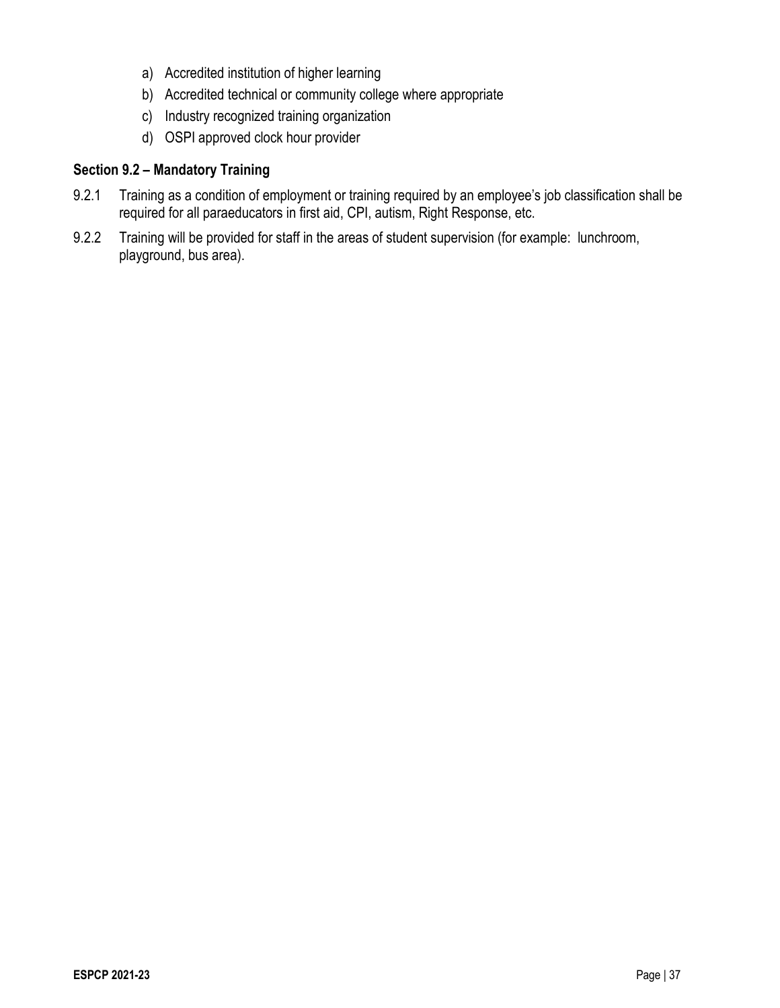- a) Accredited institution of higher learning
- b) Accredited technical or community college where appropriate
- c) Industry recognized training organization
- d) OSPI approved clock hour provider

## **Section 9.2 – Mandatory Training**

- 9.2.1 Training as a condition of employment or training required by an employee's job classification shall be required for all paraeducators in first aid, CPI, autism, Right Response, etc.
- 9.2.2 Training will be provided for staff in the areas of student supervision (for example: lunchroom, playground, bus area).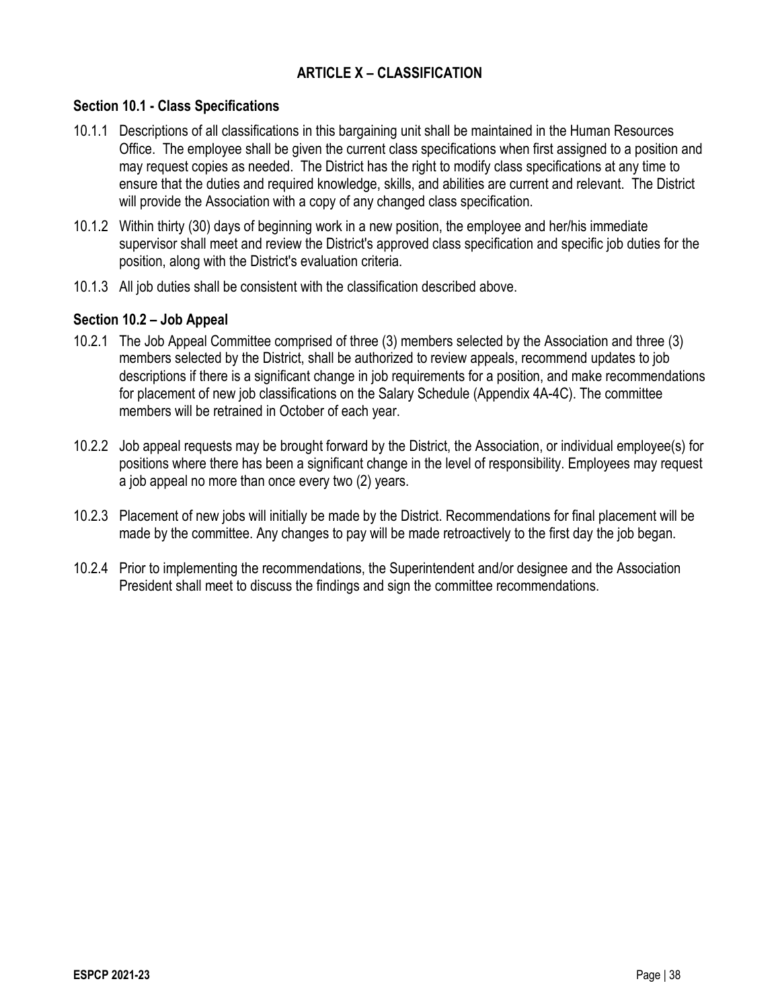## **ARTICLE X – CLASSIFICATION**

#### **Section 10.1 - Class Specifications**

- 10.1.1 Descriptions of all classifications in this bargaining unit shall be maintained in the Human Resources Office. The employee shall be given the current class specifications when first assigned to a position and may request copies as needed. The District has the right to modify class specifications at any time to ensure that the duties and required knowledge, skills, and abilities are current and relevant. The District will provide the Association with a copy of any changed class specification.
- 10.1.2 Within thirty (30) days of beginning work in a new position, the employee and her/his immediate supervisor shall meet and review the District's approved class specification and specific job duties for the position, along with the District's evaluation criteria.
- 10.1.3 All job duties shall be consistent with the classification described above.

### **Section 10.2 – Job Appeal**

- 10.2.1 The Job Appeal Committee comprised of three (3) members selected by the Association and three (3) members selected by the District, shall be authorized to review appeals, recommend updates to job descriptions if there is a significant change in job requirements for a position, and make recommendations for placement of new job classifications on the Salary Schedule (Appendix 4A-4C). The committee members will be retrained in October of each year.
- 10.2.2 Job appeal requests may be brought forward by the District, the Association, or individual employee(s) for positions where there has been a significant change in the level of responsibility. Employees may request a job appeal no more than once every two (2) years.
- 10.2.3 Placement of new jobs will initially be made by the District. Recommendations for final placement will be made by the committee. Any changes to pay will be made retroactively to the first day the job began.
- 10.2.4 Prior to implementing the recommendations, the Superintendent and/or designee and the Association President shall meet to discuss the findings and sign the committee recommendations.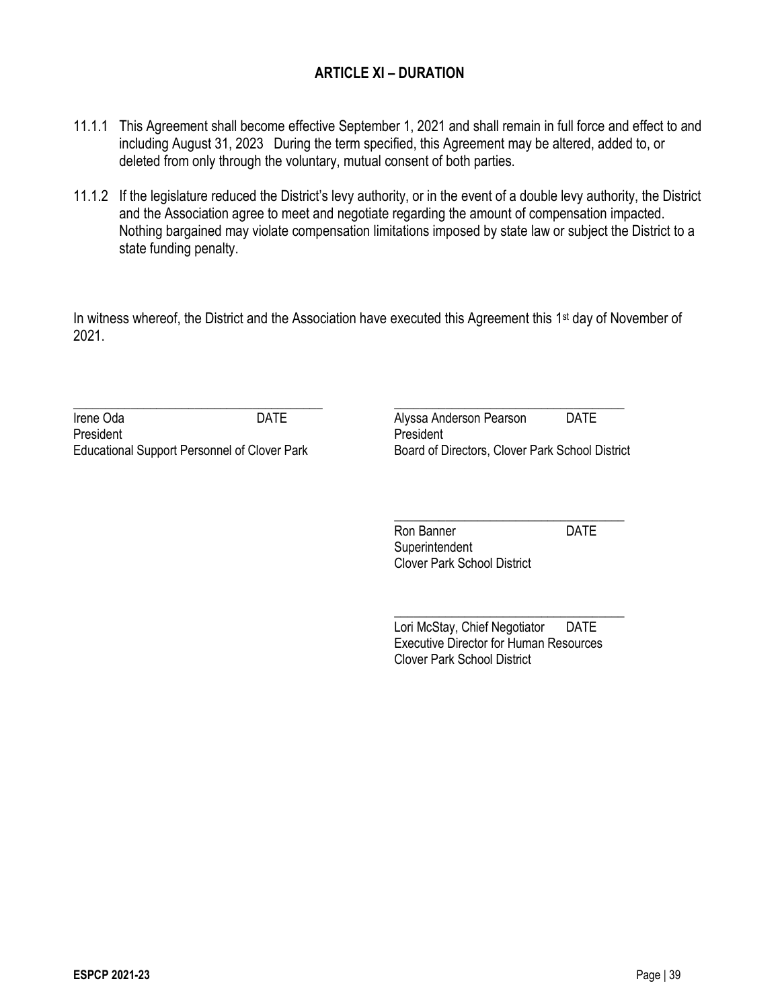## **ARTICLE XI – DURATION**

- 11.1.1 This Agreement shall become effective September 1, 2021 and shall remain in full force and effect to and including August 31, 2023 During the term specified, this Agreement may be altered, added to, or deleted from only through the voluntary, mutual consent of both parties.
- 11.1.2 If the legislature reduced the District's levy authority, or in the event of a double levy authority, the District and the Association agree to meet and negotiate regarding the amount of compensation impacted. Nothing bargained may violate compensation limitations imposed by state law or subject the District to a state funding penalty.

In witness whereof, the District and the Association have executed this Agreement this 1<sup>st</sup> day of November of 2021.

\_\_\_\_\_\_\_\_\_\_\_\_\_\_\_\_\_\_\_\_\_\_\_\_\_\_\_\_\_\_\_\_\_\_\_\_\_\_\_ \_\_\_\_\_\_\_\_\_\_\_\_\_\_\_\_\_\_\_\_\_\_\_\_\_\_\_\_\_\_\_\_\_\_\_\_ Irene Oda **DATE CONSIDENT CONSIDER Alyssa Anderson Pearson DATE** President **President President** Educational Support Personnel of Clover Park Board of Directors, Clover Park School District

\_\_\_\_\_\_\_\_\_\_\_\_\_\_\_\_\_\_\_\_\_\_\_\_\_\_\_\_\_\_\_\_\_\_\_\_ Ron Banner **DATE Superintendent** Clover Park School District

\_\_\_\_\_\_\_\_\_\_\_\_\_\_\_\_\_\_\_\_\_\_\_\_\_\_\_\_\_\_\_\_\_\_\_\_ Lori McStay, Chief Negotiator DATE Executive Director for Human Resources Clover Park School District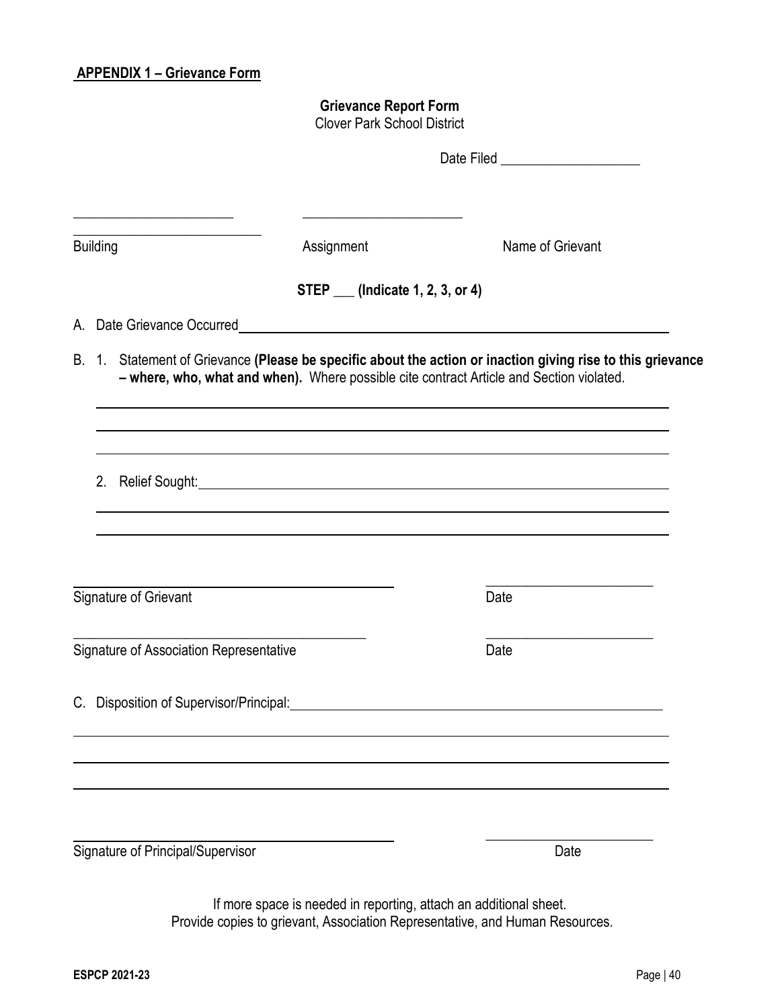## **APPENDIX 1 – Grievance Form**

## **Grievance Report Form**

Clover Park School District

|                                         |                                   | Date Filed ______________________                                                                                                                                                                       |
|-----------------------------------------|-----------------------------------|---------------------------------------------------------------------------------------------------------------------------------------------------------------------------------------------------------|
| <b>Building</b>                         | Assignment                        | Name of Grievant                                                                                                                                                                                        |
|                                         | STEP ___ (Indicate 1, 2, 3, or 4) |                                                                                                                                                                                                         |
|                                         |                                   |                                                                                                                                                                                                         |
|                                         |                                   | B. 1. Statement of Grievance (Please be specific about the action or inaction giving rise to this grievance<br>- where, who, what and when). Where possible cite contract Article and Section violated. |
|                                         |                                   | 2. Relief Sought: <u>Alexander Communication</u> Communication of the Sought:                                                                                                                           |
| Signature of Grievant                   |                                   | Date                                                                                                                                                                                                    |
| Signature of Association Representative |                                   | the control of the control of the control of<br>Date                                                                                                                                                    |
| C. Disposition of Supervisor/Principal: |                                   |                                                                                                                                                                                                         |
|                                         |                                   |                                                                                                                                                                                                         |
| Signature of Principal/Supervisor       |                                   | Date                                                                                                                                                                                                    |

If more space is needed in reporting, attach an additional sheet. Provide copies to grievant, Association Representative, and Human Resources.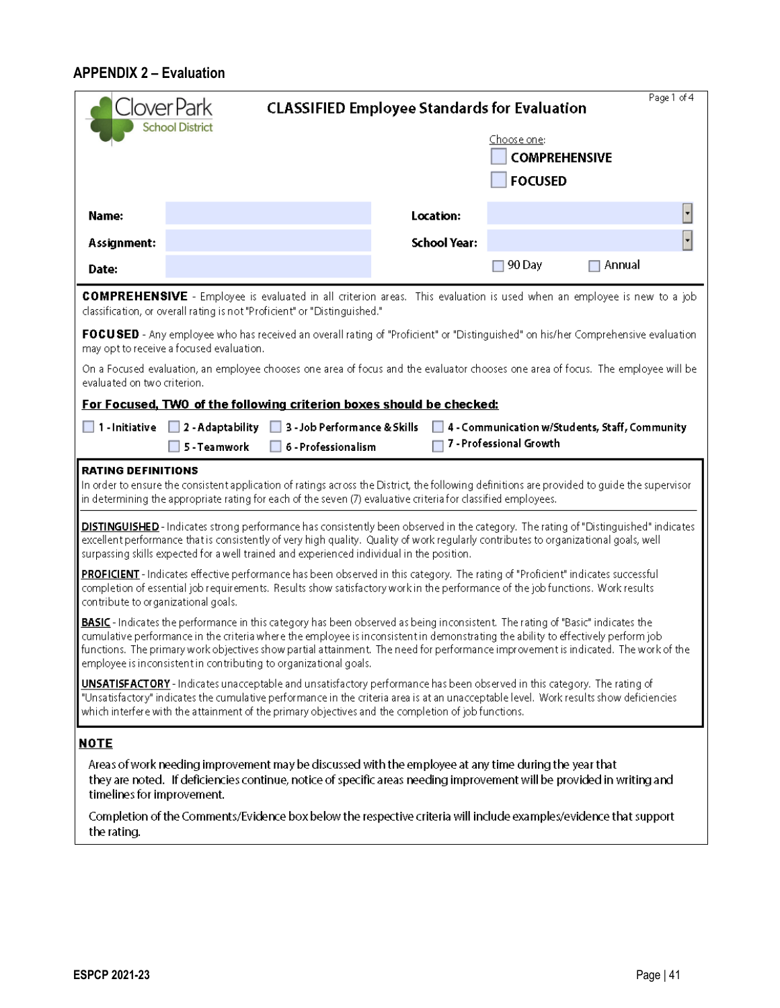## **APPENDIX 2 – Evaluation**

|                                     | lover Park                                                                                                                                                                                                                                                                                                                                                                                                                                                                      | <b>CLASSIFIED Employee Standards for Evaluation</b> |                                        | Page 1 of 4                                    |
|-------------------------------------|---------------------------------------------------------------------------------------------------------------------------------------------------------------------------------------------------------------------------------------------------------------------------------------------------------------------------------------------------------------------------------------------------------------------------------------------------------------------------------|-----------------------------------------------------|----------------------------------------|------------------------------------------------|
|                                     | <b>School District</b>                                                                                                                                                                                                                                                                                                                                                                                                                                                          |                                                     | Choose one:                            |                                                |
|                                     |                                                                                                                                                                                                                                                                                                                                                                                                                                                                                 |                                                     | <b>COMPREHENSIVE</b><br><b>FOCUSED</b> |                                                |
|                                     |                                                                                                                                                                                                                                                                                                                                                                                                                                                                                 |                                                     |                                        |                                                |
| Name:                               |                                                                                                                                                                                                                                                                                                                                                                                                                                                                                 | Location:                                           |                                        |                                                |
| Assignment:                         |                                                                                                                                                                                                                                                                                                                                                                                                                                                                                 | <b>School Year:</b>                                 |                                        |                                                |
| Date:                               |                                                                                                                                                                                                                                                                                                                                                                                                                                                                                 |                                                     | 90 Day                                 | Annual                                         |
|                                     | <b>COMPREHENSIVE</b> - Employee is evaluated in all criterion areas. This evaluation is used when an employee is new to a job<br>classification, or overall rating is not "Proficient" or "Distinguished."                                                                                                                                                                                                                                                                      |                                                     |                                        |                                                |
|                                     | FOCUSED - Any employee who has received an overall rating of "Proficient" or "Distinguished" on his/her Comprehensive evaluation<br>may opt to receive a focused evaluation.                                                                                                                                                                                                                                                                                                    |                                                     |                                        |                                                |
| evaluated on two criterion.         | On a Focused evaluation, an employee chooses one area of focus and the evaluator chooses one area of focus. The employee will be                                                                                                                                                                                                                                                                                                                                                |                                                     |                                        |                                                |
|                                     | For Focused, TWO of the following criterion boxes should be checked:                                                                                                                                                                                                                                                                                                                                                                                                            |                                                     |                                        |                                                |
| $\Box$ 1 - Initiative               | $\Box$ 2 - Adaptability<br>3 - Job Performance & Skills                                                                                                                                                                                                                                                                                                                                                                                                                         |                                                     | 7 - Professional Growth                | 4 - Communication w/Students, Staff, Community |
|                                     | 5 - Teamwork<br>6 - Professionalism                                                                                                                                                                                                                                                                                                                                                                                                                                             |                                                     |                                        |                                                |
| <b>RATING DEFINITIONS</b>           | In order to ensure the consistent application of ratings across the District, the following definitions are provided to guide the supervisor<br>in determining the appropriate rating for each of the seven (7) evaluative criteriafor classified employees.                                                                                                                                                                                                                    |                                                     |                                        |                                                |
|                                     | DISTINGUISHED-Indicates strong performance has consistently been observed in the category. The rating of "Distinguished" indicates<br>excellent performance that is consistently of very high quality. Quality of work regularly contributes to organizational goals, well<br>surpassing skills expected for a well trained and experienced individual in the position.                                                                                                         |                                                     |                                        |                                                |
| contribute to organizational goals. | PROFICIENT - Indicates effective performance has been observed in this category. The rating of "Proficient" indicates successful<br>completion of essential job requirements. Results show satisfactory work in the performance of the job functions. Work results                                                                                                                                                                                                              |                                                     |                                        |                                                |
|                                     | BASIC - Indicates the performance in this category has been observed as being inconsistent. The rating of "Basic" indicates the<br>cumulative performance in the criteria where the employee is inconsistent in demonstrating the ability to effectively perform job<br>functions. The primary work objectives show partial attainment. The need for performance improvement is indicated. The work of the<br>employee is inconsistent in contributing to organizational goals. |                                                     |                                        |                                                |
|                                     | UNSATISFACTORY - Indicates unacceptable and unsatisfactory performance has been observed in this category. The rating of<br>"Unsatisfactory" indicates the cumulative performance in the criteria area is at an unacceptable level. Work results show deficiencies<br>which interfere with the attainment of the primary objectives and the completion of job functions.                                                                                                        |                                                     |                                        |                                                |
| <u>NOTE</u>                         |                                                                                                                                                                                                                                                                                                                                                                                                                                                                                 |                                                     |                                        |                                                |
| timelines for improvement.          | Areas of work needing improvement may be discussed with the employee at any time during the year that<br>they are noted. If deficiencies continue, notice of specific areas needing improvement will be provided in writing and                                                                                                                                                                                                                                                 |                                                     |                                        |                                                |
| the rating.                         | Completion of the Comments/Evidence box below the respective criteria will include examples/evidence that support                                                                                                                                                                                                                                                                                                                                                               |                                                     |                                        |                                                |
|                                     |                                                                                                                                                                                                                                                                                                                                                                                                                                                                                 |                                                     |                                        |                                                |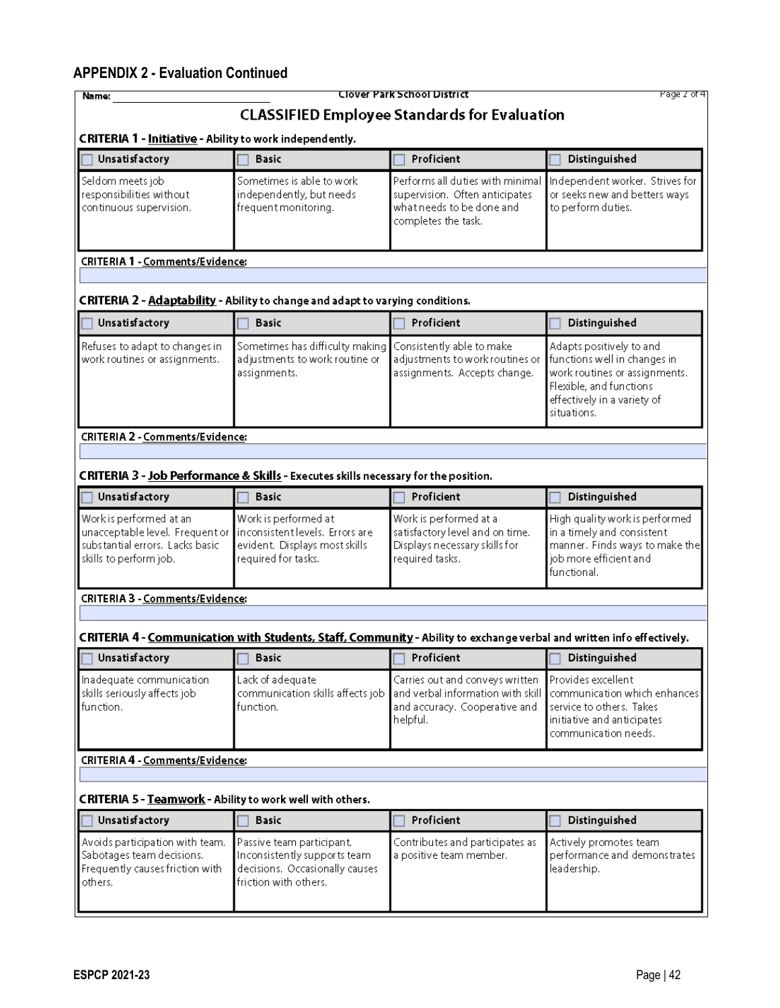## **APPENDIX 2 - Evaluation Continued**

| Name:                                                                                                                   |                                                                                                                       | Clover Park School District                                                                                            | Page 2 of 4                                                                                                                                                        |
|-------------------------------------------------------------------------------------------------------------------------|-----------------------------------------------------------------------------------------------------------------------|------------------------------------------------------------------------------------------------------------------------|--------------------------------------------------------------------------------------------------------------------------------------------------------------------|
|                                                                                                                         |                                                                                                                       | <b>CLASSIFIED Employee Standards for Evaluation</b>                                                                    |                                                                                                                                                                    |
| <b>CRITERIA 1 - Initiative - Ability to work independently.</b>                                                         |                                                                                                                       |                                                                                                                        |                                                                                                                                                                    |
| <b>Unsatisfactory</b>                                                                                                   | <b>Basic</b>                                                                                                          | Proficient                                                                                                             | Distinguished                                                                                                                                                      |
| Seldom meets job<br>responsibilities without<br>continuous supervision.                                                 | Sometimes is able to work<br>independently, but needs<br>frequent monitoring.                                         | Performs all duties with minimal<br>supervision. Often anticipates<br>what needs to be done and<br>completes the task. | Independent worker. Strives for<br>or seeks new and betters ways<br>to perform duties.                                                                             |
| <b>CRITERIA 1 - Comments/Evidence:</b>                                                                                  |                                                                                                                       |                                                                                                                        |                                                                                                                                                                    |
|                                                                                                                         |                                                                                                                       |                                                                                                                        |                                                                                                                                                                    |
|                                                                                                                         | CRITERIA 2 - Adaptability - Ability to change and adapt to varying conditions.                                        |                                                                                                                        |                                                                                                                                                                    |
| <b>Unsatisfactory</b>                                                                                                   | <b>Basic</b>                                                                                                          | Proficient                                                                                                             | Distinguished                                                                                                                                                      |
| Refuses to adapt to changes in<br>work routines or assignments.                                                         | Sometimes has difficulty making<br>adjustments to work routine or<br>assignments.                                     | Consistently able to make<br>adjustments to work routines or<br>assignments. Accepts change.                           | Adapts positively to and<br>functions well in changes in<br>work routines or assignments.<br>Flexible, and functions<br>effectively in a variety of<br>situations. |
| CRITERIA 2 - Comments/Evidence:                                                                                         |                                                                                                                       |                                                                                                                        |                                                                                                                                                                    |
|                                                                                                                         |                                                                                                                       |                                                                                                                        |                                                                                                                                                                    |
|                                                                                                                         | CRITERIA 3 - Job Performance & Skills - Executes skills necessary for the position.                                   |                                                                                                                        |                                                                                                                                                                    |
| <b>Unsatisfactory</b>                                                                                                   | <b>Basic</b>                                                                                                          | Proficient                                                                                                             | Distinguished                                                                                                                                                      |
| Work is performed at an<br>unacceptable level. Frequent or<br>substantial errors. Lacks basic<br>skills to perform job. | Work is performed at<br>Inconsistent levels. Errors are<br>evident. Displays most skills<br>required for tasks.       | Work is performed at a<br>satisfactory level and on time.<br>Displays necessary skills for<br>required tasks.          | High quality work is performed<br>in a timely and consistent<br>manner. Finds ways to make the<br>job more efficient and<br>functional.                            |
| CRITERIA 3 - Comments/Evidence:                                                                                         |                                                                                                                       |                                                                                                                        |                                                                                                                                                                    |
|                                                                                                                         |                                                                                                                       |                                                                                                                        |                                                                                                                                                                    |
|                                                                                                                         | CRITERIA 4 - Communication with Students, Staff, Community - Ability to exchange verbal and written info effectively. |                                                                                                                        |                                                                                                                                                                    |
| $\Box$ Unsatisfactory                                                                                                   | <b>Basic</b><br>г                                                                                                     | Proficient                                                                                                             | Distinguished                                                                                                                                                      |
| Inadequate communication<br>skills seriously affects job<br>function.                                                   | Lack of adequate<br>communication skills affects job<br>function.                                                     | Carries out and conveys written<br>and verbal information with skill<br>and accuracy. Cooperative and<br>helpful.      | Provides excellent<br>communication which enhances<br>service to others. Takes<br>initiative and anticipates<br>communication needs.                               |
| <b>CRITERIA 4 - Comments/Evidence:</b>                                                                                  |                                                                                                                       |                                                                                                                        |                                                                                                                                                                    |
| CRITERIA 5 - Teamwork - Ability to work well with others.                                                               |                                                                                                                       |                                                                                                                        |                                                                                                                                                                    |
| <b>Unsatisfactory</b>                                                                                                   | <b>Basic</b>                                                                                                          | Proficient                                                                                                             | Distinguished                                                                                                                                                      |
| Avoids participation with team.<br>Sabotages team decisions.<br>Frequently causes friction with<br>others.              | Passive team participant.<br>Inconsistently supports team.<br>decisions. Occasionally causes<br>friction with others. | Contributes and participates as<br>a positive team member.                                                             | Actively promotes team<br>performance and demonstrates.<br>leadership.                                                                                             |
|                                                                                                                         |                                                                                                                       |                                                                                                                        |                                                                                                                                                                    |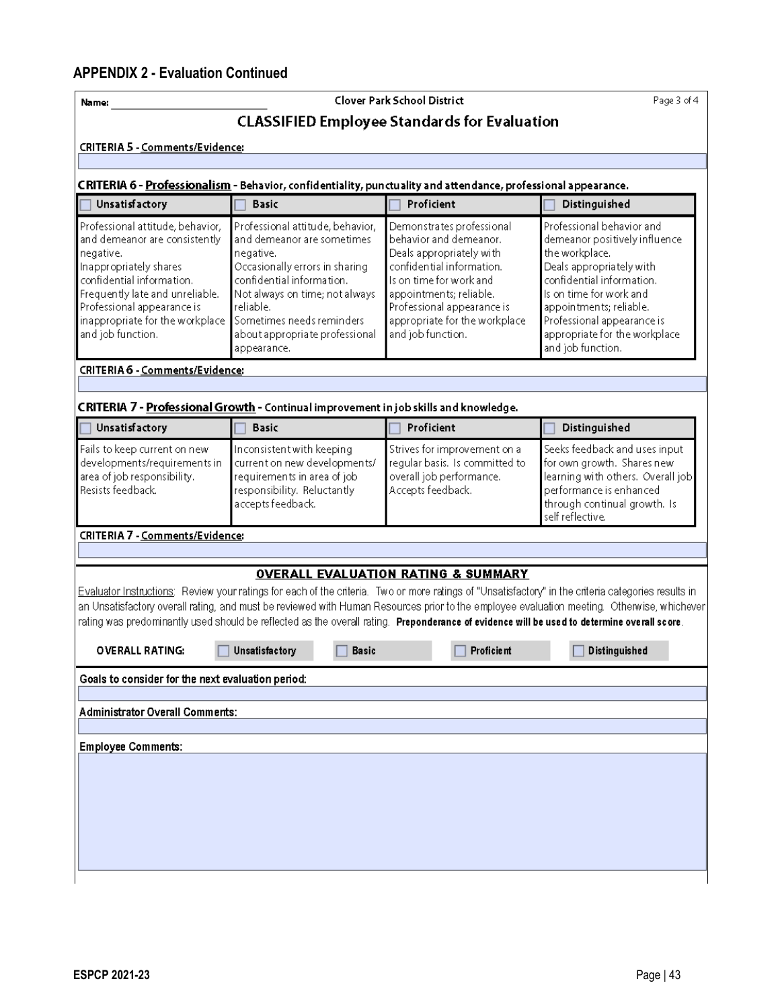| Name:                                                                                                                                                                                                                                                          |                                                                                                                                                                                                                                                                         | Clover Park School District                                                                                                                                                                                                                            | Page 3 of 4                                                                                                                                                                                                                                                                                                        |
|----------------------------------------------------------------------------------------------------------------------------------------------------------------------------------------------------------------------------------------------------------------|-------------------------------------------------------------------------------------------------------------------------------------------------------------------------------------------------------------------------------------------------------------------------|--------------------------------------------------------------------------------------------------------------------------------------------------------------------------------------------------------------------------------------------------------|--------------------------------------------------------------------------------------------------------------------------------------------------------------------------------------------------------------------------------------------------------------------------------------------------------------------|
|                                                                                                                                                                                                                                                                |                                                                                                                                                                                                                                                                         | <b>CLASSIFIED Employee Standards for Evaluation</b>                                                                                                                                                                                                    |                                                                                                                                                                                                                                                                                                                    |
| <b>CRITERIA 5 - Comments/Evidence:</b>                                                                                                                                                                                                                         |                                                                                                                                                                                                                                                                         |                                                                                                                                                                                                                                                        |                                                                                                                                                                                                                                                                                                                    |
|                                                                                                                                                                                                                                                                |                                                                                                                                                                                                                                                                         |                                                                                                                                                                                                                                                        |                                                                                                                                                                                                                                                                                                                    |
| <b>Unsatisfactory</b>                                                                                                                                                                                                                                          | CRITERIA 6 - Professionalism - Behavior, confidentiality, punctuality and attendance, professional appearance.<br><b>Basic</b>                                                                                                                                          | Proficient                                                                                                                                                                                                                                             | Distinguished                                                                                                                                                                                                                                                                                                      |
| Professional attitude, behavior,<br>and demeanor are consistently<br>negative.<br>Inappropriately shares<br>confidential information.<br>Frequently late and unreliable.<br>Professional appearance is<br>inappropriate for the workplace<br>and job function. | Professional attitude, behavior,<br>and demeanor are sometimes<br>negative.<br>Occasionally errors in sharing<br>confidential information.<br>Not always on time; not always<br>reliable.<br>Sometimes needs reminders<br>about appropriate professional<br>appearance. | Demonstrates professional<br>behavior and demeanor.<br>Deals appropriately with<br>confidential information.<br>Is on time for work and<br>appointments; reliable.<br>Professional appearance is<br>appropriate for the workplace<br>and job function. | Professional behavior and<br>demeanor positively influence<br>the workplace.<br>Deals appropriately with<br>confidential information.<br>Is on time for work and<br>appointments; reliable.<br>Professional appearance is<br>appropriate for the workplace<br>and job function.                                    |
| CRITERIA 6 - Comments/Evidence:                                                                                                                                                                                                                                |                                                                                                                                                                                                                                                                         |                                                                                                                                                                                                                                                        |                                                                                                                                                                                                                                                                                                                    |
|                                                                                                                                                                                                                                                                |                                                                                                                                                                                                                                                                         |                                                                                                                                                                                                                                                        |                                                                                                                                                                                                                                                                                                                    |
| Unsatisfactory                                                                                                                                                                                                                                                 | CRITERIA 7 - Professional Growth - Continual improvement in job skills and knowledge.<br><b>Basic</b>                                                                                                                                                                   | Proficient                                                                                                                                                                                                                                             | Distinguished                                                                                                                                                                                                                                                                                                      |
| Fails to keep current on new<br>developments/requirements in<br>area of job responsibility.<br>Resists feedback.                                                                                                                                               | Inconsistent with keeping<br>current on new developments/<br>requirements in area of job<br>responsibility. Reluctantly<br>accepts feedback.                                                                                                                            | Strives for improvement on a<br>regular basis. Is committed to<br>overall job performance.<br>Accepts feedback.                                                                                                                                        | Seeks feedback and uses input<br>for own growth. Shares new<br>learning with others. Overall job<br>performance is enhanced<br>through continual growth. Is<br>self reflective.                                                                                                                                    |
| CRITERIA 7 - Comments/Evidence:                                                                                                                                                                                                                                |                                                                                                                                                                                                                                                                         |                                                                                                                                                                                                                                                        |                                                                                                                                                                                                                                                                                                                    |
|                                                                                                                                                                                                                                                                |                                                                                                                                                                                                                                                                         |                                                                                                                                                                                                                                                        |                                                                                                                                                                                                                                                                                                                    |
| <b>OVERALL RATING:</b>                                                                                                                                                                                                                                         | rating was predominantly used should be reflected as the overall rating. Preponderance of evidence will be used to determine overall score.<br>Unsatisfactory<br>Basic                                                                                                  | <b>OVERALL EVALUATION RATING &amp; SUMMARY</b><br>Proficie nt                                                                                                                                                                                          | Evaluator Instructions: Review your ratings for each of the criteria. Two or more ratings of "Unsatisfactory" in the criteria categories results in<br>an Unsatisfactory overall rating, and must be reviewed with Human Resources prior to the employee evaluation meeting. Otherwise, whichever<br>Distinguished |
| Goals to consider for the next evaluation period:                                                                                                                                                                                                              |                                                                                                                                                                                                                                                                         |                                                                                                                                                                                                                                                        |                                                                                                                                                                                                                                                                                                                    |
|                                                                                                                                                                                                                                                                |                                                                                                                                                                                                                                                                         |                                                                                                                                                                                                                                                        |                                                                                                                                                                                                                                                                                                                    |
| <b>Administrator Overall Comments:</b>                                                                                                                                                                                                                         |                                                                                                                                                                                                                                                                         |                                                                                                                                                                                                                                                        |                                                                                                                                                                                                                                                                                                                    |
| <b>Employee Comments:</b>                                                                                                                                                                                                                                      |                                                                                                                                                                                                                                                                         |                                                                                                                                                                                                                                                        |                                                                                                                                                                                                                                                                                                                    |
|                                                                                                                                                                                                                                                                |                                                                                                                                                                                                                                                                         |                                                                                                                                                                                                                                                        |                                                                                                                                                                                                                                                                                                                    |
|                                                                                                                                                                                                                                                                |                                                                                                                                                                                                                                                                         |                                                                                                                                                                                                                                                        |                                                                                                                                                                                                                                                                                                                    |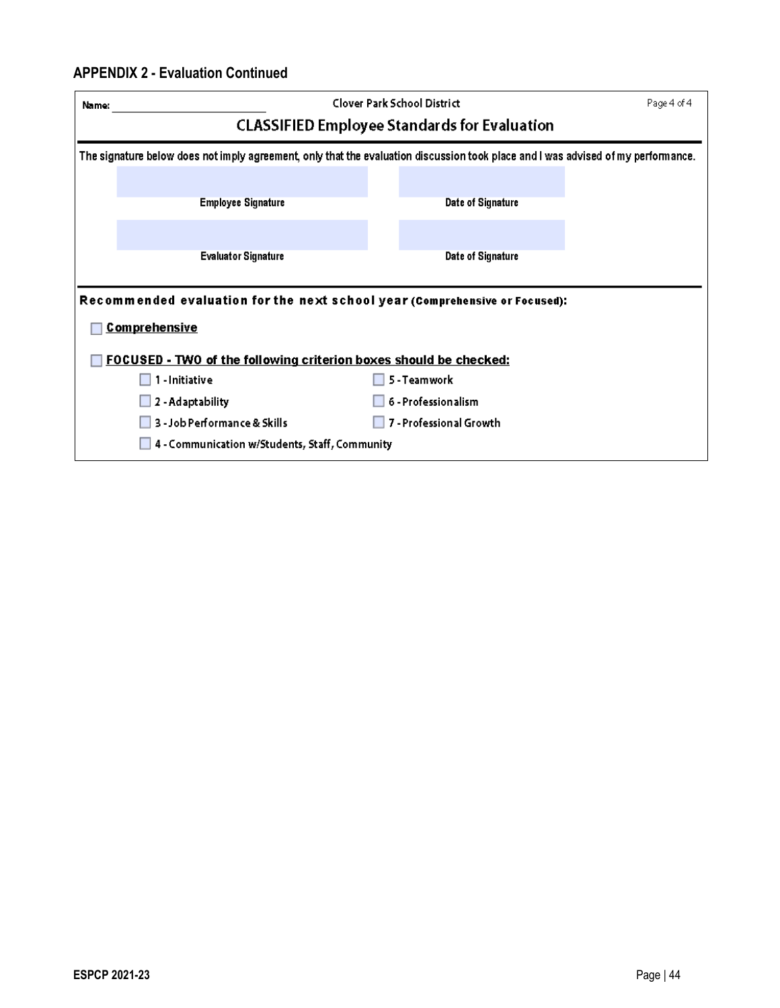## **APPENDIX 2 - Evaluation Continued**

| Name:                                                                                                                             | Clover Park School District                         | Page 4 of 4 |
|-----------------------------------------------------------------------------------------------------------------------------------|-----------------------------------------------------|-------------|
|                                                                                                                                   | <b>CLASSIFIED Employee Standards for Evaluation</b> |             |
| The signature below does not imply agreement, only that the evaluation discussion took place and I was advised of my performance. |                                                     |             |
|                                                                                                                                   |                                                     |             |
| <b>Employee Signature</b>                                                                                                         | Date of Signature                                   |             |
|                                                                                                                                   |                                                     |             |
| <b>Evaluator Signature</b>                                                                                                        | Date of Signature                                   |             |
|                                                                                                                                   |                                                     |             |
| Recommended evaluation for the next school year (Comprehensive or Focused):                                                       |                                                     |             |
| <b>Comprehensive</b>                                                                                                              |                                                     |             |
| FOCUSED - TWO of the following criterion boxes should be checked:                                                                 |                                                     |             |
| 1 - Initiative                                                                                                                    | 5 - Teamwork                                        |             |
| 2 - Adaptability                                                                                                                  | 6 - Professionalism                                 |             |
| 3 - Job Performance & Skills                                                                                                      | 7 - Professional Growth                             |             |
| 4 - Communication w/Students, Staff, Community                                                                                    |                                                     |             |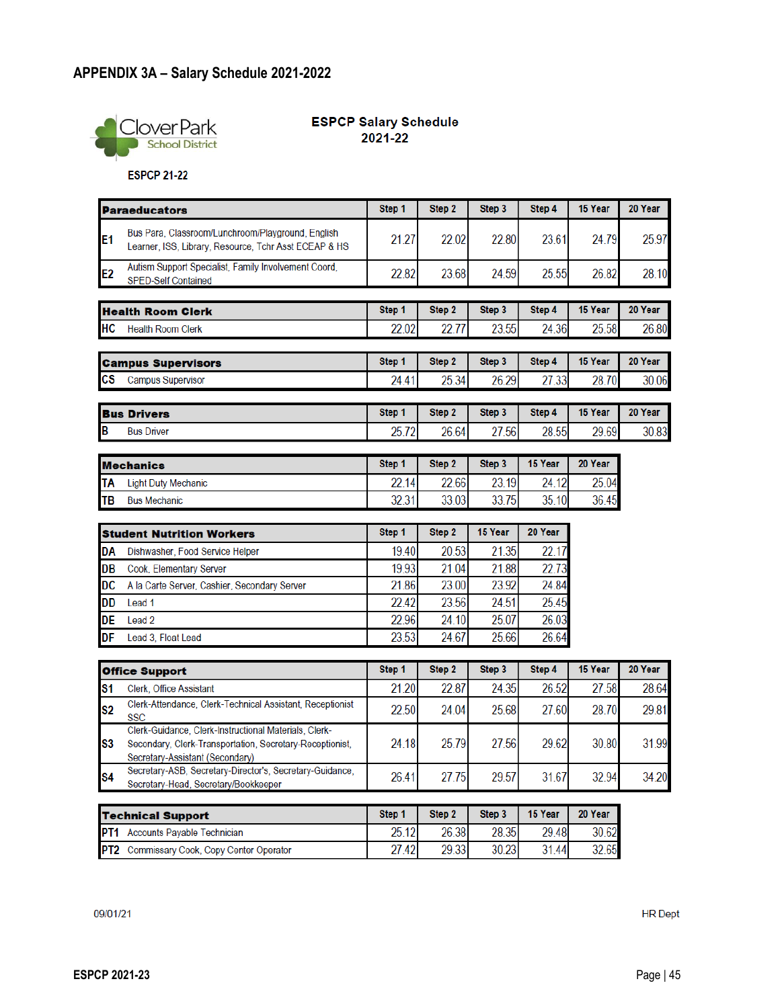

#### **ESPCP Salary Schedule**  $2021 - 22$

**ESPCP 21-22** 

|                | <b>Paraeducators</b>                                                                                                                                 | Step 1 | Step 2 | Step 3  | Step 4  | 15 Year | 20 Year |
|----------------|------------------------------------------------------------------------------------------------------------------------------------------------------|--------|--------|---------|---------|---------|---------|
| E1             | Bus Para, Classroom/Lunchroom/Playground, English<br>Learner, ISS, Library, Resource, Tchr Asst ECEAP & HS                                           | 21.27  | 22.02  | 22.80   | 23.61   | 24.79   | 25.97   |
| E <sub>2</sub> | Autism Support Specialist, Family Involvement Coord,<br><b>SPED-Self Contained</b>                                                                   | 22.82  | 23.68  | 24.59   | 25.55   | 26.82   | 28.10   |
|                | <b>Health Room Clerk</b>                                                                                                                             | Step 1 | Step 2 | Step 3  | Step 4  | 15 Year | 20 Year |
| HC             | <b>Health Room Clerk</b>                                                                                                                             | 22.02  | 22.77  | 23.55   | 24.36   | 25.58   | 26.80   |
|                | <b>Campus Supervisors</b>                                                                                                                            | Step 1 | Step 2 | Step 3  | Step 4  | 15 Year | 20 Year |
| СS             | <b>Campus Supervisor</b>                                                                                                                             | 24.41  | 25.34  | 26.29   | 27.33   | 28.70   | 30.06   |
|                | <b>Bus Drivers</b>                                                                                                                                   | Step 1 | Step 2 | Step 3  | Step 4  | 15 Year | 20 Year |
| В              | <b>Bus Driver</b>                                                                                                                                    | 25.72  | 26.64  | 27.56   | 28.55   | 29.69   | 30.83   |
|                | <b>Mechanics</b>                                                                                                                                     | Step 1 | Step 2 | Step 3  | 15 Year | 20 Year |         |
| ТΑ             | <b>Light Duty Mechanic</b>                                                                                                                           | 22.14  | 22.66  | 23.19   | 24.12   | 25.04   |         |
| TB             | <b>Bus Mechanic</b>                                                                                                                                  | 32.31  | 33.03  | 33.75   | 35.10   | 36.45   |         |
|                | <b>Student Nutrition Workers</b>                                                                                                                     | Step 1 | Step 2 | 15 Year | 20 Year |         |         |
| DA             | Dishwasher, Food Service Helper                                                                                                                      | 19.40  | 20.53  | 21.35   | 22.17   |         |         |
| DB             | Cook, Elementary Server                                                                                                                              | 19.93  | 21.04  | 21.88   | 22.73   |         |         |
| DC             | A la Carte Server, Cashier, Secondary Server                                                                                                         | 21.86  | 23.00  | 23.92   | 24.84   |         |         |
| DD             | Lead 1                                                                                                                                               | 22.42  | 23.56  | 24.51   | 25.45   |         |         |
| DE             | Lead 2                                                                                                                                               | 22.96  | 24.10  | 25.07   | 26.03   |         |         |
| DF             | Lead 3, Float Lead                                                                                                                                   | 23.53  | 24.67  | 25.66   | 26.64   |         |         |
|                | <b>Office Support</b>                                                                                                                                | Step 1 | Step 2 | Step 3  | Step 4  | 15 Year | 20 Year |
| S1             | Clerk, Office Assistant                                                                                                                              | 21.20  | 22.87  | 24.35   | 26.52   | 27.58   | 28.64   |
| S2             | Clerk-Attendance, Clerk-Technical Assistant, Receptionist<br><b>SSC</b>                                                                              | 22.50  | 24.04  | 25.68   | 27.60   | 28.70   | 29.81   |
| S3             | Clerk-Guidance, Clerk-Instructional Materials, Clerk-<br>Secondary, Clerk-Transportation, Secretary-Receptionist,<br>Secretary-Assistant (Secondary) | 24.18  | 25.79  | 27.56   | 29.62   | 30.80   | 31.99   |
| S4             | Secretary-ASB, Secretary-Director's, Secretary-Guidance,<br>Secretary-Head, Secretary/Bookkeeper                                                     | 26.41  | 27.75  | 29.57   | 31.67   | 32.94   | 34.20   |
|                | <b>Technical Support</b>                                                                                                                             | Step 1 | Step 2 | Step 3  | 15 Year | 20 Year |         |
|                | PT1 Accounts Payable Technician                                                                                                                      | 25.12  | 26.38  | 28.35   | 29.48   | 30.62   |         |
|                | PT2 Commissary Cook, Copy Center Operator                                                                                                            | 27.42  | 29.33  | 30.23   | 31.44   | 32.65   |         |
|                |                                                                                                                                                      |        |        |         |         |         |         |

09/01/21

**HR** Dept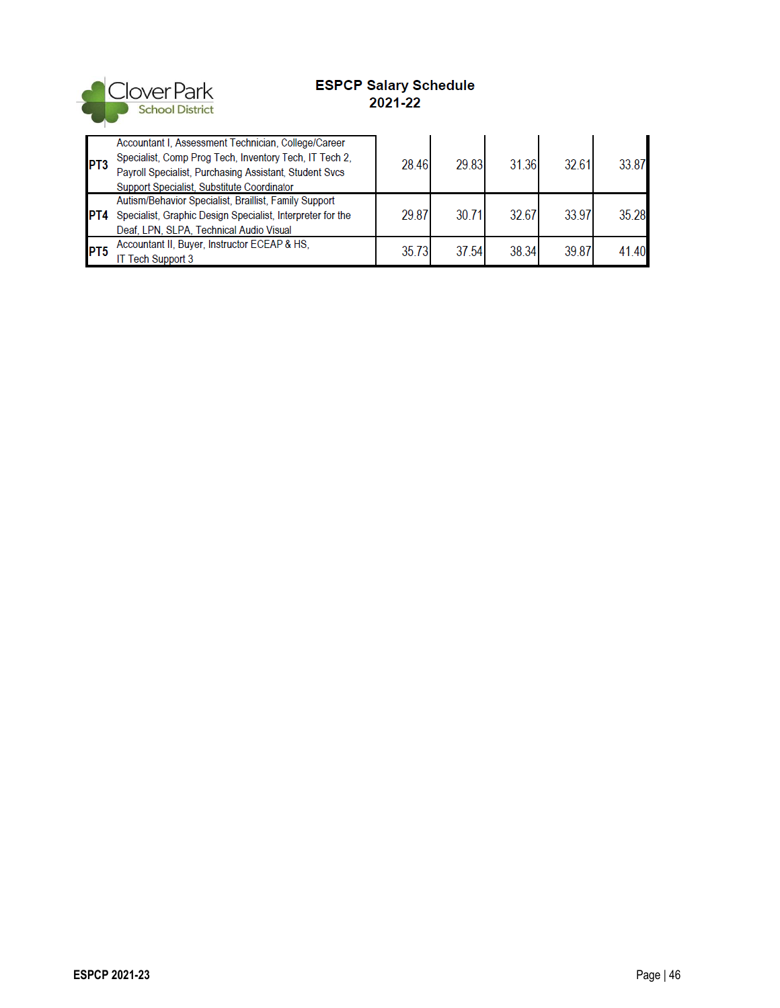

## **ESPCP Salary Schedule** 2021-22

| PT3        | Accountant I, Assessment Technician, College/Career<br>Specialist, Comp Prog Tech, Inventory Tech, IT Tech 2,<br>Payroll Specialist, Purchasing Assistant, Student Svcs<br>Support Specialist, Substitute Coordinator | 28.46 | 29.83 | 31.36 | 32.61 | 3387  |
|------------|-----------------------------------------------------------------------------------------------------------------------------------------------------------------------------------------------------------------------|-------|-------|-------|-------|-------|
| IPT4       | Autism/Behavior Specialist, Braillist, Family Support<br>Specialist, Graphic Design Specialist, Interpreter for the<br>Deaf, LPN, SLPA, Technical Audio Visual                                                        | 29.87 | 30.71 | 32.67 | 33.97 | 35.28 |
| <b>PT5</b> | Accountant II, Buyer, Instructor ECEAP & HS,<br><b>IT Tech Support 3</b>                                                                                                                                              | 35.73 | 37.54 | 38.34 | 39.87 | 4140  |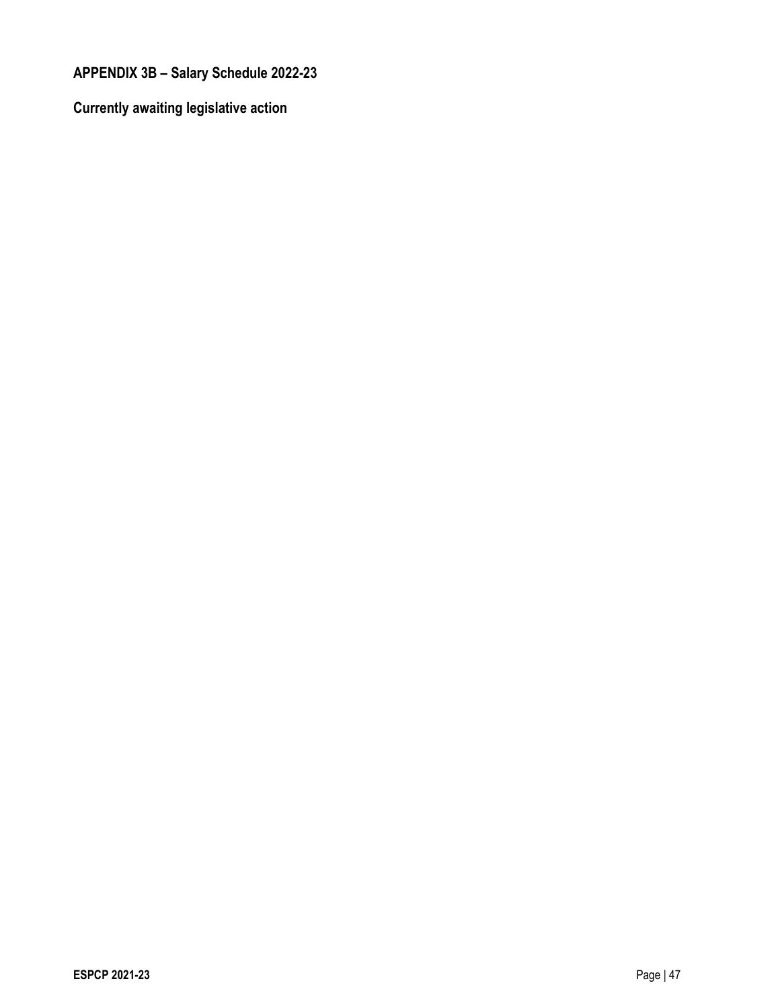**APPENDIX 3B – Salary Schedule 2022-23**

**Currently awaiting legislative action**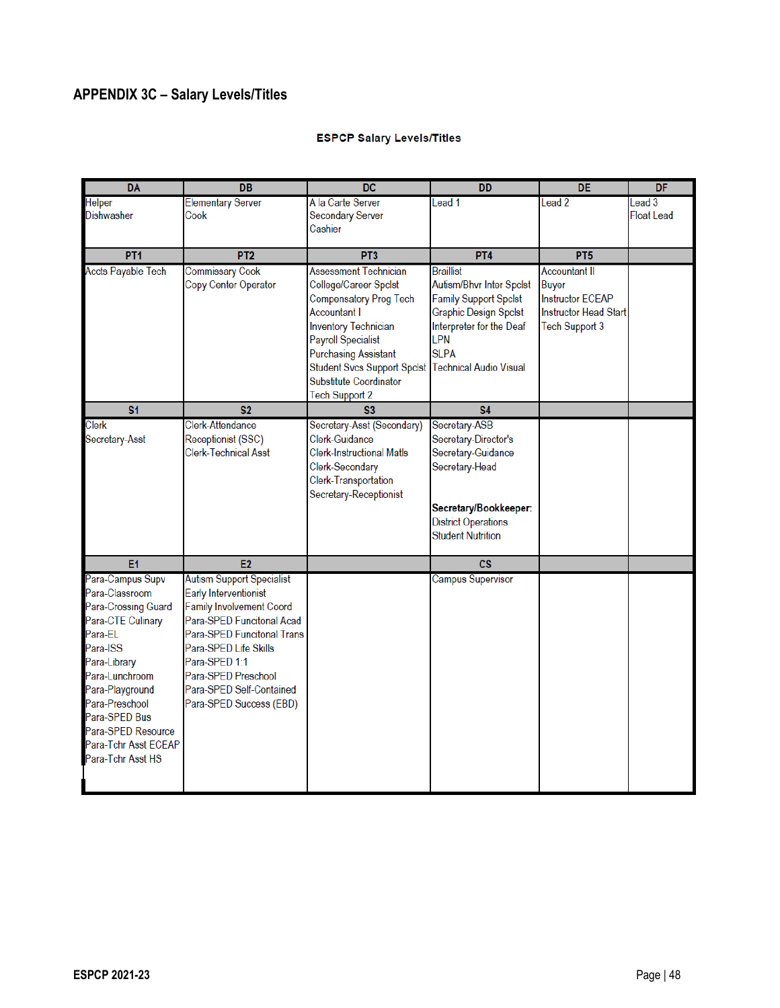# **APPENDIX 3C – Salary Levels/Titles**

### **ESPCP Salary Levels/Titles**

| <b>DA</b>                                  | <b>DB</b>                                      | <b>DC</b>                          | <b>DD</b>                                    | <b>DE</b>                    | DF               |
|--------------------------------------------|------------------------------------------------|------------------------------------|----------------------------------------------|------------------------------|------------------|
| <b>Helper</b>                              | <b>Elementary Server</b>                       | A la Carte Server                  | Lead 1                                       | Lead <sub>2</sub>            | ead <sub>3</sub> |
| <b>Dishwasher</b>                          | Cook                                           | <b>Secondary Server</b>            |                                              |                              | Float Lead       |
|                                            |                                                | Cashier                            |                                              |                              |                  |
| PT <sub>1</sub>                            | PT <sub>2</sub>                                | PT <sub>3</sub>                    | PT4                                          | PT <sub>5</sub>              |                  |
|                                            |                                                | <b>Assessment Technician</b>       |                                              | <b>Accountant II</b>         |                  |
| <b>Accts Payable Tech</b>                  | <b>Commissary Cook</b><br>Copy Center Operator | College/Career Spclst              | <b>Braillist</b><br>Autism/Bhvr Inter Spclst | <b>Buyer</b>                 |                  |
|                                            |                                                | Compensatory Prog Tech             | <b>Family Support Spclst</b>                 | <b>Instructor ECEAP</b>      |                  |
|                                            |                                                | <b>Accountant I</b>                | Graphic Design Spclst                        | <b>Instructor Head Start</b> |                  |
|                                            |                                                | <b>Inventory Technician</b>        | Interpreter for the Deaf                     | Tech Support 3               |                  |
|                                            |                                                | <b>Payroll Specialist</b>          | LPN                                          |                              |                  |
|                                            |                                                | <b>Purchasing Assistant</b>        | <b>SLPA</b>                                  |                              |                  |
|                                            |                                                | <b>Student Svcs Support Spclst</b> | <b>Technical Audio Visual</b>                |                              |                  |
|                                            |                                                | Substitute Coordinator             |                                              |                              |                  |
|                                            |                                                | Tech Support 2                     |                                              |                              |                  |
| S <sub>1</sub>                             | S <sub>2</sub>                                 | S <sub>3</sub>                     | <b>S4</b>                                    |                              |                  |
| Clerk                                      | Clerk-Attendance                               | Secretary-Asst (Secondary)         | Secretary-ASB                                |                              |                  |
| Secretary-Asst                             | Receptionist (SSC)                             | Clerk-Guidance                     | Secretary-Director's                         |                              |                  |
|                                            | Clerk-Technical Asst                           | <b>Clerk-Instructional Matls</b>   | Secretary-Guidance                           |                              |                  |
|                                            |                                                | Clerk-Secondary                    | Secretary-Head                               |                              |                  |
|                                            |                                                | Clerk-Transportation               |                                              |                              |                  |
|                                            |                                                | Secretary-Receptionist             |                                              |                              |                  |
|                                            |                                                |                                    | Secretary/Bookkeeper:                        |                              |                  |
|                                            |                                                |                                    | <b>District Operations</b>                   |                              |                  |
|                                            |                                                |                                    | <b>Student Nutrition</b>                     |                              |                  |
| E <sub>1</sub>                             | E <sub>2</sub>                                 |                                    | $\csc$                                       |                              |                  |
| Para-Campus Supv                           | <b>Autism Support Specialist</b>               |                                    | <b>Campus Supervisor</b>                     |                              |                  |
| Para-Classroom                             | <b>Early Interventionist</b>                   |                                    |                                              |                              |                  |
| Para-Crossing Guard                        | <b>Family Involvement Coord</b>                |                                    |                                              |                              |                  |
| Para-CTE Culinary                          | Para-SPED Funcitonal Acad                      |                                    |                                              |                              |                  |
| Para-EL                                    | Para-SPED Funcitonal Trans                     |                                    |                                              |                              |                  |
| Para-ISS                                   | Para-SPED Life Skills                          |                                    |                                              |                              |                  |
| Para-Library                               | Para-SPED 1:1                                  |                                    |                                              |                              |                  |
| Para-Lunchroom                             | Para-SPED Preschool                            |                                    |                                              |                              |                  |
| Para-Playground                            | Para-SPED Self-Contained                       |                                    |                                              |                              |                  |
| Para-Preschool                             | Para-SPED Success (EBD)                        |                                    |                                              |                              |                  |
| Para-SPED Bus                              |                                                |                                    |                                              |                              |                  |
| Para-SPED Resource<br>Para-Tchr Asst ECEAP |                                                |                                    |                                              |                              |                  |
|                                            |                                                |                                    |                                              |                              |                  |
| Para-Tchr Asst HS                          |                                                |                                    |                                              |                              |                  |
|                                            |                                                |                                    |                                              |                              |                  |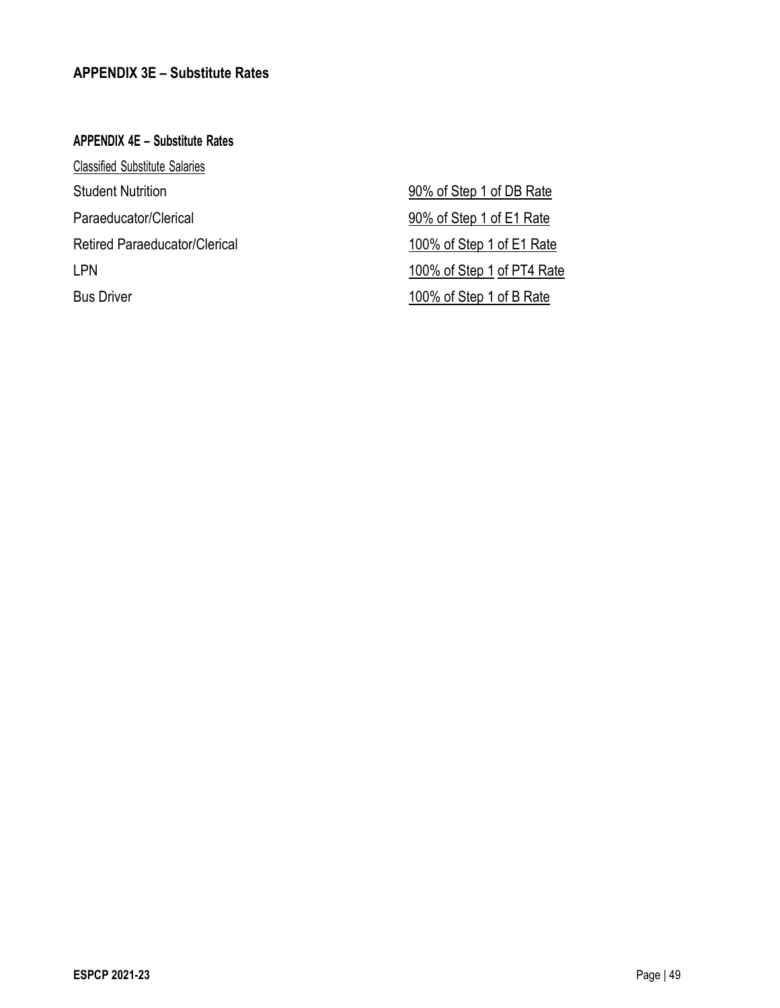### **APPENDIX 3E – Substitute Rates**

**APPENDIX 4E – Substitute Rates** Classified Substitute Salaries Student Nutrition 30% of Step 1 of DB Rate Paraeducator/Clerical 90% of Step 1 of E1 Rate Retired Paraeducator/Clerical and 100% of Step 1 of E1 Rate LPN 100% of Step 1 of PT4 Rate Bus Driver **100%** of Step 1 of B Rate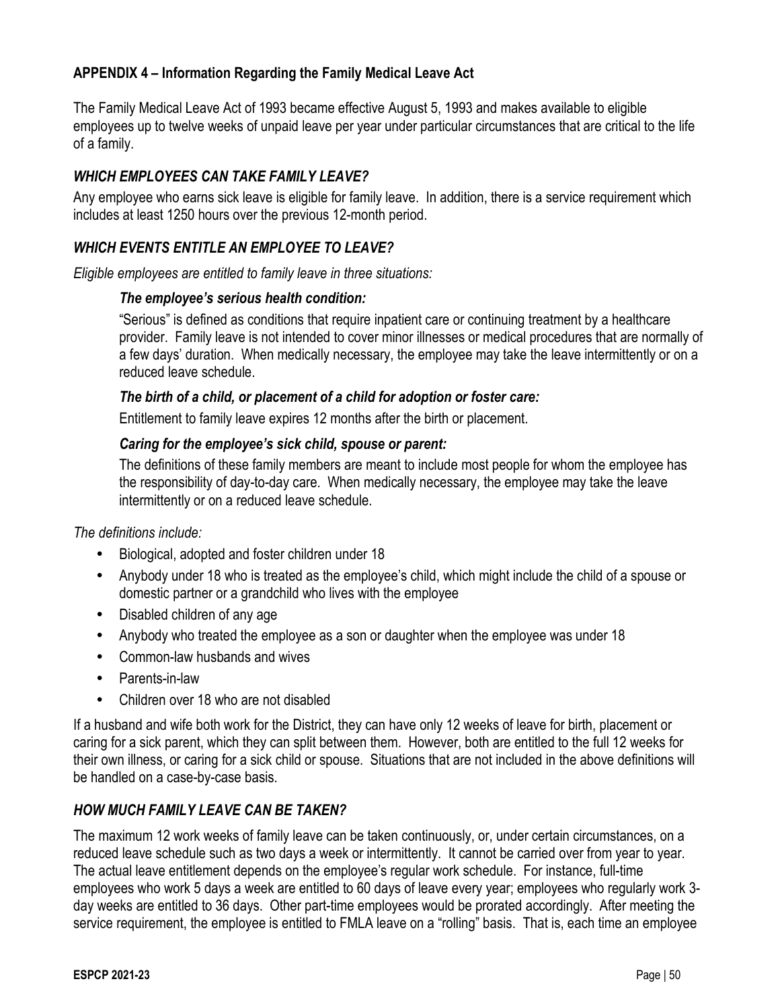## **APPENDIX 4 – Information Regarding the Family Medical Leave Act**

The Family Medical Leave Act of 1993 became effective August 5, 1993 and makes available to eligible employees up to twelve weeks of unpaid leave per year under particular circumstances that are critical to the life of a family.

## *WHICH EMPLOYEES CAN TAKE FAMILY LEAVE?*

Any employee who earns sick leave is eligible for family leave. In addition, there is a service requirement which includes at least 1250 hours over the previous 12-month period.

## *WHICH EVENTS ENTITLE AN EMPLOYEE TO LEAVE?*

*Eligible employees are entitled to family leave in three situations:*

#### *The employee's serious health condition:*

"Serious" is defined as conditions that require inpatient care or continuing treatment by a healthcare provider. Family leave is not intended to cover minor illnesses or medical procedures that are normally of a few days' duration. When medically necessary, the employee may take the leave intermittently or on a reduced leave schedule.

### *The birth of a child, or placement of a child for adoption or foster care:*

Entitlement to family leave expires 12 months after the birth or placement.

### *Caring for the employee's sick child, spouse or parent:*

The definitions of these family members are meant to include most people for whom the employee has the responsibility of day-to-day care. When medically necessary, the employee may take the leave intermittently or on a reduced leave schedule.

*The definitions include:*

- Biological, adopted and foster children under 18
- Anybody under 18 who is treated as the employee's child, which might include the child of a spouse or domestic partner or a grandchild who lives with the employee
- Disabled children of any age
- Anybody who treated the employee as a son or daughter when the employee was under 18
- Common-law husbands and wives
- Parents-in-law
- Children over 18 who are not disabled

If a husband and wife both work for the District, they can have only 12 weeks of leave for birth, placement or caring for a sick parent, which they can split between them. However, both are entitled to the full 12 weeks for their own illness, or caring for a sick child or spouse. Situations that are not included in the above definitions will be handled on a case-by-case basis.

## *HOW MUCH FAMILY LEAVE CAN BE TAKEN?*

The maximum 12 work weeks of family leave can be taken continuously, or, under certain circumstances, on a reduced leave schedule such as two days a week or intermittently. It cannot be carried over from year to year. The actual leave entitlement depends on the employee's regular work schedule. For instance, full-time employees who work 5 days a week are entitled to 60 days of leave every year; employees who regularly work 3 day weeks are entitled to 36 days. Other part-time employees would be prorated accordingly. After meeting the service requirement, the employee is entitled to FMLA leave on a "rolling" basis. That is, each time an employee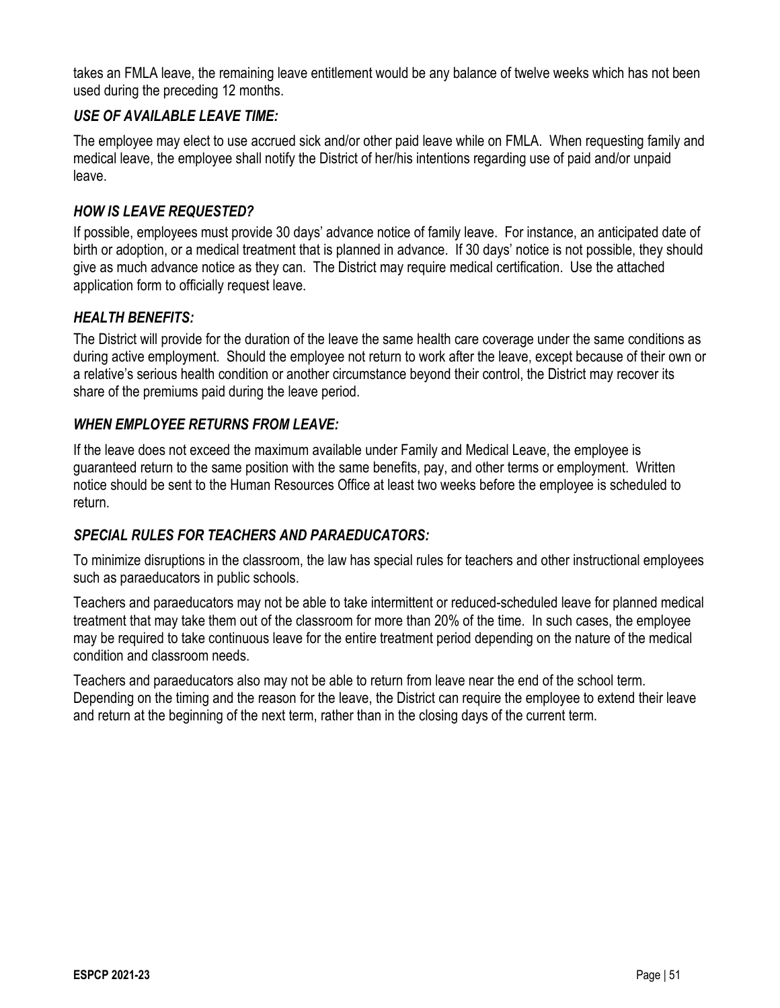takes an FMLA leave, the remaining leave entitlement would be any balance of twelve weeks which has not been used during the preceding 12 months.

## *USE OF AVAILABLE LEAVE TIME:*

The employee may elect to use accrued sick and/or other paid leave while on FMLA. When requesting family and medical leave, the employee shall notify the District of her/his intentions regarding use of paid and/or unpaid leave.

## *HOW IS LEAVE REQUESTED?*

If possible, employees must provide 30 days' advance notice of family leave. For instance, an anticipated date of birth or adoption, or a medical treatment that is planned in advance. If 30 days' notice is not possible, they should give as much advance notice as they can. The District may require medical certification. Use the attached application form to officially request leave.

## *HEALTH BENEFITS:*

The District will provide for the duration of the leave the same health care coverage under the same conditions as during active employment. Should the employee not return to work after the leave, except because of their own or a relative's serious health condition or another circumstance beyond their control, the District may recover its share of the premiums paid during the leave period.

## *WHEN EMPLOYEE RETURNS FROM LEAVE:*

If the leave does not exceed the maximum available under Family and Medical Leave, the employee is guaranteed return to the same position with the same benefits, pay, and other terms or employment. Written notice should be sent to the Human Resources Office at least two weeks before the employee is scheduled to return.

## *SPECIAL RULES FOR TEACHERS AND PARAEDUCATORS:*

To minimize disruptions in the classroom, the law has special rules for teachers and other instructional employees such as paraeducators in public schools.

Teachers and paraeducators may not be able to take intermittent or reduced-scheduled leave for planned medical treatment that may take them out of the classroom for more than 20% of the time. In such cases, the employee may be required to take continuous leave for the entire treatment period depending on the nature of the medical condition and classroom needs.

Teachers and paraeducators also may not be able to return from leave near the end of the school term. Depending on the timing and the reason for the leave, the District can require the employee to extend their leave and return at the beginning of the next term, rather than in the closing days of the current term.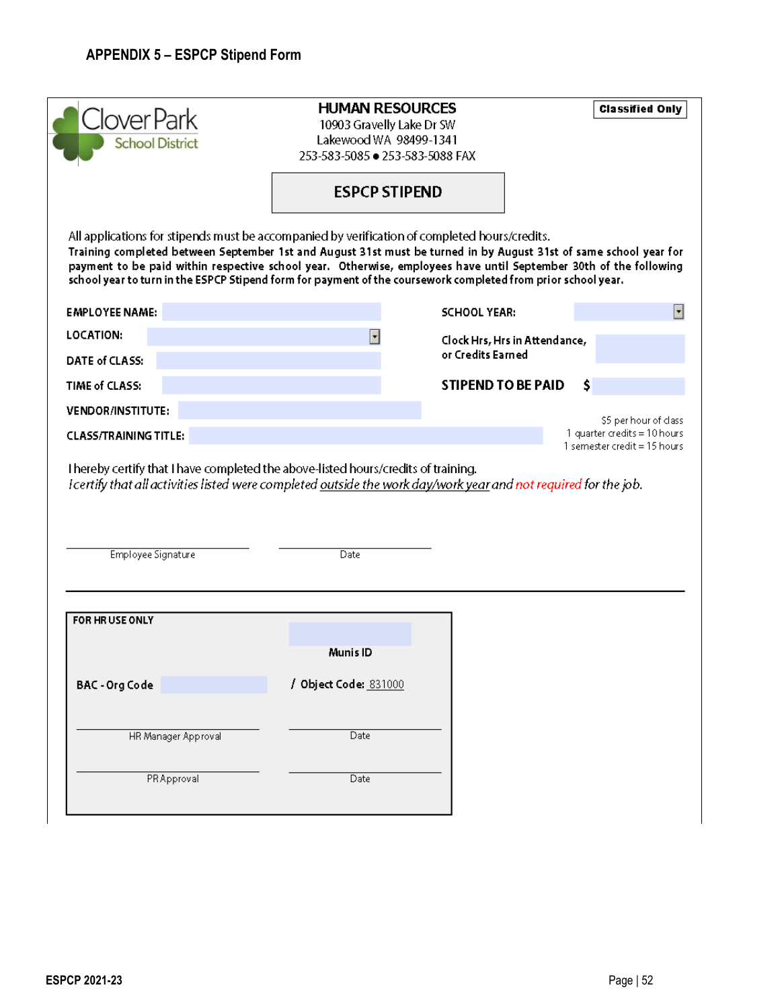| Clover Park<br><b>School District</b>                                                                                                                                                                                                                                                                                                                                                                                                                    | <b>HUMAN RESOURCES</b><br>10903 Gravelly Lake Dr SW<br>Lakewood WA 98499-1341<br>253-583-5085 ● 253-583-5088 FAX |                               | <b>Classified Only</b>                                                                  |
|----------------------------------------------------------------------------------------------------------------------------------------------------------------------------------------------------------------------------------------------------------------------------------------------------------------------------------------------------------------------------------------------------------------------------------------------------------|------------------------------------------------------------------------------------------------------------------|-------------------------------|-----------------------------------------------------------------------------------------|
|                                                                                                                                                                                                                                                                                                                                                                                                                                                          | <b>ESPCP STIPEND</b>                                                                                             |                               |                                                                                         |
| All applications for stipends must be accompanied by verification of completed hours/credits.<br>Training completed between September 1st and August 31st must be turned in by August 31st of same school year for<br>payment to be paid within respective school year. Otherwise, employees have until September 30th of the following<br>school year to turn in the ESPCP Stipend form for payment of the coursework completed from prior school year. |                                                                                                                  |                               |                                                                                         |
| <b>EMPLOYEE NAME:</b>                                                                                                                                                                                                                                                                                                                                                                                                                                    |                                                                                                                  | <b>SCHOOL YEAR:</b>           |                                                                                         |
| LOCATION:                                                                                                                                                                                                                                                                                                                                                                                                                                                | ∣▼                                                                                                               | Clock Hrs, Hrs in Attendance, |                                                                                         |
| DATE of CLASS:                                                                                                                                                                                                                                                                                                                                                                                                                                           |                                                                                                                  | or Credits Earned             |                                                                                         |
|                                                                                                                                                                                                                                                                                                                                                                                                                                                          |                                                                                                                  | STIPEND TO BE PAID            | \$                                                                                      |
| TIME of CLASS:                                                                                                                                                                                                                                                                                                                                                                                                                                           |                                                                                                                  |                               |                                                                                         |
| <b>VENDOR/INSTITUTE:</b>                                                                                                                                                                                                                                                                                                                                                                                                                                 |                                                                                                                  |                               |                                                                                         |
| <b>CLASS/TRAINING TITLE:</b><br>Thereby certify that I have completed the above-listed hours/credits of training.<br>I certify that all activities listed were completed outside the work day/work year and not required for the job.                                                                                                                                                                                                                    |                                                                                                                  |                               |                                                                                         |
| Employee Signature                                                                                                                                                                                                                                                                                                                                                                                                                                       | Date                                                                                                             |                               | \$5 per hour of class<br>1 quarter credits = 10 hours<br>1 semester credit $=$ 15 hours |
| FOR HRUSE ONLY                                                                                                                                                                                                                                                                                                                                                                                                                                           |                                                                                                                  |                               |                                                                                         |
|                                                                                                                                                                                                                                                                                                                                                                                                                                                          | Munis ID                                                                                                         |                               |                                                                                         |
| BAC - Org Code                                                                                                                                                                                                                                                                                                                                                                                                                                           | / Object Code: 831000                                                                                            |                               |                                                                                         |
| HR Manager Approval                                                                                                                                                                                                                                                                                                                                                                                                                                      | Date                                                                                                             |                               |                                                                                         |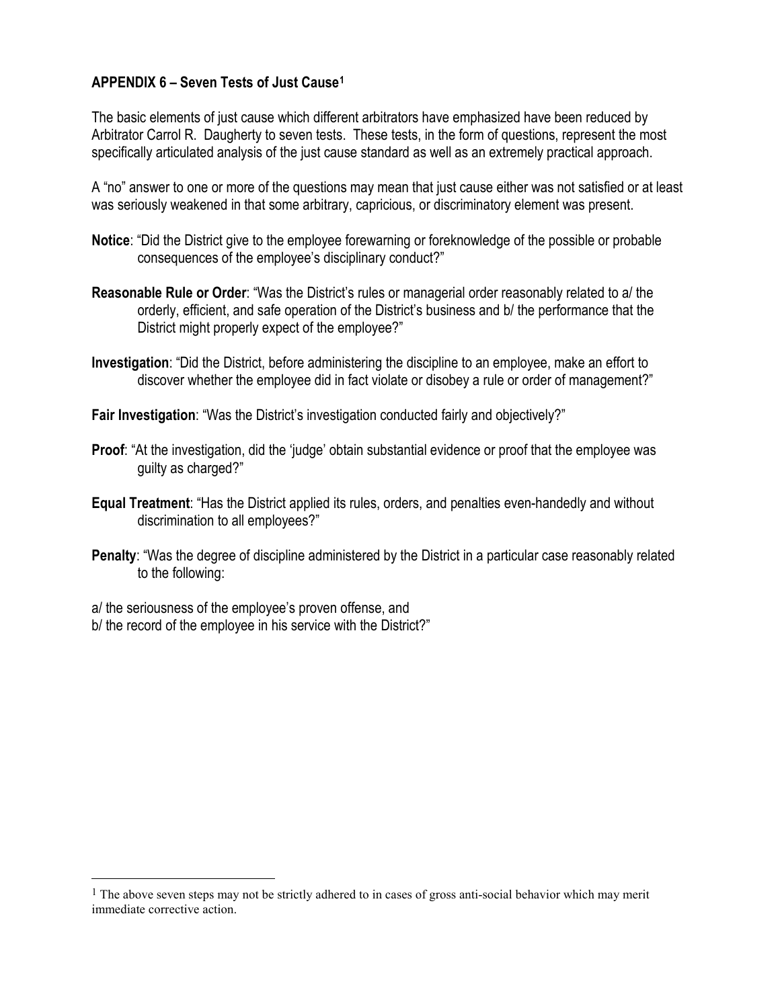## **APPENDIX 6 – Seven Tests of Just Cause[1](#page-52-0)**

The basic elements of just cause which different arbitrators have emphasized have been reduced by Arbitrator Carrol R. Daugherty to seven tests. These tests, in the form of questions, represent the most specifically articulated analysis of the just cause standard as well as an extremely practical approach.

A "no" answer to one or more of the questions may mean that just cause either was not satisfied or at least was seriously weakened in that some arbitrary, capricious, or discriminatory element was present.

- **Notice**: "Did the District give to the employee forewarning or foreknowledge of the possible or probable consequences of the employee's disciplinary conduct?"
- **Reasonable Rule or Order**: "Was the District's rules or managerial order reasonably related to a/ the orderly, efficient, and safe operation of the District's business and b/ the performance that the District might properly expect of the employee?"
- **Investigation**: "Did the District, before administering the discipline to an employee, make an effort to discover whether the employee did in fact violate or disobey a rule or order of management?"

**Fair Investigation**: "Was the District's investigation conducted fairly and objectively?"

- **Proof**: "At the investigation, did the 'judge' obtain substantial evidence or proof that the employee was guilty as charged?"
- **Equal Treatment**: "Has the District applied its rules, orders, and penalties even-handedly and without discrimination to all employees?"
- **Penalty**: "Was the degree of discipline administered by the District in a particular case reasonably related to the following:

a/ the seriousness of the employee's proven offense, and

 $\overline{a}$ 

b/ the record of the employee in his service with the District?"

<span id="page-52-0"></span><sup>&</sup>lt;sup>1</sup> The above seven steps may not be strictly adhered to in cases of gross anti-social behavior which may merit immediate corrective action.